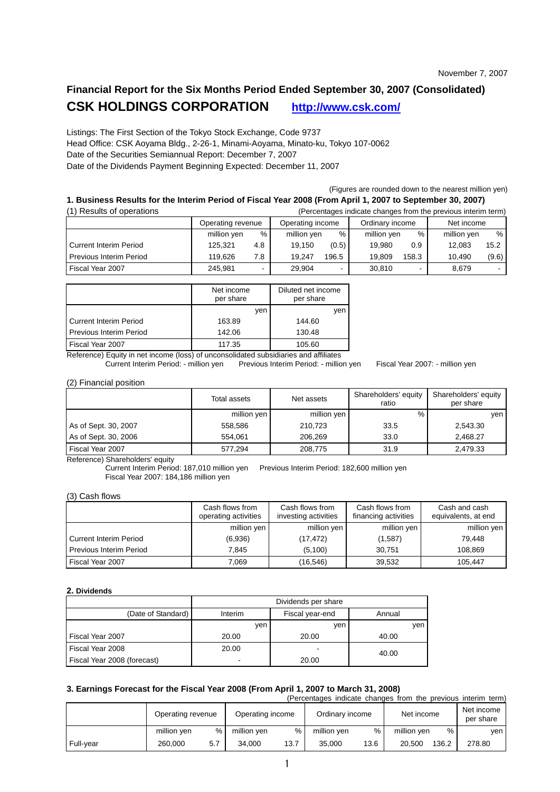# **Financial Report for the Six Months Period Ended September 30, 2007 (Consolidated) CSK HOLDINGS CORPORATION http://www.csk.com/**

Listings: The First Section of the Tokyo Stock Exchange, Code 9737 Head Office: CSK Aoyama Bldg., 2-26-1, Minami-Aoyama, Minato-ku, Tokyo 107-0062 Date of the Securities Semiannual Report: December 7, 2007 Date of the Dividends Payment Beginning Expected: December 11, 2007

(Figures are rounded down to the nearest million yen)

# **1. Business Results for the Interim Period of Fiscal Year 2008 (From April 1, 2007 to September 30, 2007)**

| (1) Results of operations      |             |                   |             |                  |             |                 | (Percentages indicate changes from the previous interim term) |            |  |
|--------------------------------|-------------|-------------------|-------------|------------------|-------------|-----------------|---------------------------------------------------------------|------------|--|
|                                |             | Operating revenue |             | Operating income |             | Ordinary income |                                                               | Net income |  |
|                                | million yen | $\%$              | million yen | %                | million yen | %               | million yen                                                   | %          |  |
| <b>Current Interim Period</b>  | 125.321     | 4.8               | 19.150      | (0.5)            | 19.980      | 0.9             | 12.083                                                        | 15.2       |  |
| <b>Previous Interim Period</b> | 119.626     | 7.8               | 19.247      | 196.5            | 19.809      | 158.3           | 10.490                                                        | (9.6)      |  |
| Fiscal Year 2007               | 245.981     | -                 | 29.904      |                  | 30.810      | ۰               | 8.679                                                         |            |  |

|                                | Net income<br>per share | Diluted net income<br>per share |
|--------------------------------|-------------------------|---------------------------------|
|                                | ven                     | ven                             |
| Current Interim Period         | 163.89                  | 144.60                          |
| <b>Previous Interim Period</b> | 142.06                  | 130.48                          |
| Fiscal Year 2007               | 117.35                  | 105.60                          |

Reference) Equity in net income (loss) of unconsolidated subsidiaries and affiliates<br>Current Interim Period: - million yen Previous Interim Period: - million

Previous Interim Period: - million yen Fiscal Year 2007: - million yen

#### (2) Financial position

|                      | Total assets | Net assets  | Shareholders' equity<br>ratio | Shareholders' equity<br>per share |
|----------------------|--------------|-------------|-------------------------------|-----------------------------------|
|                      | million yen  | million yen | %                             | ven                               |
| As of Sept. 30, 2007 | 558.586      | 210.723     | 33.5                          | 2.543.30                          |
| As of Sept. 30, 2006 | 554.061      | 206.269     | 33.0                          | 2.468.27                          |
| Fiscal Year 2007     | 577.294      | 208,775     | 31.9                          | 2,479.33                          |

Reference) Shareholders' equity

Current Interim Period: 187,010 million yen Previous Interim Period: 182,600 million yen Fiscal Year 2007: 184,186 million yen

#### (3) Cash flows

|                               | Cash flows from<br>operating activities | Cash flows from<br>investing activities | Cash flows from<br>financing activities | Cash and cash<br>equivalents, at end |
|-------------------------------|-----------------------------------------|-----------------------------------------|-----------------------------------------|--------------------------------------|
|                               | million yen                             | million yen                             | million yen                             | million yen                          |
| <b>Current Interim Period</b> | (6.936)                                 | (17, 472)                               | (1,587)                                 | 79.448                               |
| Previous Interim Period       | 7.845                                   | (5.100)                                 | 30.751                                  | 108.869                              |
| Fiscal Year 2007              | 7,069                                   | (16, 546)                               | 39,532                                  | 105.447                              |

## **2. Dividends**

|                             | Dividends per share        |       |        |  |  |  |
|-----------------------------|----------------------------|-------|--------|--|--|--|
| (Date of Standard)          | Interim<br>Fiscal year-end |       | Annual |  |  |  |
|                             | ven                        | ven   | yen    |  |  |  |
| Fiscal Year 2007            | 20.00                      | 20.00 | 40.00  |  |  |  |
| Fiscal Year 2008            | 20.00                      |       | 40.00  |  |  |  |
| Fiscal Year 2008 (forecast) |                            | 20.00 |        |  |  |  |

# **3. Earnings Forecast for the Fiscal Year 2008 (From April 1, 2007 to March 31, 2008)**

|           |                   |      |                  |      | (Percentages indicate changes from the previous interim term) |      |             |       |                         |
|-----------|-------------------|------|------------------|------|---------------------------------------------------------------|------|-------------|-------|-------------------------|
|           | Operating revenue |      | Operating income |      | Ordinary income                                               |      | Net income  |       | Net income<br>per share |
|           | million yen       | $\%$ | million yen      | %    | million yen                                                   | $\%$ | million yen | $\%$  | ven                     |
| Full-year | 260.000           | 5.7  | 34.000           | 13.7 | 35.000                                                        | 13.6 | 20.500      | 136.2 | 278.80                  |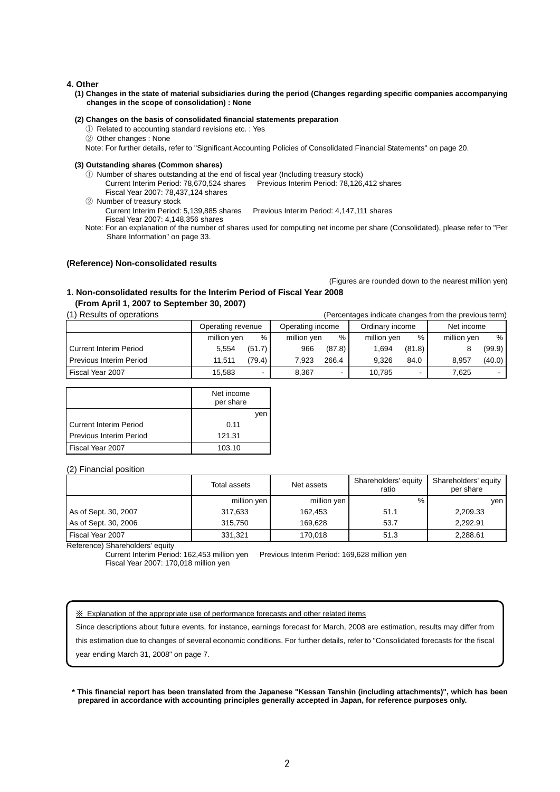### **4. Other**

**(1) Changes in the state of material subsidiaries during the period (Changes regarding specific companies accompanying changes in the scope of consolidation) : None** 

#### **(2) Changes on the basis of consolidated financial statements preparation**

- ① Related to accounting standard revisions etc. : Yes
- ② Other changes : None

Note: For further details, refer to "Significant Accounting Policies of Consolidated Financial Statements" on page 20.

#### **(3) Outstanding shares (Common shares)**

- ① Number of shares outstanding at the end of fiscal year (Including treasury stock)
	- Current Interim Period: 78,670,524 shares Previous Interim Period: 78,126,412 shares Fiscal Year 2007: 78,437,124 shares
- ② Number of treasury stock

Current Interim Period: 5,139,885 shares Previous Interim Period: 4,147,111 shares Fiscal Year 2007: 4,148,356 shares

Note: For an explanation of the number of shares used for computing net income per share (Consolidated), please refer to "Per Share Information" on page 33.

### **(Reference) Non-consolidated results**

(Figures are rounded down to the nearest million yen)

# **1. Non-consolidated results for the Interim Period of Fiscal Year 2008 (From April 1, 2007 to September 30, 2007)**

(1) Results of operations

|  |  | (Percentages indicate changes from the previous term) |  |  |
|--|--|-------------------------------------------------------|--|--|
|  |  |                                                       |  |  |

|                                | Operating revenue |        | Operating income |                          | Ordinary income |        | Net income  |        |
|--------------------------------|-------------------|--------|------------------|--------------------------|-----------------|--------|-------------|--------|
|                                | million yen       | %      | million yen      | %                        | million yen     | %      | million yen | %      |
| <b>Current Interim Period</b>  | 5.554             | (51.7) | 966              | (87.8)                   | 1.694           | (81.8) |             | (99.9) |
| <b>Previous Interim Period</b> | 11.511            | (79.4) | 7.923            | 266.4                    | 9.326           | 84.0   | 8.957       | (40.0) |
| Fiscal Year 2007               | 15,583            |        | 8.367            | $\overline{\phantom{0}}$ | 10.785          | ۰      | 7.625       |        |

|                          | Net income<br>per share |
|--------------------------|-------------------------|
|                          | ven                     |
| I Current Interim Period | 0.11                    |
| Previous Interim Period  | 121.31                  |
| Fiscal Year 2007         | 103.10                  |

#### (2) Financial position

|                      | Total assets | Net assets  | Shareholders' equity<br>ratio | Shareholders' equity<br>per share |
|----------------------|--------------|-------------|-------------------------------|-----------------------------------|
|                      | million yen  | million yen | %                             | ven                               |
| As of Sept. 30, 2007 | 317.633      | 162.453     | 51.1                          | 2,209.33                          |
| As of Sept. 30, 2006 | 315.750      | 169.628     | 53.7                          | 2,292.91                          |
| Fiscal Year 2007     | 331,321      | 170.018     | 51.3                          | 2,288.61                          |

Reference) Shareholders' equity

Current Interim Period: 162,453 million yen Previous Interim Period: 169,628 million yen Fiscal Year 2007: 170,018 million yen

※ Explanation of the appropriate use of performance forecasts and other related items

Since descriptions about future events, for instance, earnings forecast for March, 2008 are estimation, results may differ from

this estimation due to changes of several economic conditions. For further details, refer to "Consolidated forecasts for the fiscal

year ending March 31, 2008" on page 7.

**\* This financial report has been translated from the Japanese "Kessan Tanshin (including attachments)", which has been prepared in accordance with accounting principles generally accepted in Japan, for reference purposes only.**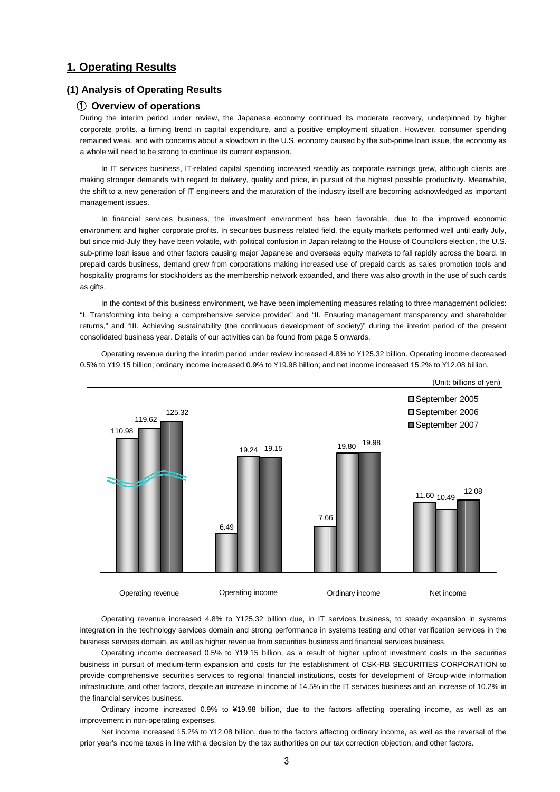# **1. Operating Results**

# **(1) Analysis of Operating Results**

## ① **Overview of operations**

During the interim period under review, the Japanese economy continued its moderate recovery, underpinned by higher corporate profits, a firming trend in capital expenditure, and a positive employment situation. However, consumer spending remained weak, and with concerns about a slowdown in the U.S. economy caused by the sub-prime loan issue, the economy as a whole will need to be strong to continue its current expansion.

In IT services business, IT-related capital spending increased steadily as corporate earnings grew, although clients are making stronger demands with regard to delivery, quality and price, in pursuit of the highest possible productivity. Meanwhile, the shift to a new generation of IT engineers and the maturation of the industry itself are becoming acknowledged as important management issues.

In financial services business, the investment environment has been favorable, due to the improved economic environment and higher corporate profits. In securities business related field, the equity markets performed well until early July, but since mid-July they have been volatile, with political confusion in Japan relating to the House of Councilors election, the U.S. sub-prime loan issue and other factors causing major Japanese and overseas equity markets to fall rapidly across the board. In prepaid cards business, demand grew from corporations making increased use of prepaid cards as sales promotion tools and hospitality programs for stockholders as the membership network expanded, and there was also growth in the use of such cards as gifts.

In the context of this business environment, we have been implementing measures relating to three management policies: "I. Transforming into being a comprehensive service provider" and "II. Ensuring management transparency and shareholder returns," and "III. Achieving sustainability (the continuous development of society)" during the interim period of the present consolidated business year. Details of our activities can be found from page 5 onwards.

Operating revenue during the interim period under review increased 4.8% to ¥125.32 billion. Operating income decreased 0.5% to ¥19.15 billion; ordinary income increased 0.9% to ¥19.98 billion; and net income increased 15.2% to ¥12.08 billion.



Operating revenue increased 4.8% to ¥125.32 billion due, in IT services business, to steady expansion in systems integration in the technology services domain and strong performance in systems testing and other verification services in the business services domain, as well as higher revenue from securities business and financial services business.

Operating income decreased 0.5% to ¥19.15 billion, as a result of higher upfront investment costs in the securities business in pursuit of medium-term expansion and costs for the establishment of CSK-RB SECURITIES CORPORATION to provide comprehensive securities services to regional financial institutions, costs for development of Group-wide information infrastructure, and other factors, despite an increase in income of 14.5% in the IT services business and an increase of 10.2% in the financial services business.

Ordinary income increased 0.9% to ¥19.98 billion, due to the factors affecting operating income, as well as an improvement in non-operating expenses.

Net income increased 15.2% to ¥12.08 billion, due to the factors affecting ordinary income, as well as the reversal of the prior year's income taxes in line with a decision by the tax authorities on our tax correction objection, and other factors.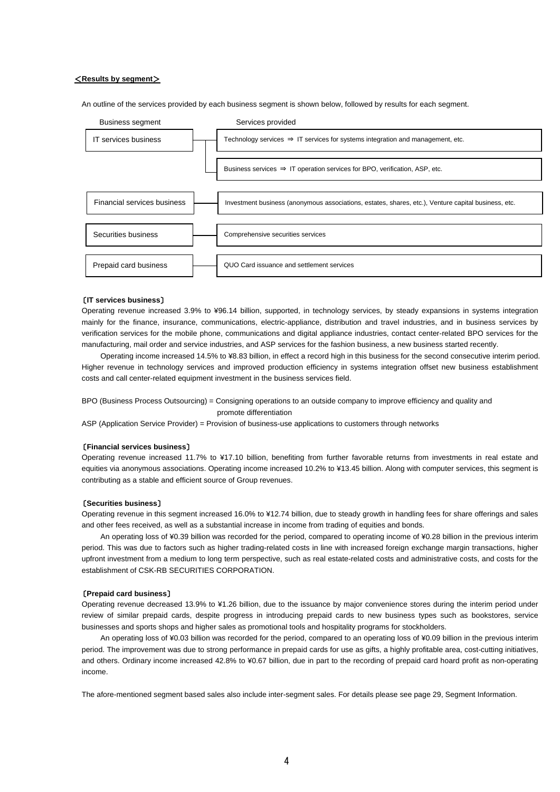### <**Results by segment**>

An outline of the services provided by each business segment is shown below, followed by results for each segment.



#### 〔**IT services business**〕

Operating revenue increased 3.9% to ¥96.14 billion, supported, in technology services, by steady expansions in systems integration mainly for the finance, insurance, communications, electric-appliance, distribution and travel industries, and in business services by verification services for the mobile phone, communications and digital appliance industries, contact center-related BPO services for the manufacturing, mail order and service industries, and ASP services for the fashion business, a new business started recently.

Operating income increased 14.5% to ¥8.83 billion, in effect a record high in this business for the second consecutive interim period. Higher revenue in technology services and improved production efficiency in systems integration offset new business establishment costs and call center-related equipment investment in the business services field.

BPO (Business Process Outsourcing) = Consigning operations to an outside company to improve efficiency and quality and promote differentiation

ASP (Application Service Provider) = Provision of business-use applications to customers through networks

### 〔**Financial services business**〕

Operating revenue increased 11.7% to ¥17.10 billion, benefiting from further favorable returns from investments in real estate and equities via anonymous associations. Operating income increased 10.2% to ¥13.45 billion. Along with computer services, this segment is contributing as a stable and efficient source of Group revenues.

#### 〔**Securities business**〕

Operating revenue in this segment increased 16.0% to ¥12.74 billion, due to steady growth in handling fees for share offerings and sales and other fees received, as well as a substantial increase in income from trading of equities and bonds.

An operating loss of ¥0.39 billion was recorded for the period, compared to operating income of ¥0.28 billion in the previous interim period. This was due to factors such as higher trading-related costs in line with increased foreign exchange margin transactions, higher upfront investment from a medium to long term perspective, such as real estate-related costs and administrative costs, and costs for the establishment of CSK-RB SECURITIES CORPORATION.

#### 〔**Prepaid card business**〕

Operating revenue decreased 13.9% to ¥1.26 billion, due to the issuance by major convenience stores during the interim period under review of similar prepaid cards, despite progress in introducing prepaid cards to new business types such as bookstores, service businesses and sports shops and higher sales as promotional tools and hospitality programs for stockholders.

An operating loss of ¥0.03 billion was recorded for the period, compared to an operating loss of ¥0.09 billion in the previous interim period. The improvement was due to strong performance in prepaid cards for use as gifts, a highly profitable area, cost-cutting initiatives, and others. Ordinary income increased 42.8% to ¥0.67 billion, due in part to the recording of prepaid card hoard profit as non-operating income.

The afore-mentioned segment based sales also include inter-segment sales. For details please see page 29, Segment Information.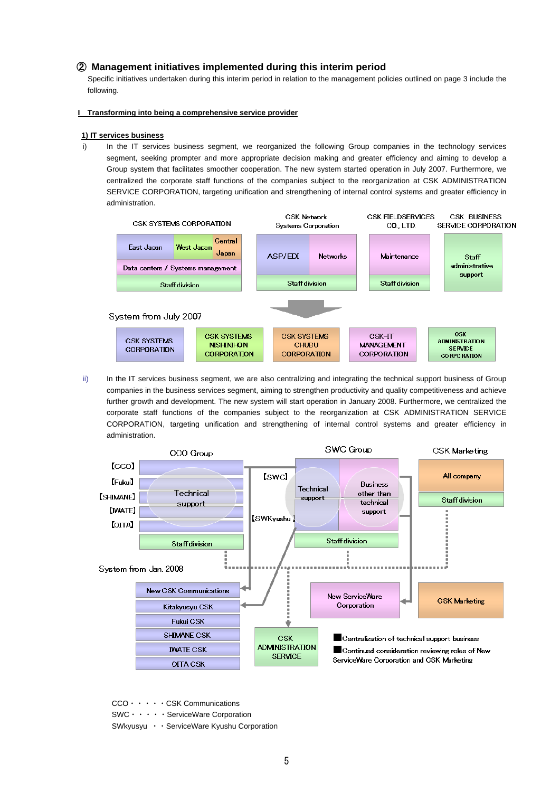# ② **Management initiatives implemented during this interim period**

 Specific initiatives undertaken during this interim period in relation to the management policies outlined on page 3 include the following.

### **I Transforming into being a comprehensive service provider**

## **1) IT services business**

i) In the IT services business segment, we reorganized the following Group companies in the technology services segment, seeking prompter and more appropriate decision making and greater efficiency and aiming to develop a Group system that facilitates smoother cooperation. The new system started operation in July 2007. Furthermore, we centralized the corporate staff functions of the companies subject to the reorganization at CSK ADMINISTRATION SERVICE CORPORATION, targeting unification and strengthening of internal control systems and greater efficiency in administration.



ii) In the IT services business segment, we are also centralizing and integrating the technical support business of Group companies in the business services segment, aiming to strengthen productivity and quality competitiveness and achieve further growth and development. The new system will start operation in January 2008. Furthermore, we centralized the corporate staff functions of the companies subject to the reorganization at CSK ADMINISTRATION SERVICE CORPORATION, targeting unification and strengthening of internal control systems and greater efficiency in administration.



CCO・・・・・CSK Communications

SWC・・・・・ServiceWare Corporation

SWkyusyu ・・ServiceWare Kyushu Corporation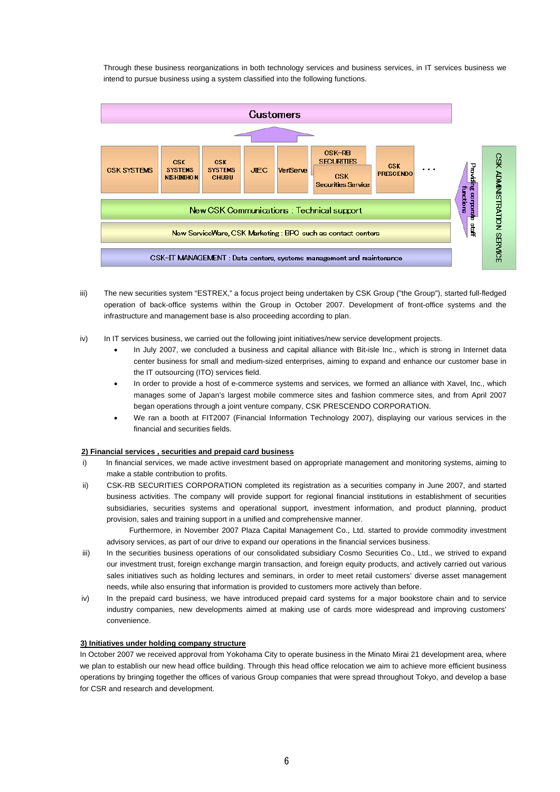Through these business reorganizations in both technology services and business services, in IT services business we intend to pursue business using a system classified into the following functions.



- iii) The new securities system "ESTREX," a focus project being undertaken by CSK Group ("the Group"), started full-fledged operation of back-office systems within the Group in October 2007. Development of front-office systems and the infrastructure and management base is also proceeding according to plan.
- iv) In IT services business, we carried out the following joint initiatives/new service development projects.
	- In July 2007, we concluded a business and capital alliance with Bit-isle Inc., which is strong in Internet data center business for small and medium-sized enterprises, aiming to expand and enhance our customer base in the IT outsourcing (ITO) services field.
	- In order to provide a host of e-commerce systems and services, we formed an alliance with Xavel, Inc., which manages some of Japan's largest mobile commerce sites and fashion commerce sites, and from April 2007 began operations through a joint venture company, CSK PRESCENDO CORPORATION.
	- We ran a booth at FIT2007 (Financial Information Technology 2007), displaying our various services in the financial and securities fields.

## **2) Financial services , securities and prepaid card business**

- i) In financial services, we made active investment based on appropriate management and monitoring systems, aiming to make a stable contribution to profits.
- ii) CSK-RB SECURITIES CORPORATION completed its registration as a securities company in June 2007, and started business activities. The company will provide support for regional financial institutions in establishment of securities subsidiaries, securities systems and operational support, investment information, and product planning, product provision, sales and training support in a unified and comprehensive manner.

Furthermore, in November 2007 Plaza Capital Management Co., Ltd. started to provide commodity investment advisory services, as part of our drive to expand our operations in the financial services business.

- iii) In the securities business operations of our consolidated subsidiary Cosmo Securities Co., Ltd., we strived to expand our investment trust, foreign exchange margin transaction, and foreign equity products, and actively carried out various sales initiatives such as holding lectures and seminars, in order to meet retail customers' diverse asset management needs, while also ensuring that information is provided to customers more actively than before.
- iv) In the prepaid card business, we have introduced prepaid card systems for a major bookstore chain and to service industry companies, new developments aimed at making use of cards more widespread and improving customers' convenience.

### **3) Initiatives under holding company structure**

In October 2007 we received approval from Yokohama City to operate business in the Minato Mirai 21 development area, where we plan to establish our new head office building. Through this head office relocation we aim to achieve more efficient business operations by bringing together the offices of various Group companies that were spread throughout Tokyo, and develop a base for CSR and research and development.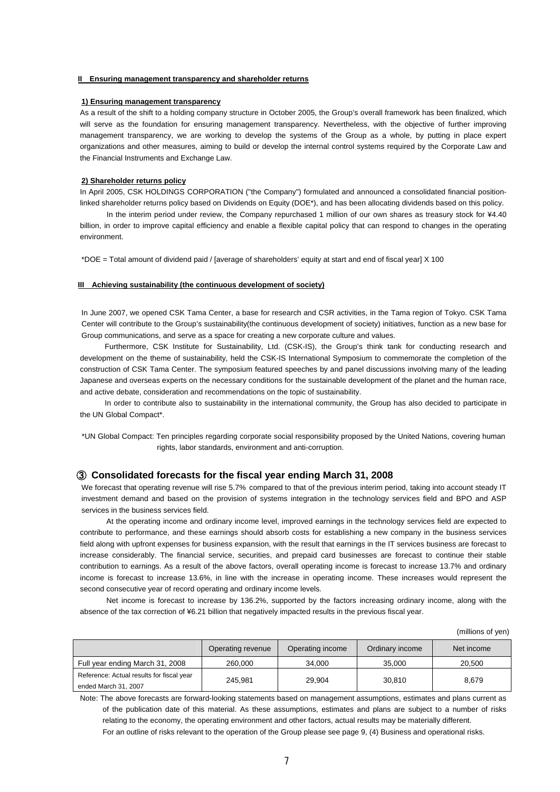### **II Ensuring management transparency and shareholder returns**

#### **1) Ensuring management transparency**

As a result of the shift to a holding company structure in October 2005, the Group's overall framework has been finalized, which will serve as the foundation for ensuring management transparency. Nevertheless, with the objective of further improving management transparency, we are working to develop the systems of the Group as a whole, by putting in place expert organizations and other measures, aiming to build or develop the internal control systems required by the Corporate Law and the Financial Instruments and Exchange Law.

#### **2) Shareholder returns policy**

In April 2005, CSK HOLDINGS CORPORATION ("the Company") formulated and announced a consolidated financial positionlinked shareholder returns policy based on Dividends on Equity (DOE\*), and has been allocating dividends based on this policy.

 In the interim period under review, the Company repurchased 1 million of our own shares as treasury stock for ¥4.40 billion, in order to improve capital efficiency and enable a flexible capital policy that can respond to changes in the operating environment.

\*DOE = Total amount of dividend paid / [average of shareholders' equity at start and end of fiscal year] X 100

#### **III Achieving sustainability (the continuous development of society)**

In June 2007, we opened CSK Tama Center, a base for research and CSR activities, in the Tama region of Tokyo. CSK Tama Center will contribute to the Group's sustainability(the continuous development of society) initiatives, function as a new base for Group communications, and serve as a space for creating a new corporate culture and values.

 Furthermore, CSK Institute for Sustainability, Ltd. (CSK-IS), the Group's think tank for conducting research and development on the theme of sustainability, held the CSK-IS International Symposium to commemorate the completion of the construction of CSK Tama Center. The symposium featured speeches by and panel discussions involving many of the leading Japanese and overseas experts on the necessary conditions for the sustainable development of the planet and the human race, and active debate, consideration and recommendations on the topic of sustainability.

 In order to contribute also to sustainability in the international community, the Group has also decided to participate in the UN Global Compact\*.

\*UN Global Compact: Ten principles regarding corporate social responsibility proposed by the United Nations, covering human rights, labor standards, environment and anti-corruption.

## ③ **Consolidated forecasts for the fiscal year ending March 31, 2008**

We forecast that operating revenue will rise 5.7% compared to that of the previous interim period, taking into account steady IT investment demand and based on the provision of systems integration in the technology services field and BPO and ASP services in the business services field.

 At the operating income and ordinary income level, improved earnings in the technology services field are expected to contribute to performance, and these earnings should absorb costs for establishing a new company in the business services field along with upfront expenses for business expansion, with the result that earnings in the IT services business are forecast to increase considerably. The financial service, securities, and prepaid card businesses are forecast to continue their stable contribution to earnings. As a result of the above factors, overall operating income is forecast to increase 13.7% and ordinary income is forecast to increase 13.6%, in line with the increase in operating income. These increases would represent the second consecutive year of record operating and ordinary income levels.

 Net income is forecast to increase by 136.2%, supported by the factors increasing ordinary income, along with the absence of the tax correction of ¥6.21 billion that negatively impacted results in the previous fiscal year.

(millions of yen)

|                                                                   | Operating revenue | Operating income | Ordinary income | Net income |
|-------------------------------------------------------------------|-------------------|------------------|-----------------|------------|
| Full year ending March 31, 2008                                   | 260.000           | 34.000           | 35,000          | 20,500     |
| Reference: Actual results for fiscal year<br>ended March 31, 2007 | 245.981           | 29.904           | 30.810          | 8,679      |

Note: The above forecasts are forward-looking statements based on management assumptions, estimates and plans current as of the publication date of this material. As these assumptions, estimates and plans are subject to a number of risks relating to the economy, the operating environment and other factors, actual results may be materially different. For an outline of risks relevant to the operation of the Group please see page 9, (4) Business and operational risks.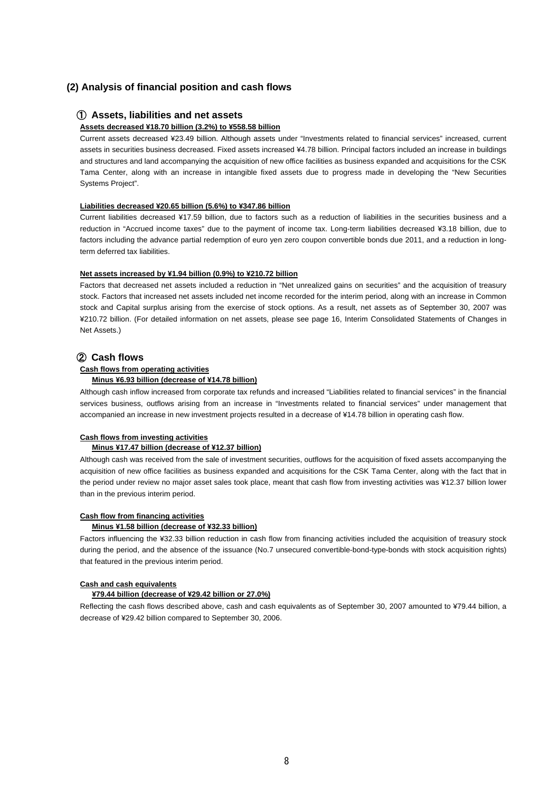# **(2) Analysis of financial position and cash flows**

# ① **Assets, liabilities and net assets**

#### **Assets decreased ¥18.70 billion (3.2%) to ¥558.58 billion**

Current assets decreased ¥23.49 billion. Although assets under "Investments related to financial services" increased, current assets in securities business decreased. Fixed assets increased ¥4.78 billion. Principal factors included an increase in buildings and structures and land accompanying the acquisition of new office facilities as business expanded and acquisitions for the CSK Tama Center, along with an increase in intangible fixed assets due to progress made in developing the "New Securities Systems Project".

#### **Liabilities decreased ¥20.65 billion (5.6%) to ¥347.86 billion**

Current liabilities decreased ¥17.59 billion, due to factors such as a reduction of liabilities in the securities business and a reduction in "Accrued income taxes" due to the payment of income tax. Long-term liabilities decreased ¥3.18 billion, due to factors including the advance partial redemption of euro yen zero coupon convertible bonds due 2011, and a reduction in longterm deferred tax liabilities.

#### **Net assets increased by ¥1.94 billion (0.9%) to ¥210.72 billion**

Factors that decreased net assets included a reduction in "Net unrealized gains on securities" and the acquisition of treasury stock. Factors that increased net assets included net income recorded for the interim period, along with an increase in Common stock and Capital surplus arising from the exercise of stock options. As a result, net assets as of September 30, 2007 was ¥210.72 billion. (For detailed information on net assets, please see page 16, Interim Consolidated Statements of Changes in Net Assets.)

# ② **Cash flows**

# **Cash flows from operating activities**

### **Minus ¥6.93 billion (decrease of ¥14.78 billion)**

Although cash inflow increased from corporate tax refunds and increased "Liabilities related to financial services" in the financial services business, outflows arising from an increase in "Investments related to financial services" under management that accompanied an increase in new investment projects resulted in a decrease of ¥14.78 billion in operating cash flow.

#### **Cash flows from investing activities**

#### **Minus ¥17.47 billion (decrease of ¥12.37 billion)**

Although cash was received from the sale of investment securities, outflows for the acquisition of fixed assets accompanying the acquisition of new office facilities as business expanded and acquisitions for the CSK Tama Center, along with the fact that in the period under review no major asset sales took place, meant that cash flow from investing activities was ¥12.37 billion lower than in the previous interim period.

#### **Cash flow from financing activities**

#### **Minus ¥1.58 billion (decrease of ¥32.33 billion)**

Factors influencing the ¥32.33 billion reduction in cash flow from financing activities included the acquisition of treasury stock during the period, and the absence of the issuance (No.7 unsecured convertible-bond-type-bonds with stock acquisition rights) that featured in the previous interim period.

#### **Cash and cash equivalents**

### **¥79.44 billion (decrease of ¥29.42 billion or 27.0%)**

Reflecting the cash flows described above, cash and cash equivalents as of September 30, 2007 amounted to ¥79.44 billion, a decrease of ¥29.42 billion compared to September 30, 2006.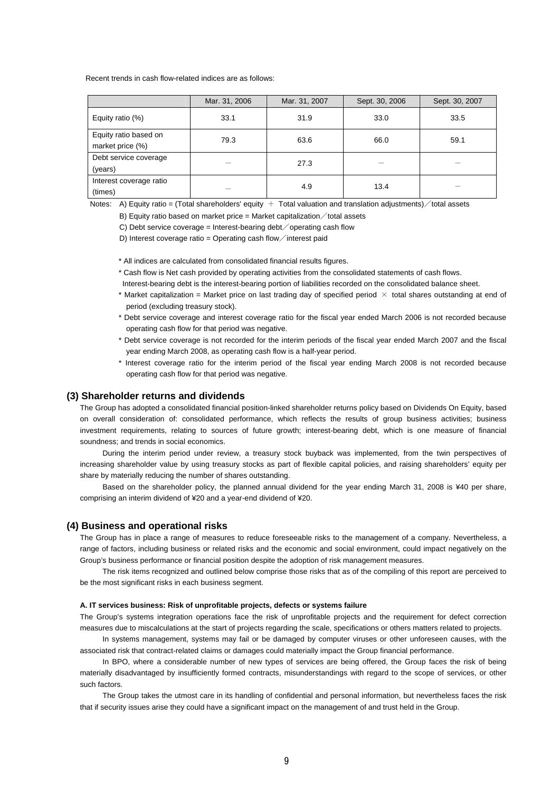Recent trends in cash flow-related indices are as follows:

|                                           | Mar. 31, 2006 | Mar. 31, 2007 | Sept. 30, 2006 | Sept. 30, 2007 |
|-------------------------------------------|---------------|---------------|----------------|----------------|
| Equity ratio (%)                          | 33.1          | 31.9          | 33.0           | 33.5           |
| Equity ratio based on<br>market price (%) | 79.3          | 63.6          | 66.0           | 59.1           |
| Debt service coverage<br>(years)          |               | 27.3          |                |                |
| Interest coverage ratio<br>(times)        |               | 4.9           | 13.4           |                |

Notes: A) Equity ratio = (Total shareholders' equity  $+$  Total valuation and translation adjustments)  $\diagup$  total assets

B) Equity ratio based on market price = Market capitalization  $\diagup$  total assets

C) Debt service coverage = Interest-bearing debt operating cash flow

D) Interest coverage ratio = Operating cash flow interest paid

\* All indices are calculated from consolidated financial results figures.

\* Cash flow is Net cash provided by operating activities from the consolidated statements of cash flows.

Interest-bearing debt is the interest-bearing portion of liabilities recorded on the consolidated balance sheet.

- \* Market capitalization = Market price on last trading day of specified period  $\times$  total shares outstanding at end of period (excluding treasury stock).
- \* Debt service coverage and interest coverage ratio for the fiscal year ended March 2006 is not recorded because operating cash flow for that period was negative.
- \* Debt service coverage is not recorded for the interim periods of the fiscal year ended March 2007 and the fiscal year ending March 2008, as operating cash flow is a half-year period.
- \* Interest coverage ratio for the interim period of the fiscal year ending March 2008 is not recorded because operating cash flow for that period was negative.

## **(3) Shareholder returns and dividends**

The Group has adopted a consolidated financial position-linked shareholder returns policy based on Dividends On Equity, based on overall consideration of: consolidated performance, which reflects the results of group business activities; business investment requirements, relating to sources of future growth; interest-bearing debt, which is one measure of financial soundness; and trends in social economics.

During the interim period under review, a treasury stock buyback was implemented, from the twin perspectives of increasing shareholder value by using treasury stocks as part of flexible capital policies, and raising shareholders' equity per share by materially reducing the number of shares outstanding.

Based on the shareholder policy, the planned annual dividend for the year ending March 31, 2008 is ¥40 per share, comprising an interim dividend of ¥20 and a year-end dividend of ¥20.

### **(4) Business and operational risks**

The Group has in place a range of measures to reduce foreseeable risks to the management of a company. Nevertheless, a range of factors, including business or related risks and the economic and social environment, could impact negatively on the Group's business performance or financial position despite the adoption of risk management measures.

The risk items recognized and outlined below comprise those risks that as of the compiling of this report are perceived to be the most significant risks in each business segment.

#### **A. IT services business: Risk of unprofitable projects, defects or systems failure**

The Group's systems integration operations face the risk of unprofitable projects and the requirement for defect correction measures due to miscalculations at the start of projects regarding the scale, specifications or others matters related to projects.

In systems management, systems may fail or be damaged by computer viruses or other unforeseen causes, with the associated risk that contract-related claims or damages could materially impact the Group financial performance.

In BPO, where a considerable number of new types of services are being offered, the Group faces the risk of being materially disadvantaged by insufficiently formed contracts, misunderstandings with regard to the scope of services, or other such factors.

The Group takes the utmost care in its handling of confidential and personal information, but nevertheless faces the risk that if security issues arise they could have a significant impact on the management of and trust held in the Group.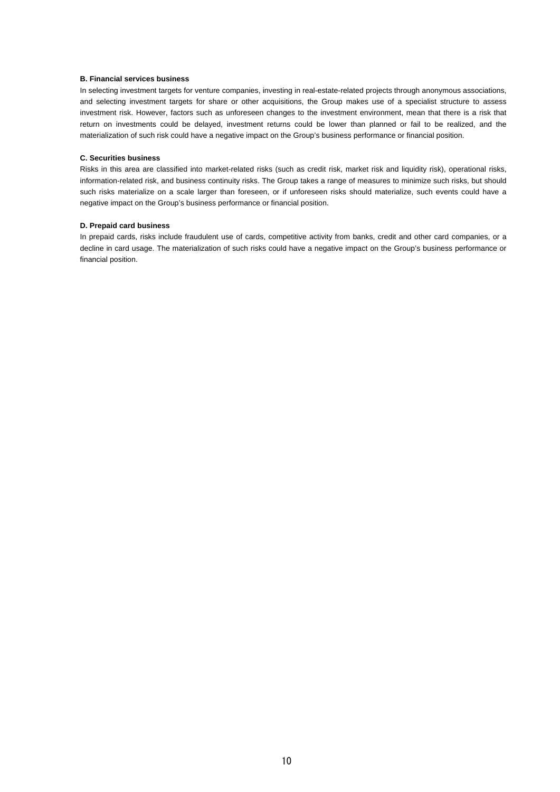### **B. Financial services business**

In selecting investment targets for venture companies, investing in real-estate-related projects through anonymous associations, and selecting investment targets for share or other acquisitions, the Group makes use of a specialist structure to assess investment risk. However, factors such as unforeseen changes to the investment environment, mean that there is a risk that return on investments could be delayed, investment returns could be lower than planned or fail to be realized, and the materialization of such risk could have a negative impact on the Group's business performance or financial position.

### **C. Securities business**

Risks in this area are classified into market-related risks (such as credit risk, market risk and liquidity risk), operational risks, information-related risk, and business continuity risks. The Group takes a range of measures to minimize such risks, but should such risks materialize on a scale larger than foreseen, or if unforeseen risks should materialize, such events could have a negative impact on the Group's business performance or financial position.

#### **D. Prepaid card business**

In prepaid cards, risks include fraudulent use of cards, competitive activity from banks, credit and other card companies, or a decline in card usage. The materialization of such risks could have a negative impact on the Group's business performance or financial position.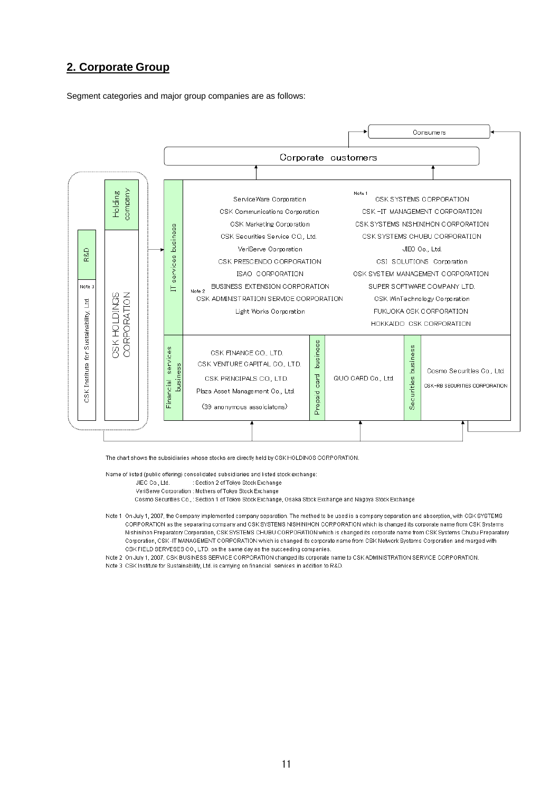# **2. Corporate Group**

Segment categories and major group companies are as follows:



The chart shows the subsidiaries whose stocks are directly held by CSK HOLDINGS CORPORATION.

Name of listed (public offering) consolidated subsidiaries and listed stock exchange: JIEC Co., Ltd. : Section 2 of Tokyo Stock Exchange VeriServe Corporation : Mothers of Tokyo Stock Exchange

Cosmo Securities Co., : Section 1 of Tokyo Stock Exchange, Osaka Stock Exchange and Nagoya Stock Exchange

- Note 1 On July 1, 2007, the Company implemented company separation. The method to be used is a company separation and absorption, with CSK SYSTEMS CORPORATION as the separaring company and CSK SYSTEMS NISHINIHON CORPORATION which is changed its corporate name from CSK Systems Nishinihon Preparatory Corporation, CSK SYSTEMS CHUBU CORPORATION which is changed its corporate name from CSK Systems Chubu Preparatory Corporation, CSK-IT MANAGEMENT CORPORATION which is changed its corporate name from CSK Network Systems Corporation and marged with CSK FIELD SERVESES CO., LTD. on the same day as the succeeding companies.
- Note 2 On July 1, 2007, CSK BUSINESS SERVICE CORPORATION changed its corporate name to CSK ADMINISTRATION SERVICE CORPORATION
- Note 3 CSK Institute for Sustainability, Ltd. is carriving on financial services in addition to R&D.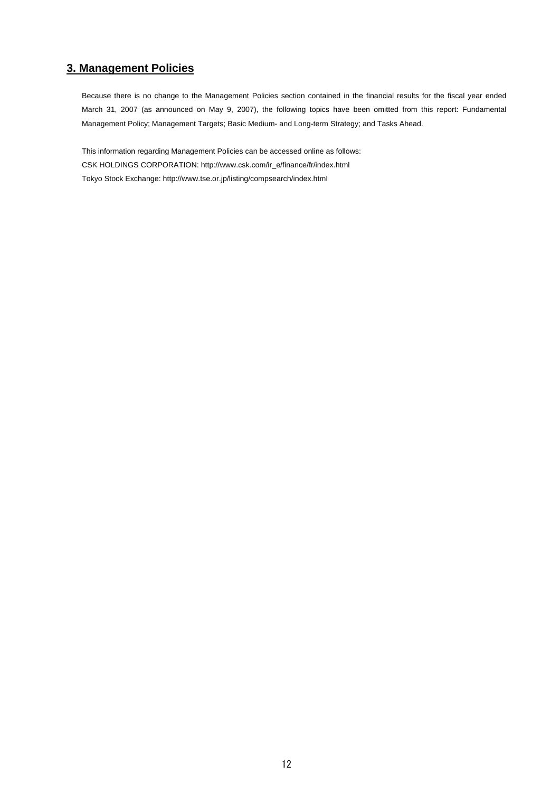# **3. Management Policies**

Because there is no change to the Management Policies section contained in the financial results for the fiscal year ended March 31, 2007 (as announced on May 9, 2007), the following topics have been omitted from this report: Fundamental Management Policy; Management Targets; Basic Medium- and Long-term Strategy; and Tasks Ahead.

This information regarding Management Policies can be accessed online as follows: CSK HOLDINGS CORPORATION: http://www.csk.com/ir\_e/finance/fr/index.html Tokyo Stock Exchange: http://www.tse.or.jp/listing/compsearch/index.htmI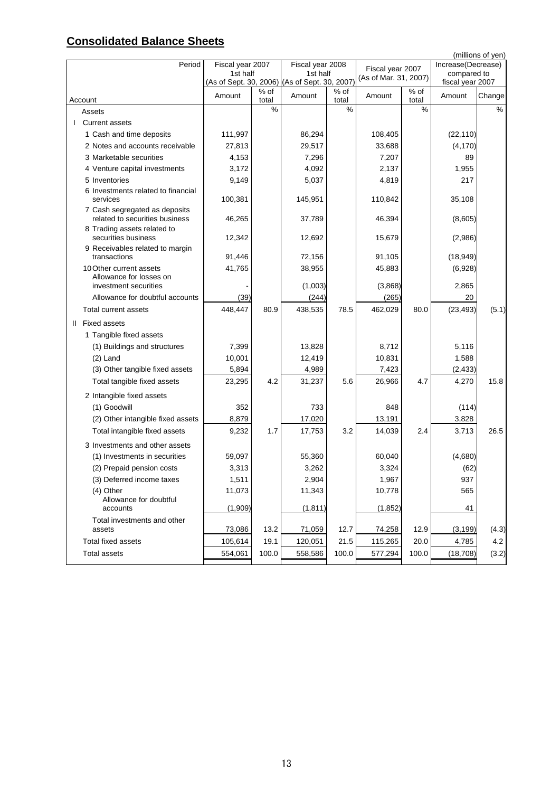# **Consolidated Balance Sheets**

|                                                                 |                                               |               |                              |                           |                       |               |                                   | (millions of yen) |
|-----------------------------------------------------------------|-----------------------------------------------|---------------|------------------------------|---------------------------|-----------------------|---------------|-----------------------------------|-------------------|
| Period                                                          | Fiscal year 2007<br>1st half                  |               | Fiscal year 2008<br>1st half |                           | Fiscal year 2007      |               | Increase(Decrease)<br>compared to |                   |
|                                                                 | (As of Sept. 30, 2006) (As of Sept. 30, 2007) |               |                              |                           | (As of Mar. 31, 2007) |               | fiscal year 2007                  |                   |
| Account                                                         | Amount                                        | % of<br>total | Amount                       | $\frac{1}{6}$ of<br>total | Amount                | % of<br>total | Amount                            | Change            |
| Assets                                                          |                                               | $\frac{0}{0}$ |                              | %                         |                       | %             |                                   | $\frac{9}{6}$     |
| <b>Current assets</b>                                           |                                               |               |                              |                           |                       |               |                                   |                   |
| 1 Cash and time deposits                                        | 111,997                                       |               | 86,294                       |                           | 108,405               |               | (22, 110)                         |                   |
| 2 Notes and accounts receivable                                 | 27,813                                        |               | 29,517                       |                           | 33,688                |               | (4, 170)                          |                   |
| 3 Marketable securities                                         | 4,153                                         |               | 7,296                        |                           | 7,207                 |               | 89                                |                   |
| 4 Venture capital investments                                   | 3,172                                         |               | 4,092                        |                           | 2,137                 |               | 1,955                             |                   |
| 5 Inventories                                                   | 9,149                                         |               | 5,037                        |                           | 4,819                 |               | 217                               |                   |
| 6 Investments related to financial<br>services                  | 100,381                                       |               | 145,951                      |                           | 110,842               |               | 35,108                            |                   |
| 7 Cash segregated as deposits<br>related to securities business | 46,265                                        |               | 37,789                       |                           | 46,394                |               | (8,605)                           |                   |
| 8 Trading assets related to<br>securities business              | 12,342                                        |               | 12,692                       |                           | 15,679                |               | (2,986)                           |                   |
| 9 Receivables related to margin<br>transactions                 | 91,446                                        |               | 72,156                       |                           | 91,105                |               |                                   |                   |
| 10 Other current assets                                         | 41,765                                        |               | 38,955                       |                           | 45,883                |               | (18, 949)<br>(6,928)              |                   |
| Allowance for losses on<br>investment securities                |                                               |               | (1,003)                      |                           | (3,868)               |               | 2,865                             |                   |
| Allowance for doubtful accounts                                 | (39)                                          |               | (244)                        |                           | (265)                 |               | 20                                |                   |
| <b>Total current assets</b>                                     | 448,447                                       | 80.9          | 438,535                      | 78.5                      | 462,029               | 80.0          | (23, 493)                         | (5.1)             |
| II Fixed assets                                                 |                                               |               |                              |                           |                       |               |                                   |                   |
| 1 Tangible fixed assets                                         |                                               |               |                              |                           |                       |               |                                   |                   |
| (1) Buildings and structures                                    | 7,399                                         |               | 13,828                       |                           | 8,712                 |               | 5,116                             |                   |
| $(2)$ Land                                                      | 10,001                                        |               | 12,419                       |                           | 10,831                |               | 1,588                             |                   |
| (3) Other tangible fixed assets                                 | 5,894                                         |               | 4,989                        |                           | 7,423                 |               | (2, 433)                          |                   |
| Total tangible fixed assets                                     | 23,295                                        | 4.2           | 31,237                       | 5.6                       | 26,966                | 4.7           | 4,270                             | 15.8              |
|                                                                 |                                               |               |                              |                           |                       |               |                                   |                   |
| 2 Intangible fixed assets                                       |                                               |               |                              |                           |                       |               |                                   |                   |
| (1) Goodwill<br>(2) Other intangible fixed assets               | 352<br>8,879                                  |               | 733<br>17,020                |                           | 848<br>13,191         |               | (114)<br>3,828                    |                   |
| Total intangible fixed assets                                   | 9,232                                         | 1.7           | 17,753                       | 3.2                       | 14,039                | 2.4           | 3,713                             | 26.5              |
|                                                                 |                                               |               |                              |                           |                       |               |                                   |                   |
| 3 Investments and other assets                                  |                                               |               |                              |                           |                       |               |                                   |                   |
| (1) Investments in securities                                   | 59,097                                        |               | 55,360                       |                           | 60,040                |               | (4,680)                           |                   |
| (2) Prepaid pension costs                                       | 3,313                                         |               | 3,262                        |                           | 3,324                 |               | (62)                              |                   |
| (3) Deferred income taxes                                       | 1,511                                         |               | 2,904                        |                           | 1,967                 |               | 937                               |                   |
| $(4)$ Other<br>Allowance for doubtful                           | 11,073                                        |               | 11,343                       |                           | 10,778                |               | 565                               |                   |
| accounts                                                        | (1,909)                                       |               | (1, 811)                     |                           | (1, 852)              |               | 41                                |                   |
| Total investments and other                                     |                                               |               |                              |                           |                       |               |                                   |                   |
| assets                                                          | 73,086                                        | 13.2          | 71,059                       | 12.7                      | 74,258                | 12.9          | (3, 199)                          | (4.3)             |
| <b>Total fixed assets</b>                                       | 105,614                                       | 19.1          | 120,051                      | 21.5                      | 115,265               | 20.0          | 4,785                             | 4.2               |
| <b>Total assets</b>                                             | 554,061                                       | 100.0         | 558,586                      | 100.0                     | 577,294               | 100.0         | (18, 708)                         | (3.2)             |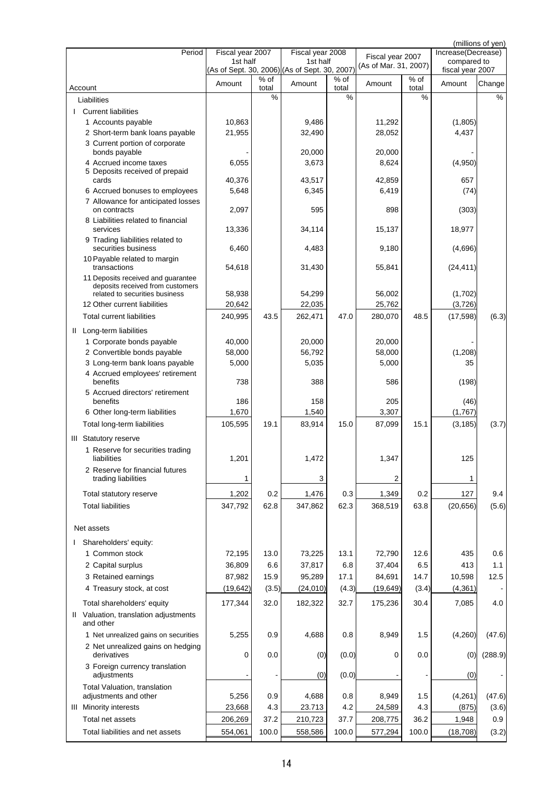| Increase(Decrease)<br>Fiscal year 2007<br>Fiscal year 2008<br>Fiscal year 2007<br>1st half<br>1st half<br>compared to<br>(As of Mar. 31, 2007)<br>(As of Sept. 30, 2006) (As of Sept. 30, 2007)<br>fiscal year 2007<br>% of<br>% of<br>$%$ of<br>Amount<br>Amount<br>Amount<br>Change<br>Amount<br>total<br>Account<br>total<br>total<br>$\%$<br>%<br>%<br>%<br>Liabilities<br><b>Current liabilities</b><br>10,863<br>9,486<br>11,292<br>(1,805)<br>1 Accounts payable<br>4,437<br>2 Short-term bank loans payable<br>21,955<br>32,490<br>28,052<br>3 Current portion of corporate<br>bonds payable<br>20,000<br>20,000<br>4 Accrued income taxes<br>3,673<br>8,624<br>(4,950)<br>6,055<br>5 Deposits received of prepaid<br>40,376<br>43,517<br>42,859<br>657<br>cards<br>5,648<br>6,345<br>6,419<br>(74)<br>6 Accrued bonuses to employees<br>7 Allowance for anticipated losses<br>595<br>898<br>2,097<br>on contracts<br>(303)<br>8 Liabilities related to financial<br>13,336<br>34,114<br>15,137<br>18,977<br>services<br>9 Trading liabilities related to<br>securities business<br>6,460<br>4,483<br>9,180<br>(4,696)<br>10 Payable related to margin<br>transactions<br>55,841<br>54,618<br>31,430<br>(24, 411)<br>11 Deposits received and guarantee<br>deposits received from customers<br>58,938<br>54,299<br>56,002<br>(1,702)<br>related to securities business<br>12 Other current liabilities<br>22,035<br>25,762<br>(3,726)<br>20,642<br>262,471<br><b>Total current liabilities</b><br>240,995<br>43.5<br>47.0<br>280,070<br>48.5<br>(17, 598)<br>(6.3)<br>II Long-term liabilities<br>1 Corporate bonds payable<br>40,000<br>20,000<br>20,000<br>56,792<br>58,000<br>(1,208)<br>2 Convertible bonds payable<br>58,000<br>3 Long-term bank loans payable<br>5,000<br>5,035<br>5,000<br>35<br>4 Accrued employees' retirement<br>benefits<br>738<br>388<br>586<br>(198)<br>5 Accrued directors' retirement<br>benefits<br>186<br>158<br>205<br>(46)<br>1,670<br>1,540<br>3,307<br>(1,767)<br>6 Other long-term liabilities<br>105,595<br>19.1<br>83,914<br>15.0<br>87,099<br>15.1<br>(3, 185)<br>(3.7)<br>Total long-term liabilities<br>III Statutory reserve<br>1 Reserve for securities trading<br>1,472<br>125<br>1,201<br>1,347<br>liabilities<br>2 Reserve for financial futures<br>trading liabilities<br>3<br>1<br>2<br>1<br>1,202<br>0.2<br>1,476<br>0.3<br>1,349<br>0.2<br>127<br>9.4<br>Total statutory reserve<br>62.3<br>63.8<br><b>Total liabilities</b><br>347,792<br>62.8<br>347,862<br>368,519<br>(20, 656)<br>Net assets<br>Shareholders' equity:<br>1 Common stock<br>13.0<br>73,225<br>13.1<br>72,790<br>12.6<br>435<br>0.6<br>72,195<br>36,809<br>37,817<br>37,404<br>6.5<br>413<br>2 Capital surplus<br>6.6<br>6.8<br>1.1<br>3 Retained earnings<br>17.1<br>14.7<br>87,982<br>15.9<br>95,289<br>84,691<br>10,598<br>12.5<br>4 Treasury stock, at cost<br>(19, 642)<br>(24, 010)<br>(4.3)<br>(19, 649)<br>(3.4)<br>(4, 361)<br>(3.5)<br>4.0<br>Total shareholders' equity<br>177,344<br>32.0<br>182,322<br>32.7<br>175,236<br>30.4<br>7,085<br>II Valuation, translation adjustments<br>and other<br>1 Net unrealized gains on securities<br>5,255<br>0.9<br>4,688<br>0.8<br>8,949<br>(4,260)<br>(47.6)<br>1.5<br>2 Net unrealized gains on hedging<br>0.0<br>derivatives<br>0<br>(0)<br>(0.0)<br>0<br>0.0<br>(0)<br>(288.9)<br>3 Foreign currency translation<br>adjustments<br>(0.0)<br>(0)<br>(0)<br>Total Valuation, translation<br>adjustments and other<br>5,256<br>0.9<br>4,688<br>0.8<br>8,949<br>1.5<br>(4,261)<br>(47.6)<br>4.3<br>4.3<br><b>III</b> Minority interests<br>23,668<br>23.713<br>4.2<br>24,589<br>(875)<br>(3.6)<br>37.2<br>37.7<br>Total net assets<br>206,269<br>210,723<br>36.2<br>1,948<br>0.9<br>208,775<br>Total liabilities and net assets<br>100.0<br>100.0<br>554,061<br>100.0<br>(3.2)<br>558,586<br>577,294<br>(18, 708) |        |  |  |  | (millions of yen) |
|----------------------------------------------------------------------------------------------------------------------------------------------------------------------------------------------------------------------------------------------------------------------------------------------------------------------------------------------------------------------------------------------------------------------------------------------------------------------------------------------------------------------------------------------------------------------------------------------------------------------------------------------------------------------------------------------------------------------------------------------------------------------------------------------------------------------------------------------------------------------------------------------------------------------------------------------------------------------------------------------------------------------------------------------------------------------------------------------------------------------------------------------------------------------------------------------------------------------------------------------------------------------------------------------------------------------------------------------------------------------------------------------------------------------------------------------------------------------------------------------------------------------------------------------------------------------------------------------------------------------------------------------------------------------------------------------------------------------------------------------------------------------------------------------------------------------------------------------------------------------------------------------------------------------------------------------------------------------------------------------------------------------------------------------------------------------------------------------------------------------------------------------------------------------------------------------------------------------------------------------------------------------------------------------------------------------------------------------------------------------------------------------------------------------------------------------------------------------------------------------------------------------------------------------------------------------------------------------------------------------------------------------------------------------------------------------------------------------------------------------------------------------------------------------------------------------------------------------------------------------------------------------------------------------------------------------------------------------------------------------------------------------------------------------------------------------------------------------------------------------------------------------------------------------------------------------------------------------------------------------------------------------------------------------------------------------------------------------------------------------------------------------------------------------------------------------------------------------------------------------------------------------------------------------------------------------------------------------------------------------------------------------------------------------------------------------------------------------------------------------------------------------------------------------------------------------------------------------------------------------------------------------------|--------|--|--|--|-------------------|
|                                                                                                                                                                                                                                                                                                                                                                                                                                                                                                                                                                                                                                                                                                                                                                                                                                                                                                                                                                                                                                                                                                                                                                                                                                                                                                                                                                                                                                                                                                                                                                                                                                                                                                                                                                                                                                                                                                                                                                                                                                                                                                                                                                                                                                                                                                                                                                                                                                                                                                                                                                                                                                                                                                                                                                                                                                                                                                                                                                                                                                                                                                                                                                                                                                                                                                                                                                                                                                                                                                                                                                                                                                                                                                                                                                                                                                                                                                    | Period |  |  |  |                   |
|                                                                                                                                                                                                                                                                                                                                                                                                                                                                                                                                                                                                                                                                                                                                                                                                                                                                                                                                                                                                                                                                                                                                                                                                                                                                                                                                                                                                                                                                                                                                                                                                                                                                                                                                                                                                                                                                                                                                                                                                                                                                                                                                                                                                                                                                                                                                                                                                                                                                                                                                                                                                                                                                                                                                                                                                                                                                                                                                                                                                                                                                                                                                                                                                                                                                                                                                                                                                                                                                                                                                                                                                                                                                                                                                                                                                                                                                                                    |        |  |  |  |                   |
|                                                                                                                                                                                                                                                                                                                                                                                                                                                                                                                                                                                                                                                                                                                                                                                                                                                                                                                                                                                                                                                                                                                                                                                                                                                                                                                                                                                                                                                                                                                                                                                                                                                                                                                                                                                                                                                                                                                                                                                                                                                                                                                                                                                                                                                                                                                                                                                                                                                                                                                                                                                                                                                                                                                                                                                                                                                                                                                                                                                                                                                                                                                                                                                                                                                                                                                                                                                                                                                                                                                                                                                                                                                                                                                                                                                                                                                                                                    |        |  |  |  |                   |
|                                                                                                                                                                                                                                                                                                                                                                                                                                                                                                                                                                                                                                                                                                                                                                                                                                                                                                                                                                                                                                                                                                                                                                                                                                                                                                                                                                                                                                                                                                                                                                                                                                                                                                                                                                                                                                                                                                                                                                                                                                                                                                                                                                                                                                                                                                                                                                                                                                                                                                                                                                                                                                                                                                                                                                                                                                                                                                                                                                                                                                                                                                                                                                                                                                                                                                                                                                                                                                                                                                                                                                                                                                                                                                                                                                                                                                                                                                    |        |  |  |  |                   |
| (5.6)                                                                                                                                                                                                                                                                                                                                                                                                                                                                                                                                                                                                                                                                                                                                                                                                                                                                                                                                                                                                                                                                                                                                                                                                                                                                                                                                                                                                                                                                                                                                                                                                                                                                                                                                                                                                                                                                                                                                                                                                                                                                                                                                                                                                                                                                                                                                                                                                                                                                                                                                                                                                                                                                                                                                                                                                                                                                                                                                                                                                                                                                                                                                                                                                                                                                                                                                                                                                                                                                                                                                                                                                                                                                                                                                                                                                                                                                                              |        |  |  |  |                   |
|                                                                                                                                                                                                                                                                                                                                                                                                                                                                                                                                                                                                                                                                                                                                                                                                                                                                                                                                                                                                                                                                                                                                                                                                                                                                                                                                                                                                                                                                                                                                                                                                                                                                                                                                                                                                                                                                                                                                                                                                                                                                                                                                                                                                                                                                                                                                                                                                                                                                                                                                                                                                                                                                                                                                                                                                                                                                                                                                                                                                                                                                                                                                                                                                                                                                                                                                                                                                                                                                                                                                                                                                                                                                                                                                                                                                                                                                                                    |        |  |  |  |                   |
|                                                                                                                                                                                                                                                                                                                                                                                                                                                                                                                                                                                                                                                                                                                                                                                                                                                                                                                                                                                                                                                                                                                                                                                                                                                                                                                                                                                                                                                                                                                                                                                                                                                                                                                                                                                                                                                                                                                                                                                                                                                                                                                                                                                                                                                                                                                                                                                                                                                                                                                                                                                                                                                                                                                                                                                                                                                                                                                                                                                                                                                                                                                                                                                                                                                                                                                                                                                                                                                                                                                                                                                                                                                                                                                                                                                                                                                                                                    |        |  |  |  |                   |
|                                                                                                                                                                                                                                                                                                                                                                                                                                                                                                                                                                                                                                                                                                                                                                                                                                                                                                                                                                                                                                                                                                                                                                                                                                                                                                                                                                                                                                                                                                                                                                                                                                                                                                                                                                                                                                                                                                                                                                                                                                                                                                                                                                                                                                                                                                                                                                                                                                                                                                                                                                                                                                                                                                                                                                                                                                                                                                                                                                                                                                                                                                                                                                                                                                                                                                                                                                                                                                                                                                                                                                                                                                                                                                                                                                                                                                                                                                    |        |  |  |  |                   |
|                                                                                                                                                                                                                                                                                                                                                                                                                                                                                                                                                                                                                                                                                                                                                                                                                                                                                                                                                                                                                                                                                                                                                                                                                                                                                                                                                                                                                                                                                                                                                                                                                                                                                                                                                                                                                                                                                                                                                                                                                                                                                                                                                                                                                                                                                                                                                                                                                                                                                                                                                                                                                                                                                                                                                                                                                                                                                                                                                                                                                                                                                                                                                                                                                                                                                                                                                                                                                                                                                                                                                                                                                                                                                                                                                                                                                                                                                                    |        |  |  |  |                   |
|                                                                                                                                                                                                                                                                                                                                                                                                                                                                                                                                                                                                                                                                                                                                                                                                                                                                                                                                                                                                                                                                                                                                                                                                                                                                                                                                                                                                                                                                                                                                                                                                                                                                                                                                                                                                                                                                                                                                                                                                                                                                                                                                                                                                                                                                                                                                                                                                                                                                                                                                                                                                                                                                                                                                                                                                                                                                                                                                                                                                                                                                                                                                                                                                                                                                                                                                                                                                                                                                                                                                                                                                                                                                                                                                                                                                                                                                                                    |        |  |  |  |                   |
|                                                                                                                                                                                                                                                                                                                                                                                                                                                                                                                                                                                                                                                                                                                                                                                                                                                                                                                                                                                                                                                                                                                                                                                                                                                                                                                                                                                                                                                                                                                                                                                                                                                                                                                                                                                                                                                                                                                                                                                                                                                                                                                                                                                                                                                                                                                                                                                                                                                                                                                                                                                                                                                                                                                                                                                                                                                                                                                                                                                                                                                                                                                                                                                                                                                                                                                                                                                                                                                                                                                                                                                                                                                                                                                                                                                                                                                                                                    |        |  |  |  |                   |
|                                                                                                                                                                                                                                                                                                                                                                                                                                                                                                                                                                                                                                                                                                                                                                                                                                                                                                                                                                                                                                                                                                                                                                                                                                                                                                                                                                                                                                                                                                                                                                                                                                                                                                                                                                                                                                                                                                                                                                                                                                                                                                                                                                                                                                                                                                                                                                                                                                                                                                                                                                                                                                                                                                                                                                                                                                                                                                                                                                                                                                                                                                                                                                                                                                                                                                                                                                                                                                                                                                                                                                                                                                                                                                                                                                                                                                                                                                    |        |  |  |  |                   |
|                                                                                                                                                                                                                                                                                                                                                                                                                                                                                                                                                                                                                                                                                                                                                                                                                                                                                                                                                                                                                                                                                                                                                                                                                                                                                                                                                                                                                                                                                                                                                                                                                                                                                                                                                                                                                                                                                                                                                                                                                                                                                                                                                                                                                                                                                                                                                                                                                                                                                                                                                                                                                                                                                                                                                                                                                                                                                                                                                                                                                                                                                                                                                                                                                                                                                                                                                                                                                                                                                                                                                                                                                                                                                                                                                                                                                                                                                                    |        |  |  |  |                   |
|                                                                                                                                                                                                                                                                                                                                                                                                                                                                                                                                                                                                                                                                                                                                                                                                                                                                                                                                                                                                                                                                                                                                                                                                                                                                                                                                                                                                                                                                                                                                                                                                                                                                                                                                                                                                                                                                                                                                                                                                                                                                                                                                                                                                                                                                                                                                                                                                                                                                                                                                                                                                                                                                                                                                                                                                                                                                                                                                                                                                                                                                                                                                                                                                                                                                                                                                                                                                                                                                                                                                                                                                                                                                                                                                                                                                                                                                                                    |        |  |  |  |                   |
|                                                                                                                                                                                                                                                                                                                                                                                                                                                                                                                                                                                                                                                                                                                                                                                                                                                                                                                                                                                                                                                                                                                                                                                                                                                                                                                                                                                                                                                                                                                                                                                                                                                                                                                                                                                                                                                                                                                                                                                                                                                                                                                                                                                                                                                                                                                                                                                                                                                                                                                                                                                                                                                                                                                                                                                                                                                                                                                                                                                                                                                                                                                                                                                                                                                                                                                                                                                                                                                                                                                                                                                                                                                                                                                                                                                                                                                                                                    |        |  |  |  |                   |
|                                                                                                                                                                                                                                                                                                                                                                                                                                                                                                                                                                                                                                                                                                                                                                                                                                                                                                                                                                                                                                                                                                                                                                                                                                                                                                                                                                                                                                                                                                                                                                                                                                                                                                                                                                                                                                                                                                                                                                                                                                                                                                                                                                                                                                                                                                                                                                                                                                                                                                                                                                                                                                                                                                                                                                                                                                                                                                                                                                                                                                                                                                                                                                                                                                                                                                                                                                                                                                                                                                                                                                                                                                                                                                                                                                                                                                                                                                    |        |  |  |  |                   |
|                                                                                                                                                                                                                                                                                                                                                                                                                                                                                                                                                                                                                                                                                                                                                                                                                                                                                                                                                                                                                                                                                                                                                                                                                                                                                                                                                                                                                                                                                                                                                                                                                                                                                                                                                                                                                                                                                                                                                                                                                                                                                                                                                                                                                                                                                                                                                                                                                                                                                                                                                                                                                                                                                                                                                                                                                                                                                                                                                                                                                                                                                                                                                                                                                                                                                                                                                                                                                                                                                                                                                                                                                                                                                                                                                                                                                                                                                                    |        |  |  |  |                   |
|                                                                                                                                                                                                                                                                                                                                                                                                                                                                                                                                                                                                                                                                                                                                                                                                                                                                                                                                                                                                                                                                                                                                                                                                                                                                                                                                                                                                                                                                                                                                                                                                                                                                                                                                                                                                                                                                                                                                                                                                                                                                                                                                                                                                                                                                                                                                                                                                                                                                                                                                                                                                                                                                                                                                                                                                                                                                                                                                                                                                                                                                                                                                                                                                                                                                                                                                                                                                                                                                                                                                                                                                                                                                                                                                                                                                                                                                                                    |        |  |  |  |                   |
|                                                                                                                                                                                                                                                                                                                                                                                                                                                                                                                                                                                                                                                                                                                                                                                                                                                                                                                                                                                                                                                                                                                                                                                                                                                                                                                                                                                                                                                                                                                                                                                                                                                                                                                                                                                                                                                                                                                                                                                                                                                                                                                                                                                                                                                                                                                                                                                                                                                                                                                                                                                                                                                                                                                                                                                                                                                                                                                                                                                                                                                                                                                                                                                                                                                                                                                                                                                                                                                                                                                                                                                                                                                                                                                                                                                                                                                                                                    |        |  |  |  |                   |
|                                                                                                                                                                                                                                                                                                                                                                                                                                                                                                                                                                                                                                                                                                                                                                                                                                                                                                                                                                                                                                                                                                                                                                                                                                                                                                                                                                                                                                                                                                                                                                                                                                                                                                                                                                                                                                                                                                                                                                                                                                                                                                                                                                                                                                                                                                                                                                                                                                                                                                                                                                                                                                                                                                                                                                                                                                                                                                                                                                                                                                                                                                                                                                                                                                                                                                                                                                                                                                                                                                                                                                                                                                                                                                                                                                                                                                                                                                    |        |  |  |  |                   |
|                                                                                                                                                                                                                                                                                                                                                                                                                                                                                                                                                                                                                                                                                                                                                                                                                                                                                                                                                                                                                                                                                                                                                                                                                                                                                                                                                                                                                                                                                                                                                                                                                                                                                                                                                                                                                                                                                                                                                                                                                                                                                                                                                                                                                                                                                                                                                                                                                                                                                                                                                                                                                                                                                                                                                                                                                                                                                                                                                                                                                                                                                                                                                                                                                                                                                                                                                                                                                                                                                                                                                                                                                                                                                                                                                                                                                                                                                                    |        |  |  |  |                   |
|                                                                                                                                                                                                                                                                                                                                                                                                                                                                                                                                                                                                                                                                                                                                                                                                                                                                                                                                                                                                                                                                                                                                                                                                                                                                                                                                                                                                                                                                                                                                                                                                                                                                                                                                                                                                                                                                                                                                                                                                                                                                                                                                                                                                                                                                                                                                                                                                                                                                                                                                                                                                                                                                                                                                                                                                                                                                                                                                                                                                                                                                                                                                                                                                                                                                                                                                                                                                                                                                                                                                                                                                                                                                                                                                                                                                                                                                                                    |        |  |  |  |                   |
|                                                                                                                                                                                                                                                                                                                                                                                                                                                                                                                                                                                                                                                                                                                                                                                                                                                                                                                                                                                                                                                                                                                                                                                                                                                                                                                                                                                                                                                                                                                                                                                                                                                                                                                                                                                                                                                                                                                                                                                                                                                                                                                                                                                                                                                                                                                                                                                                                                                                                                                                                                                                                                                                                                                                                                                                                                                                                                                                                                                                                                                                                                                                                                                                                                                                                                                                                                                                                                                                                                                                                                                                                                                                                                                                                                                                                                                                                                    |        |  |  |  |                   |
|                                                                                                                                                                                                                                                                                                                                                                                                                                                                                                                                                                                                                                                                                                                                                                                                                                                                                                                                                                                                                                                                                                                                                                                                                                                                                                                                                                                                                                                                                                                                                                                                                                                                                                                                                                                                                                                                                                                                                                                                                                                                                                                                                                                                                                                                                                                                                                                                                                                                                                                                                                                                                                                                                                                                                                                                                                                                                                                                                                                                                                                                                                                                                                                                                                                                                                                                                                                                                                                                                                                                                                                                                                                                                                                                                                                                                                                                                                    |        |  |  |  |                   |
|                                                                                                                                                                                                                                                                                                                                                                                                                                                                                                                                                                                                                                                                                                                                                                                                                                                                                                                                                                                                                                                                                                                                                                                                                                                                                                                                                                                                                                                                                                                                                                                                                                                                                                                                                                                                                                                                                                                                                                                                                                                                                                                                                                                                                                                                                                                                                                                                                                                                                                                                                                                                                                                                                                                                                                                                                                                                                                                                                                                                                                                                                                                                                                                                                                                                                                                                                                                                                                                                                                                                                                                                                                                                                                                                                                                                                                                                                                    |        |  |  |  |                   |
|                                                                                                                                                                                                                                                                                                                                                                                                                                                                                                                                                                                                                                                                                                                                                                                                                                                                                                                                                                                                                                                                                                                                                                                                                                                                                                                                                                                                                                                                                                                                                                                                                                                                                                                                                                                                                                                                                                                                                                                                                                                                                                                                                                                                                                                                                                                                                                                                                                                                                                                                                                                                                                                                                                                                                                                                                                                                                                                                                                                                                                                                                                                                                                                                                                                                                                                                                                                                                                                                                                                                                                                                                                                                                                                                                                                                                                                                                                    |        |  |  |  |                   |
|                                                                                                                                                                                                                                                                                                                                                                                                                                                                                                                                                                                                                                                                                                                                                                                                                                                                                                                                                                                                                                                                                                                                                                                                                                                                                                                                                                                                                                                                                                                                                                                                                                                                                                                                                                                                                                                                                                                                                                                                                                                                                                                                                                                                                                                                                                                                                                                                                                                                                                                                                                                                                                                                                                                                                                                                                                                                                                                                                                                                                                                                                                                                                                                                                                                                                                                                                                                                                                                                                                                                                                                                                                                                                                                                                                                                                                                                                                    |        |  |  |  |                   |
|                                                                                                                                                                                                                                                                                                                                                                                                                                                                                                                                                                                                                                                                                                                                                                                                                                                                                                                                                                                                                                                                                                                                                                                                                                                                                                                                                                                                                                                                                                                                                                                                                                                                                                                                                                                                                                                                                                                                                                                                                                                                                                                                                                                                                                                                                                                                                                                                                                                                                                                                                                                                                                                                                                                                                                                                                                                                                                                                                                                                                                                                                                                                                                                                                                                                                                                                                                                                                                                                                                                                                                                                                                                                                                                                                                                                                                                                                                    |        |  |  |  |                   |
|                                                                                                                                                                                                                                                                                                                                                                                                                                                                                                                                                                                                                                                                                                                                                                                                                                                                                                                                                                                                                                                                                                                                                                                                                                                                                                                                                                                                                                                                                                                                                                                                                                                                                                                                                                                                                                                                                                                                                                                                                                                                                                                                                                                                                                                                                                                                                                                                                                                                                                                                                                                                                                                                                                                                                                                                                                                                                                                                                                                                                                                                                                                                                                                                                                                                                                                                                                                                                                                                                                                                                                                                                                                                                                                                                                                                                                                                                                    |        |  |  |  |                   |
|                                                                                                                                                                                                                                                                                                                                                                                                                                                                                                                                                                                                                                                                                                                                                                                                                                                                                                                                                                                                                                                                                                                                                                                                                                                                                                                                                                                                                                                                                                                                                                                                                                                                                                                                                                                                                                                                                                                                                                                                                                                                                                                                                                                                                                                                                                                                                                                                                                                                                                                                                                                                                                                                                                                                                                                                                                                                                                                                                                                                                                                                                                                                                                                                                                                                                                                                                                                                                                                                                                                                                                                                                                                                                                                                                                                                                                                                                                    |        |  |  |  |                   |
|                                                                                                                                                                                                                                                                                                                                                                                                                                                                                                                                                                                                                                                                                                                                                                                                                                                                                                                                                                                                                                                                                                                                                                                                                                                                                                                                                                                                                                                                                                                                                                                                                                                                                                                                                                                                                                                                                                                                                                                                                                                                                                                                                                                                                                                                                                                                                                                                                                                                                                                                                                                                                                                                                                                                                                                                                                                                                                                                                                                                                                                                                                                                                                                                                                                                                                                                                                                                                                                                                                                                                                                                                                                                                                                                                                                                                                                                                                    |        |  |  |  |                   |
|                                                                                                                                                                                                                                                                                                                                                                                                                                                                                                                                                                                                                                                                                                                                                                                                                                                                                                                                                                                                                                                                                                                                                                                                                                                                                                                                                                                                                                                                                                                                                                                                                                                                                                                                                                                                                                                                                                                                                                                                                                                                                                                                                                                                                                                                                                                                                                                                                                                                                                                                                                                                                                                                                                                                                                                                                                                                                                                                                                                                                                                                                                                                                                                                                                                                                                                                                                                                                                                                                                                                                                                                                                                                                                                                                                                                                                                                                                    |        |  |  |  |                   |
|                                                                                                                                                                                                                                                                                                                                                                                                                                                                                                                                                                                                                                                                                                                                                                                                                                                                                                                                                                                                                                                                                                                                                                                                                                                                                                                                                                                                                                                                                                                                                                                                                                                                                                                                                                                                                                                                                                                                                                                                                                                                                                                                                                                                                                                                                                                                                                                                                                                                                                                                                                                                                                                                                                                                                                                                                                                                                                                                                                                                                                                                                                                                                                                                                                                                                                                                                                                                                                                                                                                                                                                                                                                                                                                                                                                                                                                                                                    |        |  |  |  |                   |
|                                                                                                                                                                                                                                                                                                                                                                                                                                                                                                                                                                                                                                                                                                                                                                                                                                                                                                                                                                                                                                                                                                                                                                                                                                                                                                                                                                                                                                                                                                                                                                                                                                                                                                                                                                                                                                                                                                                                                                                                                                                                                                                                                                                                                                                                                                                                                                                                                                                                                                                                                                                                                                                                                                                                                                                                                                                                                                                                                                                                                                                                                                                                                                                                                                                                                                                                                                                                                                                                                                                                                                                                                                                                                                                                                                                                                                                                                                    |        |  |  |  |                   |
|                                                                                                                                                                                                                                                                                                                                                                                                                                                                                                                                                                                                                                                                                                                                                                                                                                                                                                                                                                                                                                                                                                                                                                                                                                                                                                                                                                                                                                                                                                                                                                                                                                                                                                                                                                                                                                                                                                                                                                                                                                                                                                                                                                                                                                                                                                                                                                                                                                                                                                                                                                                                                                                                                                                                                                                                                                                                                                                                                                                                                                                                                                                                                                                                                                                                                                                                                                                                                                                                                                                                                                                                                                                                                                                                                                                                                                                                                                    |        |  |  |  |                   |
|                                                                                                                                                                                                                                                                                                                                                                                                                                                                                                                                                                                                                                                                                                                                                                                                                                                                                                                                                                                                                                                                                                                                                                                                                                                                                                                                                                                                                                                                                                                                                                                                                                                                                                                                                                                                                                                                                                                                                                                                                                                                                                                                                                                                                                                                                                                                                                                                                                                                                                                                                                                                                                                                                                                                                                                                                                                                                                                                                                                                                                                                                                                                                                                                                                                                                                                                                                                                                                                                                                                                                                                                                                                                                                                                                                                                                                                                                                    |        |  |  |  |                   |
|                                                                                                                                                                                                                                                                                                                                                                                                                                                                                                                                                                                                                                                                                                                                                                                                                                                                                                                                                                                                                                                                                                                                                                                                                                                                                                                                                                                                                                                                                                                                                                                                                                                                                                                                                                                                                                                                                                                                                                                                                                                                                                                                                                                                                                                                                                                                                                                                                                                                                                                                                                                                                                                                                                                                                                                                                                                                                                                                                                                                                                                                                                                                                                                                                                                                                                                                                                                                                                                                                                                                                                                                                                                                                                                                                                                                                                                                                                    |        |  |  |  |                   |
|                                                                                                                                                                                                                                                                                                                                                                                                                                                                                                                                                                                                                                                                                                                                                                                                                                                                                                                                                                                                                                                                                                                                                                                                                                                                                                                                                                                                                                                                                                                                                                                                                                                                                                                                                                                                                                                                                                                                                                                                                                                                                                                                                                                                                                                                                                                                                                                                                                                                                                                                                                                                                                                                                                                                                                                                                                                                                                                                                                                                                                                                                                                                                                                                                                                                                                                                                                                                                                                                                                                                                                                                                                                                                                                                                                                                                                                                                                    |        |  |  |  |                   |
|                                                                                                                                                                                                                                                                                                                                                                                                                                                                                                                                                                                                                                                                                                                                                                                                                                                                                                                                                                                                                                                                                                                                                                                                                                                                                                                                                                                                                                                                                                                                                                                                                                                                                                                                                                                                                                                                                                                                                                                                                                                                                                                                                                                                                                                                                                                                                                                                                                                                                                                                                                                                                                                                                                                                                                                                                                                                                                                                                                                                                                                                                                                                                                                                                                                                                                                                                                                                                                                                                                                                                                                                                                                                                                                                                                                                                                                                                                    |        |  |  |  |                   |
|                                                                                                                                                                                                                                                                                                                                                                                                                                                                                                                                                                                                                                                                                                                                                                                                                                                                                                                                                                                                                                                                                                                                                                                                                                                                                                                                                                                                                                                                                                                                                                                                                                                                                                                                                                                                                                                                                                                                                                                                                                                                                                                                                                                                                                                                                                                                                                                                                                                                                                                                                                                                                                                                                                                                                                                                                                                                                                                                                                                                                                                                                                                                                                                                                                                                                                                                                                                                                                                                                                                                                                                                                                                                                                                                                                                                                                                                                                    |        |  |  |  |                   |
|                                                                                                                                                                                                                                                                                                                                                                                                                                                                                                                                                                                                                                                                                                                                                                                                                                                                                                                                                                                                                                                                                                                                                                                                                                                                                                                                                                                                                                                                                                                                                                                                                                                                                                                                                                                                                                                                                                                                                                                                                                                                                                                                                                                                                                                                                                                                                                                                                                                                                                                                                                                                                                                                                                                                                                                                                                                                                                                                                                                                                                                                                                                                                                                                                                                                                                                                                                                                                                                                                                                                                                                                                                                                                                                                                                                                                                                                                                    |        |  |  |  |                   |
|                                                                                                                                                                                                                                                                                                                                                                                                                                                                                                                                                                                                                                                                                                                                                                                                                                                                                                                                                                                                                                                                                                                                                                                                                                                                                                                                                                                                                                                                                                                                                                                                                                                                                                                                                                                                                                                                                                                                                                                                                                                                                                                                                                                                                                                                                                                                                                                                                                                                                                                                                                                                                                                                                                                                                                                                                                                                                                                                                                                                                                                                                                                                                                                                                                                                                                                                                                                                                                                                                                                                                                                                                                                                                                                                                                                                                                                                                                    |        |  |  |  |                   |
|                                                                                                                                                                                                                                                                                                                                                                                                                                                                                                                                                                                                                                                                                                                                                                                                                                                                                                                                                                                                                                                                                                                                                                                                                                                                                                                                                                                                                                                                                                                                                                                                                                                                                                                                                                                                                                                                                                                                                                                                                                                                                                                                                                                                                                                                                                                                                                                                                                                                                                                                                                                                                                                                                                                                                                                                                                                                                                                                                                                                                                                                                                                                                                                                                                                                                                                                                                                                                                                                                                                                                                                                                                                                                                                                                                                                                                                                                                    |        |  |  |  |                   |
|                                                                                                                                                                                                                                                                                                                                                                                                                                                                                                                                                                                                                                                                                                                                                                                                                                                                                                                                                                                                                                                                                                                                                                                                                                                                                                                                                                                                                                                                                                                                                                                                                                                                                                                                                                                                                                                                                                                                                                                                                                                                                                                                                                                                                                                                                                                                                                                                                                                                                                                                                                                                                                                                                                                                                                                                                                                                                                                                                                                                                                                                                                                                                                                                                                                                                                                                                                                                                                                                                                                                                                                                                                                                                                                                                                                                                                                                                                    |        |  |  |  |                   |
|                                                                                                                                                                                                                                                                                                                                                                                                                                                                                                                                                                                                                                                                                                                                                                                                                                                                                                                                                                                                                                                                                                                                                                                                                                                                                                                                                                                                                                                                                                                                                                                                                                                                                                                                                                                                                                                                                                                                                                                                                                                                                                                                                                                                                                                                                                                                                                                                                                                                                                                                                                                                                                                                                                                                                                                                                                                                                                                                                                                                                                                                                                                                                                                                                                                                                                                                                                                                                                                                                                                                                                                                                                                                                                                                                                                                                                                                                                    |        |  |  |  |                   |
|                                                                                                                                                                                                                                                                                                                                                                                                                                                                                                                                                                                                                                                                                                                                                                                                                                                                                                                                                                                                                                                                                                                                                                                                                                                                                                                                                                                                                                                                                                                                                                                                                                                                                                                                                                                                                                                                                                                                                                                                                                                                                                                                                                                                                                                                                                                                                                                                                                                                                                                                                                                                                                                                                                                                                                                                                                                                                                                                                                                                                                                                                                                                                                                                                                                                                                                                                                                                                                                                                                                                                                                                                                                                                                                                                                                                                                                                                                    |        |  |  |  |                   |
|                                                                                                                                                                                                                                                                                                                                                                                                                                                                                                                                                                                                                                                                                                                                                                                                                                                                                                                                                                                                                                                                                                                                                                                                                                                                                                                                                                                                                                                                                                                                                                                                                                                                                                                                                                                                                                                                                                                                                                                                                                                                                                                                                                                                                                                                                                                                                                                                                                                                                                                                                                                                                                                                                                                                                                                                                                                                                                                                                                                                                                                                                                                                                                                                                                                                                                                                                                                                                                                                                                                                                                                                                                                                                                                                                                                                                                                                                                    |        |  |  |  |                   |
|                                                                                                                                                                                                                                                                                                                                                                                                                                                                                                                                                                                                                                                                                                                                                                                                                                                                                                                                                                                                                                                                                                                                                                                                                                                                                                                                                                                                                                                                                                                                                                                                                                                                                                                                                                                                                                                                                                                                                                                                                                                                                                                                                                                                                                                                                                                                                                                                                                                                                                                                                                                                                                                                                                                                                                                                                                                                                                                                                                                                                                                                                                                                                                                                                                                                                                                                                                                                                                                                                                                                                                                                                                                                                                                                                                                                                                                                                                    |        |  |  |  |                   |
|                                                                                                                                                                                                                                                                                                                                                                                                                                                                                                                                                                                                                                                                                                                                                                                                                                                                                                                                                                                                                                                                                                                                                                                                                                                                                                                                                                                                                                                                                                                                                                                                                                                                                                                                                                                                                                                                                                                                                                                                                                                                                                                                                                                                                                                                                                                                                                                                                                                                                                                                                                                                                                                                                                                                                                                                                                                                                                                                                                                                                                                                                                                                                                                                                                                                                                                                                                                                                                                                                                                                                                                                                                                                                                                                                                                                                                                                                                    |        |  |  |  |                   |
|                                                                                                                                                                                                                                                                                                                                                                                                                                                                                                                                                                                                                                                                                                                                                                                                                                                                                                                                                                                                                                                                                                                                                                                                                                                                                                                                                                                                                                                                                                                                                                                                                                                                                                                                                                                                                                                                                                                                                                                                                                                                                                                                                                                                                                                                                                                                                                                                                                                                                                                                                                                                                                                                                                                                                                                                                                                                                                                                                                                                                                                                                                                                                                                                                                                                                                                                                                                                                                                                                                                                                                                                                                                                                                                                                                                                                                                                                                    |        |  |  |  |                   |
|                                                                                                                                                                                                                                                                                                                                                                                                                                                                                                                                                                                                                                                                                                                                                                                                                                                                                                                                                                                                                                                                                                                                                                                                                                                                                                                                                                                                                                                                                                                                                                                                                                                                                                                                                                                                                                                                                                                                                                                                                                                                                                                                                                                                                                                                                                                                                                                                                                                                                                                                                                                                                                                                                                                                                                                                                                                                                                                                                                                                                                                                                                                                                                                                                                                                                                                                                                                                                                                                                                                                                                                                                                                                                                                                                                                                                                                                                                    |        |  |  |  |                   |
|                                                                                                                                                                                                                                                                                                                                                                                                                                                                                                                                                                                                                                                                                                                                                                                                                                                                                                                                                                                                                                                                                                                                                                                                                                                                                                                                                                                                                                                                                                                                                                                                                                                                                                                                                                                                                                                                                                                                                                                                                                                                                                                                                                                                                                                                                                                                                                                                                                                                                                                                                                                                                                                                                                                                                                                                                                                                                                                                                                                                                                                                                                                                                                                                                                                                                                                                                                                                                                                                                                                                                                                                                                                                                                                                                                                                                                                                                                    |        |  |  |  |                   |
|                                                                                                                                                                                                                                                                                                                                                                                                                                                                                                                                                                                                                                                                                                                                                                                                                                                                                                                                                                                                                                                                                                                                                                                                                                                                                                                                                                                                                                                                                                                                                                                                                                                                                                                                                                                                                                                                                                                                                                                                                                                                                                                                                                                                                                                                                                                                                                                                                                                                                                                                                                                                                                                                                                                                                                                                                                                                                                                                                                                                                                                                                                                                                                                                                                                                                                                                                                                                                                                                                                                                                                                                                                                                                                                                                                                                                                                                                                    |        |  |  |  |                   |
|                                                                                                                                                                                                                                                                                                                                                                                                                                                                                                                                                                                                                                                                                                                                                                                                                                                                                                                                                                                                                                                                                                                                                                                                                                                                                                                                                                                                                                                                                                                                                                                                                                                                                                                                                                                                                                                                                                                                                                                                                                                                                                                                                                                                                                                                                                                                                                                                                                                                                                                                                                                                                                                                                                                                                                                                                                                                                                                                                                                                                                                                                                                                                                                                                                                                                                                                                                                                                                                                                                                                                                                                                                                                                                                                                                                                                                                                                                    |        |  |  |  |                   |
|                                                                                                                                                                                                                                                                                                                                                                                                                                                                                                                                                                                                                                                                                                                                                                                                                                                                                                                                                                                                                                                                                                                                                                                                                                                                                                                                                                                                                                                                                                                                                                                                                                                                                                                                                                                                                                                                                                                                                                                                                                                                                                                                                                                                                                                                                                                                                                                                                                                                                                                                                                                                                                                                                                                                                                                                                                                                                                                                                                                                                                                                                                                                                                                                                                                                                                                                                                                                                                                                                                                                                                                                                                                                                                                                                                                                                                                                                                    |        |  |  |  |                   |
|                                                                                                                                                                                                                                                                                                                                                                                                                                                                                                                                                                                                                                                                                                                                                                                                                                                                                                                                                                                                                                                                                                                                                                                                                                                                                                                                                                                                                                                                                                                                                                                                                                                                                                                                                                                                                                                                                                                                                                                                                                                                                                                                                                                                                                                                                                                                                                                                                                                                                                                                                                                                                                                                                                                                                                                                                                                                                                                                                                                                                                                                                                                                                                                                                                                                                                                                                                                                                                                                                                                                                                                                                                                                                                                                                                                                                                                                                                    |        |  |  |  |                   |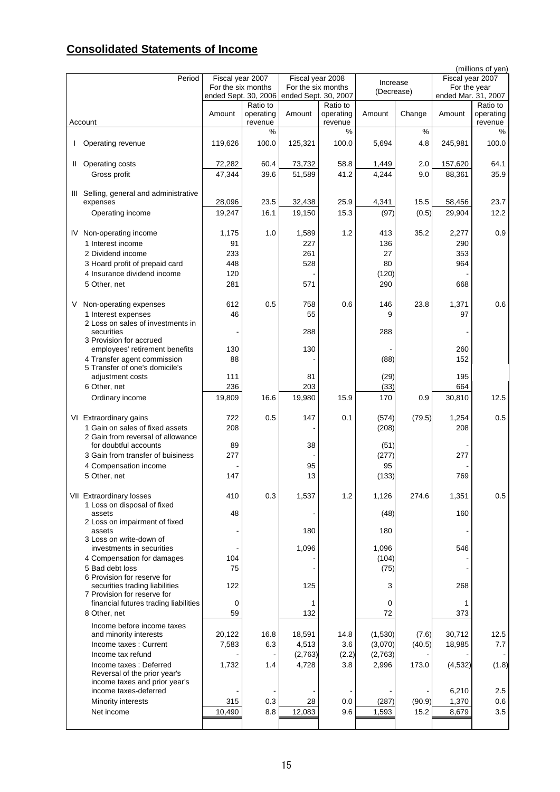# **Consolidated Statements of Income**

|   |                                         |                      |                       |                      |                       |            |               |                     | (millions of yen)     |
|---|-----------------------------------------|----------------------|-----------------------|----------------------|-----------------------|------------|---------------|---------------------|-----------------------|
|   | Period                                  | Fiscal year 2007     |                       | Fiscal year 2008     |                       | Increase   |               | Fiscal year 2007    |                       |
|   |                                         | For the six months   |                       | For the six months   |                       | (Decrease) |               | For the year        |                       |
|   |                                         | ended Sept. 30, 2006 |                       | ended Sept. 30, 2007 |                       |            |               | ended Mar. 31, 2007 |                       |
|   |                                         | Amount               | Ratio to<br>operating | Amount               | Ratio to<br>operating | Amount     | Change        | Amount              | Ratio to<br>operating |
|   | Account                                 |                      | revenue               |                      | revenue               |            |               |                     | revenue               |
|   |                                         |                      | %                     |                      | %                     |            | $\frac{9}{6}$ |                     | %                     |
|   |                                         |                      |                       |                      |                       |            |               |                     |                       |
| I | Operating revenue                       | 119,626              | 100.0                 | 125,321              | 100.0                 | 5,694      | 4.8           | 245,981             | 100.0                 |
|   |                                         |                      |                       |                      |                       |            |               |                     |                       |
| Ш | Operating costs                         | 72,282               | 60.4                  | 73,732               | 58.8                  | 1,449      | 2.0           | 157,620             | 64.1                  |
|   | Gross profit                            | 47,344               | 39.6                  | 51,589               | 41.2                  | 4,244      | 9.0           | 88,361              | 35.9                  |
|   |                                         |                      |                       |                      |                       |            |               |                     |                       |
|   | III Selling, general and administrative |                      |                       |                      |                       |            |               |                     |                       |
|   | expenses                                | 28,096               | 23.5                  | 32,438               | 25.9                  | 4,341      | 15.5          | 58,456              | 23.7                  |
|   | Operating income                        | 19,247               | 16.1                  | 19,150               | 15.3                  | (97)       | (0.5)         | 29,904              | 12.2                  |
|   |                                         |                      |                       |                      |                       |            |               |                     |                       |
|   | IV Non-operating income                 | 1,175                | 1.0                   | 1,589                | 1.2                   | 413        | 35.2          | 2,277               | 0.9                   |
|   | 1 Interest income                       | 91                   |                       | 227                  |                       | 136        |               | 290                 |                       |
|   | 2 Dividend income                       | 233                  |                       | 261                  |                       | 27         |               | 353                 |                       |
|   | 3 Hoard profit of prepaid card          | 448                  |                       | 528                  |                       | 80         |               | 964                 |                       |
|   | 4 Insurance dividend income             | 120                  |                       |                      |                       | (120)      |               |                     |                       |
|   | 5 Other, net                            | 281                  |                       | 571                  |                       | 290        |               | 668                 |                       |
|   |                                         |                      |                       |                      |                       |            |               |                     |                       |
| V | Non-operating expenses                  | 612                  | 0.5                   | 758                  | 0.6                   | 146        | 23.8          | 1,371               | 0.6                   |
|   | 1 Interest expenses                     | 46                   |                       | 55                   |                       | 9          |               | 97                  |                       |
|   | 2 Loss on sales of investments in       |                      |                       |                      |                       |            |               |                     |                       |
|   | securities                              |                      |                       | 288                  |                       | 288        |               |                     |                       |
|   | 3 Provision for accrued                 |                      |                       |                      |                       |            |               |                     |                       |
|   | employees' retirement benefits          | 130                  |                       | 130                  |                       |            |               | 260                 |                       |
|   | 4 Transfer agent commission             | 88                   |                       |                      |                       | (88)       |               | 152                 |                       |
|   | 5 Transfer of one's domicile's          |                      |                       |                      |                       |            |               |                     |                       |
|   | adjustment costs                        | 111                  |                       | 81                   |                       | (29)       |               | 195                 |                       |
|   | 6 Other, net                            | 236                  |                       | 203                  |                       | (33)       |               | 664                 |                       |
|   | Ordinary income                         | 19,809               | 16.6                  | 19,980               | 15.9                  | 170        | 0.9           | 30,810              | 12.5                  |
|   |                                         |                      |                       |                      |                       |            |               |                     |                       |
|   | VI Extraordinary gains                  | 722                  | 0.5                   | 147                  | 0.1                   | (574)      | (79.5)        | 1,254               | 0.5                   |
|   | 1 Gain on sales of fixed assets         | 208                  |                       |                      |                       | (208)      |               | 208                 |                       |
|   | 2 Gain from reversal of allowance       |                      |                       |                      |                       |            |               |                     |                       |
|   | for doubtful accounts                   | 89                   |                       | 38                   |                       | (51)       |               |                     |                       |
|   | 3 Gain from transfer of buisiness       | 277                  |                       |                      |                       | (277)      |               | 277                 |                       |
|   | 4 Compensation income                   |                      |                       | 95                   |                       | 95         |               |                     |                       |
|   | 5 Other, net                            | 147                  |                       | 13                   |                       | (133)      |               | 769                 |                       |
|   |                                         |                      |                       |                      |                       |            |               |                     |                       |
|   | <b>VII Extraordinary losses</b>         | 410                  | 0.3                   | 1,537                | 1.2                   | 1,126      | 274.6         | 1,351               | 0.5                   |
|   | 1 Loss on disposal of fixed             |                      |                       |                      |                       |            |               |                     |                       |
|   | assets<br>2 Loss on impairment of fixed | 48                   |                       |                      |                       | (48)       |               | 160                 |                       |
|   | assets                                  |                      |                       | 180                  |                       | 180        |               |                     |                       |
|   | 3 Loss on write-down of                 |                      |                       |                      |                       |            |               |                     |                       |
|   | investments in securities               |                      |                       | 1,096                |                       | 1,096      |               | 546                 |                       |
|   | 4 Compensation for damages              | 104                  |                       |                      |                       | (104)      |               |                     |                       |
|   | 5 Bad debt loss                         | 75                   |                       |                      |                       | (75)       |               |                     |                       |
|   | 6 Provision for reserve for             |                      |                       |                      |                       |            |               |                     |                       |
|   | securities trading liabilities          | 122                  |                       | 125                  |                       | 3          |               | 268                 |                       |
|   | 7 Provision for reserve for             |                      |                       |                      |                       |            |               |                     |                       |
|   | financial futures trading liabilities   | 0                    |                       | 1                    |                       | 0          |               | 1                   |                       |
|   | 8 Other, net                            | 59                   |                       | 132                  |                       | 72         |               | 373                 |                       |
|   | Income before income taxes              |                      |                       |                      |                       |            |               |                     |                       |
|   | and minority interests                  | 20,122               | 16.8                  | 18,591               | 14.8                  | (1,530)    | (7.6)         | 30,712              | 12.5                  |
|   | Income taxes: Current                   | 7,583                | 6.3                   | 4,513                | 3.6                   | (3,070)    | (40.5)        | 18,985              | 7.7                   |
|   | Income tax refund                       |                      |                       | (2,763)              | (2.2)                 | (2,763)    |               |                     |                       |
|   | Income taxes: Deferred                  | 1,732                | 1.4                   | 4,728                | 3.8                   | 2,996      | 173.0         | (4, 532)            | (1.8)                 |
|   | Reversal of the prior year's            |                      |                       |                      |                       |            |               |                     |                       |
|   | income taxes and prior year's           |                      |                       |                      |                       |            |               |                     |                       |
|   | income taxes-deferred                   |                      |                       |                      |                       |            |               | 6,210               | 2.5                   |
|   | Minority interests                      | 315                  | 0.3                   | 28                   | 0.0                   | (287)      | (90.9)        | 1,370               | 0.6                   |
|   | Net income                              | 10,490               | 8.8                   | 12,083               | 9.6                   | 1,593      | 15.2          | 8,679               | 3.5                   |
|   |                                         |                      |                       |                      |                       |            |               |                     |                       |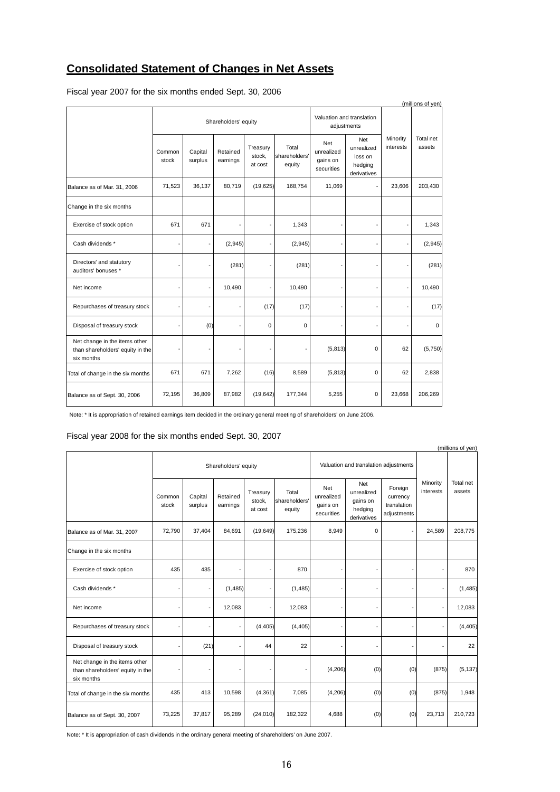# **Consolidated Statement of Changes in Net Assets**

| (millions of yen)                                                               |                 |                    |                      |                               |                                  |                                             |                                                               |                       |                     |
|---------------------------------------------------------------------------------|-----------------|--------------------|----------------------|-------------------------------|----------------------------------|---------------------------------------------|---------------------------------------------------------------|-----------------------|---------------------|
|                                                                                 |                 |                    | Shareholders' equity |                               |                                  |                                             | Valuation and translation<br>adjustments                      |                       |                     |
|                                                                                 | Common<br>stock | Capital<br>surplus | Retained<br>earnings | Treasury<br>stock,<br>at cost | Total<br>shareholders'<br>equity | Net<br>unrealized<br>gains on<br>securities | <b>Net</b><br>unrealized<br>loss on<br>hedging<br>derivatives | Minority<br>interests | Total net<br>assets |
| Balance as of Mar. 31, 2006                                                     | 71,523          | 36,137             | 80,719               | (19, 625)                     | 168,754                          | 11,069                                      |                                                               | 23,606                | 203,430             |
| Change in the six months                                                        |                 |                    |                      |                               |                                  |                                             |                                                               |                       |                     |
| Exercise of stock option                                                        | 671             | 671                |                      |                               | 1,343                            |                                             |                                                               |                       | 1,343               |
| Cash dividends *                                                                |                 | ÷,                 | (2,945)              |                               | (2,945)                          |                                             |                                                               |                       | (2,945)             |
| Directors' and statutory<br>auditors' bonuses *                                 |                 |                    | (281)                |                               | (281)                            |                                             |                                                               |                       | (281)               |
| Net income                                                                      |                 | $\blacksquare$     | 10,490               |                               | 10,490                           |                                             |                                                               |                       | 10,490              |
| Repurchases of treasury stock                                                   |                 |                    |                      | (17)                          | (17)                             |                                             |                                                               |                       | (17)                |
| Disposal of treasury stock                                                      |                 | (0)                |                      | $\mathbf 0$                   | $\mathbf 0$                      |                                             |                                                               |                       | $\mathbf 0$         |
| Net change in the items other<br>than shareholders' equity in the<br>six months |                 |                    |                      |                               |                                  | (5, 813)                                    | $\Omega$                                                      | 62                    | (5,750)             |
| Total of change in the six months                                               | 671             | 671                | 7,262                | (16)                          | 8,589                            | (5, 813)                                    | $\mathbf 0$                                                   | 62                    | 2,838               |
| Balance as of Sept. 30, 2006                                                    | 72,195          | 36,809             | 87,982               | (19, 642)                     | 177,344                          | 5,255                                       | 0                                                             | 23,668                | 206,269             |

Fiscal year 2007 for the six months ended Sept. 30, 2006

Note: \* It is appropriation of retained earnings item decided in the ordinary general meeting of shareholders' on June 2006.

# Fiscal year 2008 for the six months ended Sept. 30, 2007

| (millions of yen)                                                               |                 |                    |                      |                               |                                  |                                             |                                                         |                                                   |                       |                     |
|---------------------------------------------------------------------------------|-----------------|--------------------|----------------------|-------------------------------|----------------------------------|---------------------------------------------|---------------------------------------------------------|---------------------------------------------------|-----------------------|---------------------|
|                                                                                 |                 |                    | Shareholders' equity |                               |                                  |                                             | Valuation and translation adjustments                   |                                                   |                       |                     |
|                                                                                 | Common<br>stock | Capital<br>surplus | Retained<br>earnings | Treasury<br>stock,<br>at cost | Total<br>shareholders'<br>equity | Net<br>unrealized<br>gains on<br>securities | Net<br>unrealized<br>gains on<br>hedging<br>derivatives | Foreign<br>currency<br>translation<br>adjustments | Minority<br>interests | Total net<br>assets |
| Balance as of Mar. 31, 2007                                                     | 72,790          | 37,404             | 84,691               | (19, 649)                     | 175,236                          | 8,949                                       | 0                                                       |                                                   | 24,589                | 208,775             |
| Change in the six months                                                        |                 |                    |                      |                               |                                  |                                             |                                                         |                                                   |                       |                     |
| Exercise of stock option                                                        | 435             | 435                |                      |                               | 870                              |                                             |                                                         |                                                   |                       | 870                 |
| Cash dividends *                                                                |                 |                    | (1, 485)             |                               | (1, 485)                         |                                             |                                                         |                                                   | ÷                     | (1, 485)            |
| Net income                                                                      |                 |                    | 12,083               |                               | 12,083                           |                                             |                                                         |                                                   | ÷,                    | 12,083              |
| Repurchases of treasury stock                                                   |                 |                    |                      | (4, 405)                      | (4, 405)                         |                                             | ٠                                                       |                                                   | ٠                     | (4, 405)            |
| Disposal of treasury stock                                                      |                 | (21)               |                      | 44                            | 22                               |                                             | ٠                                                       |                                                   | ä,                    | 22                  |
| Net change in the items other<br>than shareholders' equity in the<br>six months |                 |                    |                      |                               |                                  | (4, 206)                                    | (0)                                                     | (0)                                               | (875)                 | (5, 137)            |
| Total of change in the six months                                               | 435             | 413                | 10,598               | (4, 361)                      | 7,085                            | (4,206)                                     | (0)                                                     | (0)                                               | (875)                 | 1,948               |
| Balance as of Sept. 30, 2007                                                    | 73,225          | 37,817             | 95,289               | (24, 010)                     | 182,322                          | 4,688                                       | (0)                                                     | (0)                                               | 23,713                | 210,723             |

Note: \* It is appropriation of cash dividends in the ordinary general meeting of shareholders' on June 2007.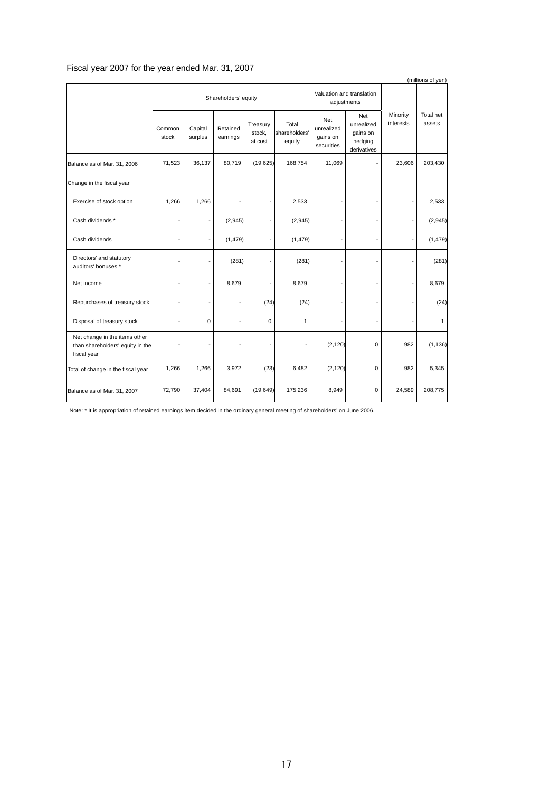# Fiscal year 2007 for the year ended Mar. 31, 2007

|                                                                                  |                 |                          |                      |                               |                                  |                                             |                                                         |                       | (millions of yen)   |
|----------------------------------------------------------------------------------|-----------------|--------------------------|----------------------|-------------------------------|----------------------------------|---------------------------------------------|---------------------------------------------------------|-----------------------|---------------------|
|                                                                                  |                 |                          | Shareholders' equity |                               |                                  | adjustments                                 | Valuation and translation                               |                       |                     |
|                                                                                  | Common<br>stock | Capital<br>surplus       | Retained<br>earnings | Treasury<br>stock,<br>at cost | Total<br>shareholders'<br>equity | Net<br>unrealized<br>gains on<br>securities | Net<br>unrealized<br>gains on<br>hedging<br>derivatives | Minority<br>interests | Total net<br>assets |
| Balance as of Mar. 31, 2006                                                      | 71,523          | 36,137                   | 80,719               | (19, 625)                     | 168,754                          | 11,069                                      |                                                         | 23,606                | 203,430             |
| Change in the fiscal year                                                        |                 |                          |                      |                               |                                  |                                             |                                                         |                       |                     |
| Exercise of stock option                                                         | 1,266           | 1,266                    |                      |                               | 2,533                            |                                             |                                                         |                       | 2,533               |
| Cash dividends *                                                                 |                 | ÷                        | (2,945)              |                               | (2, 945)                         |                                             |                                                         |                       | (2,945)             |
| Cash dividends                                                                   | ٠               | $\overline{\phantom{0}}$ | (1, 479)             |                               | (1, 479)                         |                                             |                                                         |                       | (1, 479)            |
| Directors' and statutory<br>auditors' bonuses *                                  |                 |                          | (281)                |                               | (281)                            |                                             |                                                         |                       | (281)               |
| Net income                                                                       | ٠               | $\overline{\phantom{0}}$ | 8,679                |                               | 8,679                            |                                             |                                                         |                       | 8,679               |
| Repurchases of treasury stock                                                    |                 |                          |                      | (24)                          | (24)                             |                                             |                                                         |                       | (24)                |
| Disposal of treasury stock                                                       | ٠               | 0                        |                      | $\mathbf 0$                   | 1                                |                                             |                                                         |                       | $\mathbf{1}$        |
| Net change in the items other<br>than shareholders' equity in the<br>fiscal year |                 |                          |                      | ٠                             |                                  | (2, 120)                                    | $\mathbf 0$                                             | 982                   | (1, 136)            |
| Total of change in the fiscal year                                               | 1,266           | 1,266                    | 3,972                | (23)                          | 6,482                            | (2, 120)                                    | $\Omega$                                                | 982                   | 5,345               |
| Balance as of Mar. 31, 2007                                                      | 72,790          | 37,404                   | 84,691               | (19, 649)                     | 175,236                          | 8,949                                       | $\mathbf 0$                                             | 24,589                | 208,775             |

Note: \* It is appropriation of retained earnings item decided in the ordinary general meeting of shareholders' on June 2006.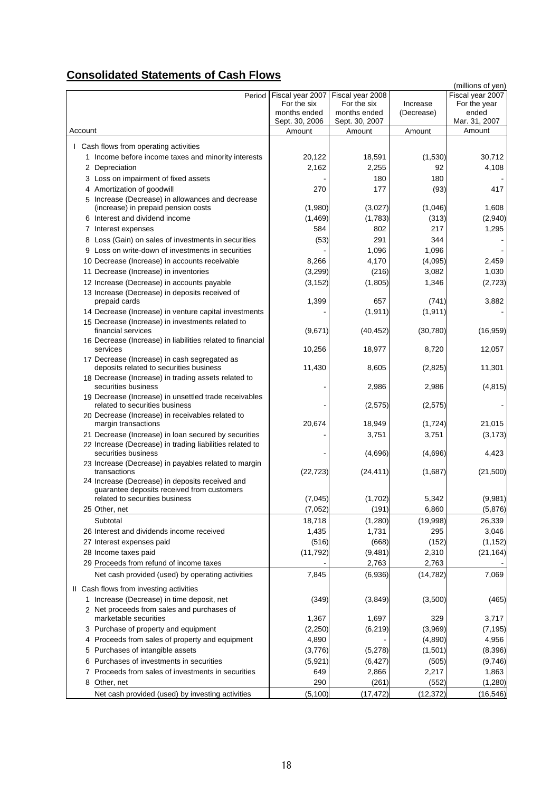# **Consolidated Statements of Cash Flows**

|                                                                            |                  |                  |            | (millions of yen)       |
|----------------------------------------------------------------------------|------------------|------------------|------------|-------------------------|
| Period                                                                     | Fiscal year 2007 | Fiscal year 2008 |            | Fiscal year 2007        |
|                                                                            | For the six      | For the six      | Increase   | For the year            |
|                                                                            | months ended     | months ended     | (Decrease) | ended                   |
| Account                                                                    | Sept. 30, 2006   | Sept. 30, 2007   |            | Mar. 31, 2007<br>Amount |
|                                                                            | Amount           | Amount           | Amount     |                         |
| I Cash flows from operating activities                                     |                  |                  |            |                         |
| 1 Income before income taxes and minority interests                        | 20,122           | 18,591           | (1,530)    | 30,712                  |
| 2 Depreciation                                                             | 2,162            | 2,255            | 92         | 4,108                   |
| 3 Loss on impairment of fixed assets                                       |                  | 180              | 180        |                         |
| 4 Amortization of goodwill                                                 | 270              | 177              | (93)       | 417                     |
| 5 Increase (Decrease) in allowances and decrease                           |                  |                  |            |                         |
| (increase) in prepaid pension costs                                        | (1,980)          | (3,027)          | (1,046)    | 1,608                   |
| 6 Interest and dividend income                                             | (1, 469)         | (1,783)          | (313)      | (2,940)                 |
| 7 Interest expenses                                                        | 584              | 802              | 217        | 1,295                   |
| 8 Loss (Gain) on sales of investments in securities                        | (53)             | 291              | 344        |                         |
| 9 Loss on write-down of investments in securities                          |                  | 1,096            | 1,096      |                         |
| 10 Decrease (Increase) in accounts receivable                              | 8,266            | 4,170            | (4,095)    | 2,459                   |
| 11 Decrease (Increase) in inventories                                      | (3, 299)         | (216)            | 3,082      | 1,030                   |
| 12 Increase (Decrease) in accounts payable                                 | (3, 152)         | (1,805)          | 1,346      | (2,723)                 |
| 13 Increase (Decrease) in deposits received of                             |                  |                  |            |                         |
| prepaid cards                                                              | 1,399            | 657              | (741)      | 3,882                   |
| 14 Decrease (Increase) in venture capital investments                      |                  | (1, 911)         | (1, 911)   |                         |
| 15 Decrease (Increase) in investments related to                           |                  |                  |            |                         |
| financial services                                                         | (9,671)          | (40, 452)        | (30, 780)  | (16, 959)               |
| 16 Decrease (Increase) in liabilities related to financial                 |                  |                  |            |                         |
| services                                                                   | 10,256           | 18,977           | 8,720      | 12,057                  |
| 17 Decrease (Increase) in cash segregated as                               |                  |                  | (2,825)    |                         |
| deposits related to securities business                                    | 11,430           | 8,605            |            | 11,301                  |
| 18 Decrease (Increase) in trading assets related to<br>securities business |                  | 2,986            | 2,986      | (4, 815)                |
| 19 Decrease (Increase) in unsettled trade receivables                      |                  |                  |            |                         |
| related to securities business                                             |                  | (2,575)          | (2, 575)   |                         |
| 20 Decrease (Increase) in receivables related to                           |                  |                  |            |                         |
| margin transactions                                                        | 20,674           | 18,949           | (1, 724)   | 21,015                  |
| 21 Decrease (Increase) in loan secured by securities                       |                  | 3,751            | 3,751      | (3, 173)                |
| 22 Increase (Decrease) in trading liabilities related to                   |                  |                  |            |                         |
| securities business                                                        |                  | (4,696)          | (4,696)    | 4,423                   |
| 23 Increase (Decrease) in payables related to margin<br>transactions       |                  |                  |            | (21,500)                |
| 24 Increase (Decrease) in deposits received and                            | (22, 723)        | (24, 411)        | (1,687)    |                         |
| guarantee deposits received from customers                                 |                  |                  |            |                         |
| related to securities business                                             | (7,045)          | (1,702)          | 5,342      | (9,981)                 |
| 25 Other, net                                                              | (7,052)          | (191)            | 6,860      | (5,876)                 |
| Subtotal                                                                   | 18,718           | (1,280)          | (19,998)   | 26,339                  |
| 26 Interest and dividends income received                                  | 1,435            | 1,731            | 295        | 3,046                   |
| 27 Interest expenses paid                                                  | (516)            | (668)            | (152)      | (1, 152)                |
| 28 Income taxes paid                                                       | (11, 792)        | (9,481)          | 2,310      | (21, 164)               |
| 29 Proceeds from refund of income taxes                                    |                  | 2,763            | 2,763      |                         |
| Net cash provided (used) by operating activities                           | 7,845            | (6,936)          | (14, 782)  | 7,069                   |
|                                                                            |                  |                  |            |                         |
| II Cash flows from investing activities                                    |                  |                  |            |                         |
| 1 Increase (Decrease) in time deposit, net                                 | (349)            | (3,849)          | (3,500)    | (465)                   |
| 2 Net proceeds from sales and purchases of                                 |                  |                  |            |                         |
| marketable securities                                                      | 1,367            | 1,697            | 329        | 3,717                   |
| 3 Purchase of property and equipment                                       | (2,250)          | (6, 219)         | (3,969)    | (7, 195)                |
| Proceeds from sales of property and equipment<br>4                         | 4,890            |                  | (4,890)    | 4,956                   |
| 5 Purchases of intangible assets                                           | (3,776)          | (5,278)          | (1,501)    | (8,396)                 |
| Purchases of investments in securities<br>6                                | (5,921)          | (6, 427)         | (505)      | (9,746)                 |
| 7 Proceeds from sales of investments in securities                         | 649              | 2,866            | 2,217      | 1,863                   |
| Other, net<br>8                                                            | 290              | (261)            | (552)      | (1,280)                 |
| Net cash provided (used) by investing activities                           | (5, 100)         | (17, 472)        | (12, 372)  | (16, 546)               |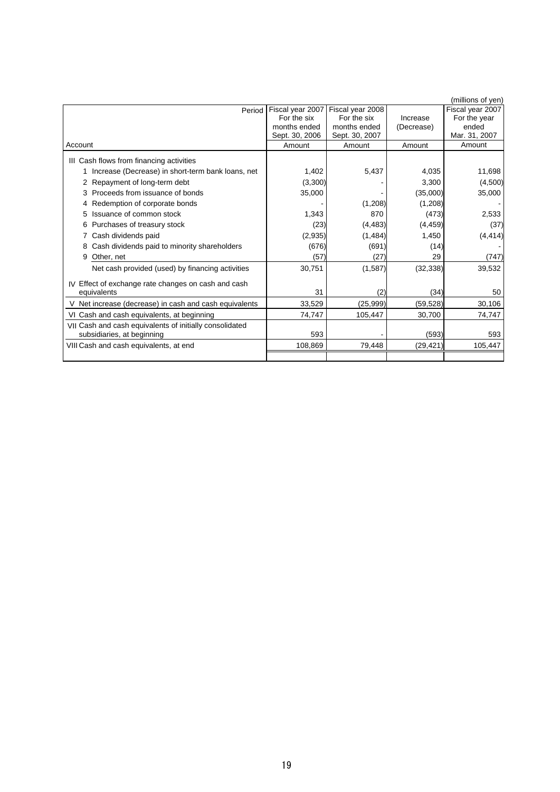|                                                         |                  |                  |            | (millions of yen) |
|---------------------------------------------------------|------------------|------------------|------------|-------------------|
| Period                                                  | Fiscal year 2007 | Fiscal year 2008 |            | Fiscal year 2007  |
|                                                         | For the six      | For the six      | Increase   | For the year      |
|                                                         | months ended     | months ended     | (Decrease) | ended             |
|                                                         | Sept. 30, 2006   | Sept. 30, 2007   |            | Mar. 31, 2007     |
| Account                                                 | Amount           | Amount           | Amount     | Amount            |
| III Cash flows from financing activities                |                  |                  |            |                   |
| Increase (Decrease) in short-term bank loans, net       | 1.402            | 5,437            | 4.035      | 11,698            |
| 2 Repayment of long-term debt                           | (3,300)          |                  | 3.300      | (4,500)           |
| Proceeds from issuance of bonds                         | 35,000           |                  | (35,000)   | 35,000            |
| Redemption of corporate bonds<br>4                      |                  | (1,208)          | (1,208)    |                   |
| Issuance of common stock<br>5                           | 1.343            | 870              | (473)      | 2,533             |
| Purchases of treasury stock<br>6                        | (23)             | (4, 483)         | (4, 459)   | (37)              |
| Cash dividends paid                                     | (2,935)          | (1,484)          | 1,450      | (4, 414)          |
| Cash dividends paid to minority shareholders<br>8       | (676)            | (691)            | (14)       |                   |
| Other, net<br>9                                         | (57)             | (27)             | 29         | (747)             |
| Net cash provided (used) by financing activities        | 30,751           | (1,587)          | (32, 338)  | 39,532            |
| Effect of exchange rate changes on cash and cash<br>IV  |                  |                  |            |                   |
| equivalents                                             | 31               | (2)              | (34)       | 50                |
| V Net increase (decrease) in cash and cash equivalents  | 33,529           | (25,999)         | (59, 528)  | 30,106            |
| VI Cash and cash equivalents, at beginning              | 74,747           | 105,447          | 30,700     | 74,747            |
| VII Cash and cash equivalents of initially consolidated |                  |                  |            |                   |
| subsidiaries, at beginning                              | 593              |                  | (593)      | 593               |
| VIII Cash and cash equivalents, at end                  | 108,869          | 79,448           | (29, 421)  | 105,447           |
|                                                         |                  |                  |            |                   |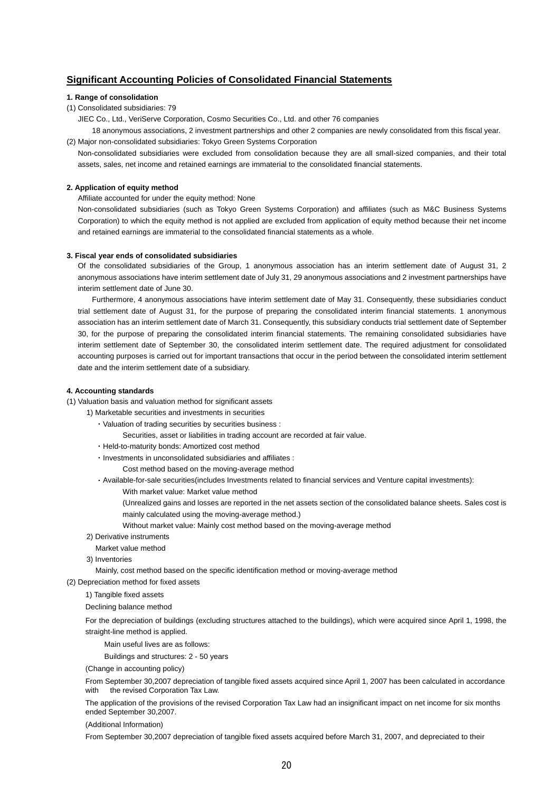# **Significant Accounting Policies of Consolidated Financial Statements**

## **1. Range of consolidation**

(1) Consolidated subsidiaries: 79

JIEC Co., Ltd., VeriServe Corporation, Cosmo Securities Co., Ltd. and other 76 companies

18 anonymous associations, 2 investment partnerships and other 2 companies are newly consolidated from this fiscal year.

(2) Major non-consolidated subsidiaries: Tokyo Green Systems Corporation Non-consolidated subsidiaries were excluded from consolidation because they are all small-sized companies, and their total assets, sales, net income and retained earnings are immaterial to the consolidated financial statements.

## **2. Application of equity method**

Affiliate accounted for under the equity method: None

Non-consolidated subsidiaries (such as Tokyo Green Systems Corporation) and affiliates (such as M&C Business Systems Corporation) to which the equity method is not applied are excluded from application of equity method because their net income and retained earnings are immaterial to the consolidated financial statements as a whole.

#### **3. Fiscal year ends of consolidated subsidiaries**

Of the consolidated subsidiaries of the Group, 1 anonymous association has an interim settlement date of August 31, 2 anonymous associations have interim settlement date of July 31, 29 anonymous associations and 2 investment partnerships have interim settlement date of June 30.

Furthermore, 4 anonymous associations have interim settlement date of May 31. Consequently, these subsidiaries conduct trial settlement date of August 31, for the purpose of preparing the consolidated interim financial statements. 1 anonymous association has an interim settlement date of March 31. Consequently, this subsidiary conducts trial settlement date of September 30, for the purpose of preparing the consolidated interim financial statements. The remaining consolidated subsidiaries have interim settlement date of September 30, the consolidated interim settlement date. The required adjustment for consolidated accounting purposes is carried out for important transactions that occur in the period between the consolidated interim settlement date and the interim settlement date of a subsidiary.

### **4. Accounting standards**

(1) Valuation basis and valuation method for significant assets

1) Marketable securities and investments in securities

・Valuation of trading securities by securities business :

Securities, asset or liabilities in trading account are recorded at fair value.

- ・Held-to-maturity bonds: Amortized cost method
- ・Investments in unconsolidated subsidiaries and affiliates :

Cost method based on the moving-average method

・Available-for-sale securities(includes Investments related to financial services and Venture capital investments):

With market value: Market value method

(Unrealized gains and losses are reported in the net assets section of the consolidated balance sheets. Sales cost is mainly calculated using the moving-average method.)

Without market value: Mainly cost method based on the moving-average method

2) Derivative instruments

Market value method

3) Inventories

Mainly, cost method based on the specific identification method or moving-average method

(2) Depreciation method for fixed assets

1) Tangible fixed assets

Declining balance method

For the depreciation of buildings (excluding structures attached to the buildings), which were acquired since April 1, 1998, the straight-line method is applied.

Main useful lives are as follows:

Buildings and structures: 2 - 50 years

(Change in accounting policy)

From September 30,2007 depreciation of tangible fixed assets acquired since April 1, 2007 has been calculated in accordance with the revised Corporation Tax Law.

The application of the provisions of the revised Corporation Tax Law had an insignificant impact on net income for six months ended September 30,2007.

(Additional Information)

From September 30,2007 depreciation of tangible fixed assets acquired before March 31, 2007, and depreciated to their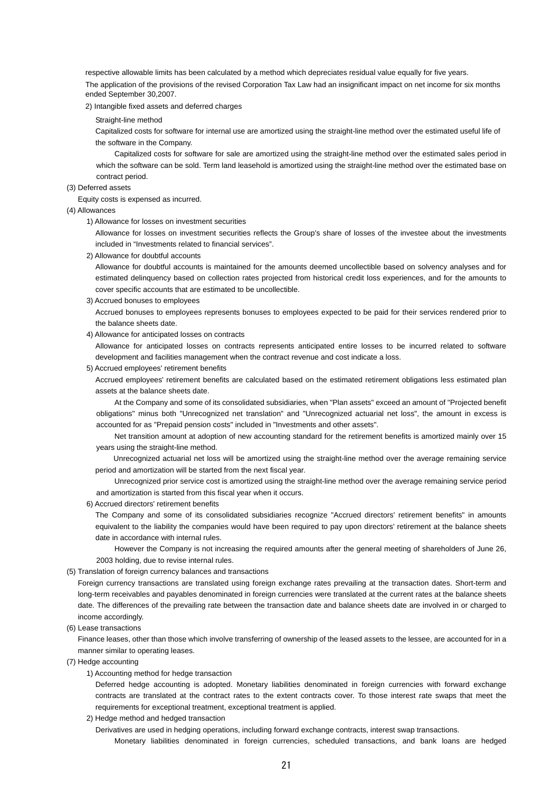respective allowable limits has been calculated by a method which depreciates residual value equally for five years. The application of the provisions of the revised Corporation Tax Law had an insignificant impact on net income for six months ended September 30,2007.

### 2) Intangible fixed assets and deferred charges

#### Straight-line method

Capitalized costs for software for internal use are amortized using the straight-line method over the estimated useful life of the software in the Company.

Capitalized costs for software for sale are amortized using the straight-line method over the estimated sales period in which the software can be sold. Term land leasehold is amortized using the straight-line method over the estimated base on contract period.

#### (3) Deferred assets

Equity costs is expensed as incurred.

#### (4) Allowances

1) Allowance for losses on investment securities

Allowance for losses on investment securities reflects the Group's share of losses of the investee about the investments included in "Investments related to financial services".

2) Allowance for doubtful accounts

Allowance for doubtful accounts is maintained for the amounts deemed uncollectible based on solvency analyses and for estimated delinquency based on collection rates projected from historical credit loss experiences, and for the amounts to cover specific accounts that are estimated to be uncollectible.

3) Accrued bonuses to employees

Accrued bonuses to employees represents bonuses to employees expected to be paid for their services rendered prior to the balance sheets date.

4) Allowance for anticipated losses on contracts

Allowance for anticipated losses on contracts represents anticipated entire losses to be incurred related to software development and facilities management when the contract revenue and cost indicate a loss.

5) Accrued employees' retirement benefits

Accrued employees' retirement benefits are calculated based on the estimated retirement obligations less estimated plan assets at the balance sheets date.

At the Company and some of its consolidated subsidiaries, when "Plan assets" exceed an amount of "Projected benefit obligations" minus both "Unrecognized net translation" and "Unrecognized actuarial net loss", the amount in excess is accounted for as "Prepaid pension costs" included in "Investments and other assets".

Net transition amount at adoption of new accounting standard for the retirement benefits is amortized mainly over 15 years using the straight-line method.

Unrecognized actuarial net loss will be amortized using the straight-line method over the average remaining service period and amortization will be started from the next fiscal year.

Unrecognized prior service cost is amortized using the straight-line method over the average remaining service period and amortization is started from this fiscal year when it occurs.

6) Accrued directors' retirement benefits

The Company and some of its consolidated subsidiaries recognize "Accrued directors' retirement benefits" in amounts equivalent to the liability the companies would have been required to pay upon directors' retirement at the balance sheets date in accordance with internal rules.

However the Company is not increasing the required amounts after the general meeting of shareholders of June 26, 2003 holding, due to revise internal rules.

(5) Translation of foreign currency balances and transactions

Foreign currency transactions are translated using foreign exchange rates prevailing at the transaction dates. Short-term and long-term receivables and payables denominated in foreign currencies were translated at the current rates at the balance sheets date. The differences of the prevailing rate between the transaction date and balance sheets date are involved in or charged to income accordingly.

(6) Lease transactions

Finance leases, other than those which involve transferring of ownership of the leased assets to the lessee, are accounted for in a manner similar to operating leases.

- (7) Hedge accounting
	- 1) Accounting method for hedge transaction

Deferred hedge accounting is adopted. Monetary liabilities denominated in foreign currencies with forward exchange contracts are translated at the contract rates to the extent contracts cover. To those interest rate swaps that meet the requirements for exceptional treatment, exceptional treatment is applied.

2) Hedge method and hedged transaction

Derivatives are used in hedging operations, including forward exchange contracts, interest swap transactions. Monetary liabilities denominated in foreign currencies, scheduled transactions, and bank loans are hedged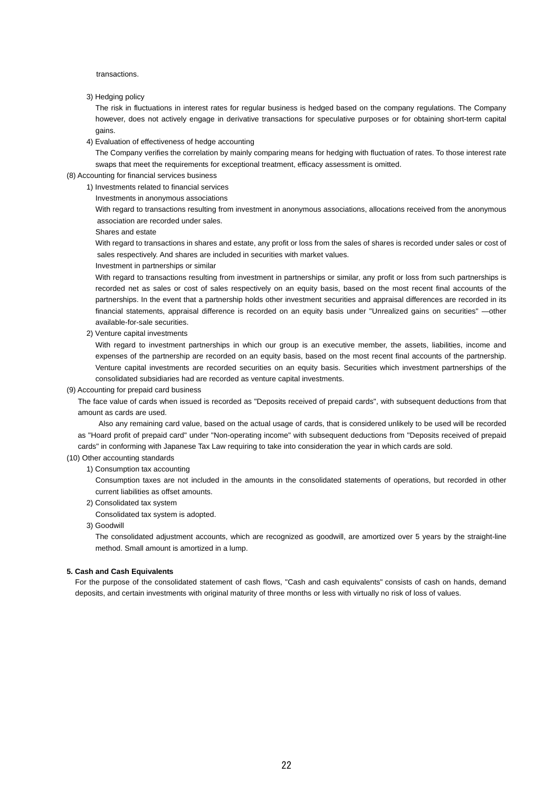transactions.

#### 3) Hedging policy

The risk in fluctuations in interest rates for regular business is hedged based on the company regulations. The Company however, does not actively engage in derivative transactions for speculative purposes or for obtaining short-term capital gains.

4) Evaluation of effectiveness of hedge accounting

The Company verifies the correlation by mainly comparing means for hedging with fluctuation of rates. To those interest rate swaps that meet the requirements for exceptional treatment, efficacy assessment is omitted.

# (8) Accounting for financial services business

- 1) Investments related to financial services
	- Investments in anonymous associations

With regard to transactions resulting from investment in anonymous associations, allocations received from the anonymous association are recorded under sales.

#### Shares and estate

With regard to transactions in shares and estate, any profit or loss from the sales of shares is recorded under sales or cost of sales respectively. And shares are included in securities with market values.

Investment in partnerships or similar

With regard to transactions resulting from investment in partnerships or similar, any profit or loss from such partnerships is recorded net as sales or cost of sales respectively on an equity basis, based on the most recent final accounts of the partnerships. In the event that a partnership holds other investment securities and appraisal differences are recorded in its financial statements, appraisal difference is recorded on an equity basis under "Unrealized gains on securities" —other available-for-sale securities.

2) Venture capital investments

With regard to investment partnerships in which our group is an executive member, the assets, liabilities, income and expenses of the partnership are recorded on an equity basis, based on the most recent final accounts of the partnership. Venture capital investments are recorded securities on an equity basis. Securities which investment partnerships of the consolidated subsidiaries had are recorded as venture capital investments.

#### (9) Accounting for prepaid card business

The face value of cards when issued is recorded as "Deposits received of prepaid cards", with subsequent deductions from that amount as cards are used.

Also any remaining card value, based on the actual usage of cards, that is considered unlikely to be used will be recorded as "Hoard profit of prepaid card" under "Non-operating income" with subsequent deductions from "Deposits received of prepaid cards" in conforming with Japanese Tax Law requiring to take into consideration the year in which cards are sold.

### (10) Other accounting standards

1) Consumption tax accounting

Consumption taxes are not included in the amounts in the consolidated statements of operations, but recorded in other current liabilities as offset amounts.

- 2) Consolidated tax system
- Consolidated tax system is adopted.

### 3) Goodwill

The consolidated adjustment accounts, which are recognized as goodwill, are amortized over 5 years by the straight-line method. Small amount is amortized in a lump.

## **5. Cash and Cash Equivalents**

For the purpose of the consolidated statement of cash flows, "Cash and cash equivalents" consists of cash on hands, demand deposits, and certain investments with original maturity of three months or less with virtually no risk of loss of values.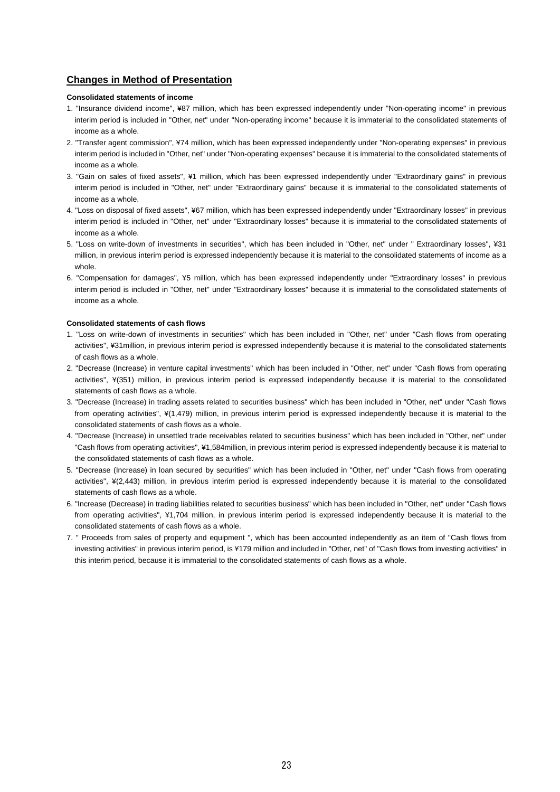# **Changes in Method of Presentation**

### **Consolidated statements of income**

- 1. "Insurance dividend income", ¥87 million, which has been expressed independently under "Non-operating income" in previous interim period is included in "Other, net" under "Non-operating income" because it is immaterial to the consolidated statements of income as a whole.
- 2. "Transfer agent commission", ¥74 million, which has been expressed independently under "Non-operating expenses" in previous interim period is included in "Other, net" under "Non-operating expenses" because it is immaterial to the consolidated statements of income as a whole.
- 3. "Gain on sales of fixed assets", ¥1 million, which has been expressed independently under "Extraordinary gains" in previous interim period is included in "Other, net" under "Extraordinary gains" because it is immaterial to the consolidated statements of income as a whole.
- 4. "Loss on disposal of fixed assets", ¥67 million, which has been expressed independently under "Extraordinary losses" in previous interim period is included in "Other, net" under "Extraordinary losses" because it is immaterial to the consolidated statements of income as a whole.
- 5. "Loss on write-down of investments in securities", which has been included in "Other, net" under " Extraordinary losses", ¥31 million, in previous interim period is expressed independently because it is material to the consolidated statements of income as a whole.
- 6. "Compensation for damages", ¥5 million, which has been expressed independently under "Extraordinary losses" in previous interim period is included in "Other, net" under "Extraordinary losses" because it is immaterial to the consolidated statements of income as a whole.

## **Consolidated statements of cash flows**

- 1. "Loss on write-down of investments in securities" which has been included in "Other, net" under "Cash flows from operating activities", ¥31million, in previous interim period is expressed independently because it is material to the consolidated statements of cash flows as a whole.
- 2. "Decrease (Increase) in venture capital investments" which has been included in "Other, net" under "Cash flows from operating activities", ¥(351) million, in previous interim period is expressed independently because it is material to the consolidated statements of cash flows as a whole.
- 3. "Decrease (Increase) in trading assets related to securities business" which has been included in "Other, net" under "Cash flows from operating activities", ¥(1,479) million, in previous interim period is expressed independently because it is material to the consolidated statements of cash flows as a whole.
- 4. "Decrease (Increase) in unsettled trade receivables related to securities business" which has been included in "Other, net" under "Cash flows from operating activities", ¥1,584million, in previous interim period is expressed independently because it is material to the consolidated statements of cash flows as a whole.
- 5. "Decrease (Increase) in loan secured by securities" which has been included in "Other, net" under "Cash flows from operating activities", ¥(2,443) million, in previous interim period is expressed independently because it is material to the consolidated statements of cash flows as a whole.
- 6. "Increase (Decrease) in trading liabilities related to securities business" which has been included in "Other, net" under "Cash flows from operating activities", ¥1,704 million, in previous interim period is expressed independently because it is material to the consolidated statements of cash flows as a whole.
- 7. " Proceeds from sales of property and equipment ", which has been accounted independently as an item of "Cash flows from investing activities" in previous interim period, is ¥179 million and included in "Other, net" of "Cash flows from investing activities" in this interim period, because it is immaterial to the consolidated statements of cash flows as a whole.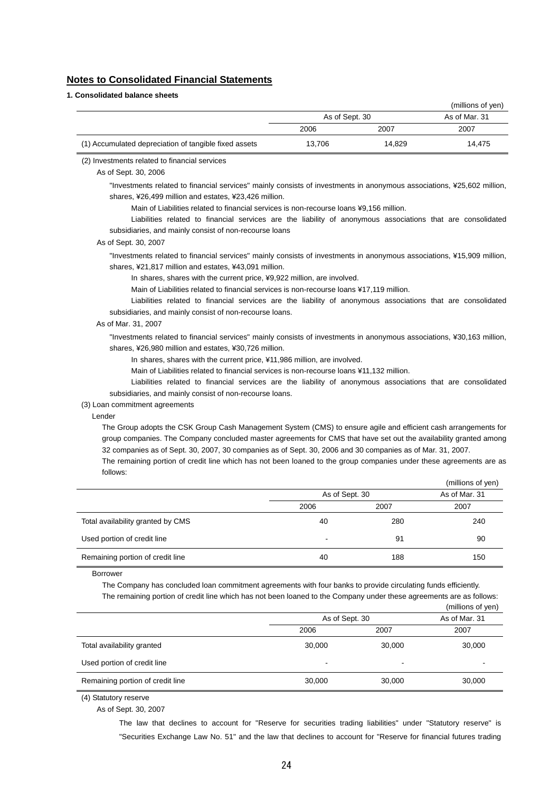# **Notes to Consolidated Financial Statements**

| 1. Consolidated balance sheets                        |                |        |                   |
|-------------------------------------------------------|----------------|--------|-------------------|
|                                                       |                |        | (millions of yen) |
|                                                       | As of Sept. 30 |        | As of Mar. 31     |
|                                                       | 2006           | 2007   | 2007              |
| (1) Accumulated depreciation of tangible fixed assets | 13.706         | 14.829 | 14.475            |
|                                                       |                |        |                   |

# (2) Investments related to financial services

As of Sept. 30, 2006

"Investments related to financial services" mainly consists of investments in anonymous associations, ¥25,602 million, shares, ¥26,499 million and estates, ¥23,426 million.

Main of Liabilities related to financial services is non-recourse loans ¥9,156 million.

Liabilities related to financial services are the liability of anonymous associations that are consolidated subsidiaries, and mainly consist of non-recourse loans

#### As of Sept. 30, 2007

"Investments related to financial services" mainly consists of investments in anonymous associations, ¥15,909 million, shares, ¥21,817 million and estates, ¥43,091 million.

In shares, shares with the current price, ¥9,922 million, are involved.

Main of Liabilities related to financial services is non-recourse loans ¥17,119 million.

Liabilities related to financial services are the liability of anonymous associations that are consolidated subsidiaries, and mainly consist of non-recourse loans.

#### As of Mar. 31, 2007

"Investments related to financial services" mainly consists of investments in anonymous associations, ¥30,163 million, shares, ¥26,980 million and estates, ¥30,726 million.

In shares, shares with the current price, ¥11,986 million, are involved.

Main of Liabilities related to financial services is non-recourse loans ¥11,132 million.

Liabilities related to financial services are the liability of anonymous associations that are consolidated subsidiaries, and mainly consist of non-recourse loans.

(3) Loan commitment agreements

Lender

The Group adopts the CSK Group Cash Management System (CMS) to ensure agile and efficient cash arrangements for group companies. The Company concluded master agreements for CMS that have set out the availability granted among 32 companies as of Sept. 30, 2007, 30 companies as of Sept. 30, 2006 and 30 companies as of Mar. 31, 2007.

The remaining portion of credit line which has not been loaned to the group companies under these agreements are as follows:

|                                   |                          |      | (millions of yen) |  |  |
|-----------------------------------|--------------------------|------|-------------------|--|--|
|                                   | As of Sept. 30           |      | As of Mar. 31     |  |  |
|                                   | 2006                     | 2007 | 2007              |  |  |
| Total availability granted by CMS | 40                       | 280  | 240               |  |  |
| Used portion of credit line       | $\overline{\phantom{a}}$ | 91   | 90                |  |  |
| Remaining portion of credit line  | 40                       | 188  | 150               |  |  |

Borrower

The Company has concluded loan commitment agreements with four banks to provide circulating funds efficiently.

The remaining portion of credit line which has not been loaned to the Company under these agreements are as follows:

|                                  |                |                          | (millions of yen) |
|----------------------------------|----------------|--------------------------|-------------------|
|                                  | As of Sept. 30 |                          | As of Mar. 31     |
|                                  | 2006           | 2007                     | 2007              |
| Total availability granted       | 30,000         | 30,000                   | 30,000            |
| Used portion of credit line      | -              | $\overline{\phantom{0}}$ | -                 |
| Remaining portion of credit line | 30,000         | 30,000                   | 30,000            |

(4) Statutory reserve

As of Sept. 30, 2007

The law that declines to account for "Reserve for securities trading liabilities" under "Statutory reserve" is "Securities Exchange Law No. 51" and the law that declines to account for "Reserve for financial futures trading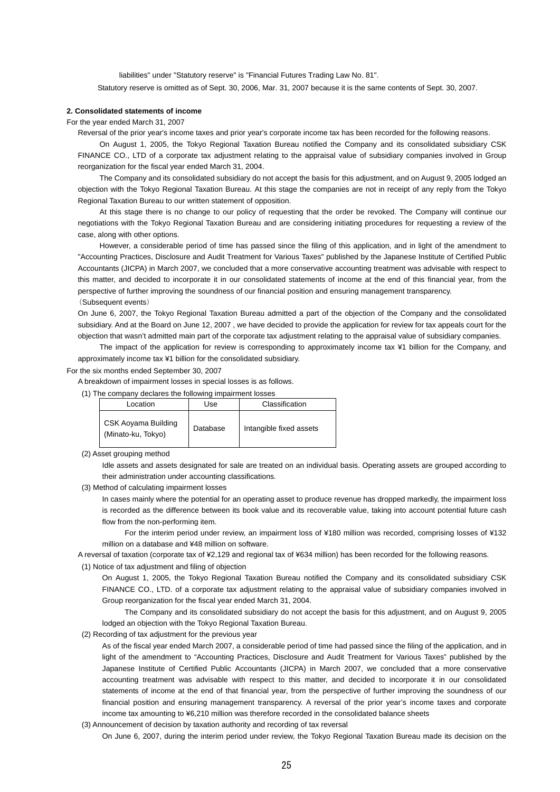liabilities" under "Statutory reserve" is "Financial Futures Trading Law No. 81". Statutory reserve is omitted as of Sept. 30, 2006, Mar. 31, 2007 because it is the same contents of Sept. 30, 2007.

## **2. Consolidated statements of income**

For the year ended March 31, 2007

Reversal of the prior year's income taxes and prior year's corporate income tax has been recorded for the following reasons.

On August 1, 2005, the Tokyo Regional Taxation Bureau notified the Company and its consolidated subsidiary CSK FINANCE CO., LTD of a corporate tax adjustment relating to the appraisal value of subsidiary companies involved in Group reorganization for the fiscal year ended March 31, 2004.

The Company and its consolidated subsidiary do not accept the basis for this adjustment, and on August 9, 2005 lodged an objection with the Tokyo Regional Taxation Bureau. At this stage the companies are not in receipt of any reply from the Tokyo Regional Taxation Bureau to our written statement of opposition.

At this stage there is no change to our policy of requesting that the order be revoked. The Company will continue our negotiations with the Tokyo Regional Taxation Bureau and are considering initiating procedures for requesting a review of the case, along with other options.

However, a considerable period of time has passed since the filing of this application, and in light of the amendment to "Accounting Practices, Disclosure and Audit Treatment for Various Taxes" published by the Japanese Institute of Certified Public Accountants (JICPA) in March 2007, we concluded that a more conservative accounting treatment was advisable with respect to this matter, and decided to incorporate it in our consolidated statements of income at the end of this financial year, from the perspective of further improving the soundness of our financial position and ensuring management transparency. (Subsequent events)

On June 6, 2007, the Tokyo Regional Taxation Bureau admitted a part of the objection of the Company and the consolidated subsidiary. And at the Board on June 12, 2007 , we have decided to provide the application for review for tax appeals court for the objection that wasn't admitted main part of the corporate tax adjustment relating to the appraisal value of subsidiary companies.

The impact of the application for review is corresponding to approximately income tax ¥1 billion for the Company, and approximately income tax ¥1 billion for the consolidated subsidiary.

For the six months ended September 30, 2007

A breakdown of impairment losses in special losses is as follows.

(1) The company declares the following impairment losses

| Location                                  | Use      | Classification          |
|-------------------------------------------|----------|-------------------------|
| CSK Aoyama Building<br>(Minato-ku, Tokyo) | Database | Intangible fixed assets |

#### (2) Asset grouping method

Idle assets and assets designated for sale are treated on an individual basis. Operating assets are grouped according to their administration under accounting classifications.

(3) Method of calculating impairment losses

In cases mainly where the potential for an operating asset to produce revenue has dropped markedly, the impairment loss is recorded as the difference between its book value and its recoverable value, taking into account potential future cash flow from the non-performing item.

For the interim period under review, an impairment loss of ¥180 million was recorded, comprising losses of ¥132 million on a database and ¥48 million on software.

A reversal of taxation (corporate tax of ¥2,129 and regional tax of ¥634 million) has been recorded for the following reasons.

(1) Notice of tax adjustment and filing of objection

On August 1, 2005, the Tokyo Regional Taxation Bureau notified the Company and its consolidated subsidiary CSK FINANCE CO., LTD. of a corporate tax adjustment relating to the appraisal value of subsidiary companies involved in Group reorganization for the fiscal year ended March 31, 2004.

The Company and its consolidated subsidiary do not accept the basis for this adjustment, and on August 9, 2005 lodged an objection with the Tokyo Regional Taxation Bureau.

(2) Recording of tax adjustment for the previous year

As of the fiscal year ended March 2007, a considerable period of time had passed since the filing of the application, and in light of the amendment to "Accounting Practices, Disclosure and Audit Treatment for Various Taxes" published by the Japanese Institute of Certified Public Accountants (JICPA) in March 2007, we concluded that a more conservative accounting treatment was advisable with respect to this matter, and decided to incorporate it in our consolidated statements of income at the end of that financial year, from the perspective of further improving the soundness of our financial position and ensuring management transparency. A reversal of the prior year's income taxes and corporate income tax amounting to ¥6,210 million was therefore recorded in the consolidated balance sheets

(3) Announcement of decision by taxation authority and recording of tax reversal

On June 6, 2007, during the interim period under review, the Tokyo Regional Taxation Bureau made its decision on the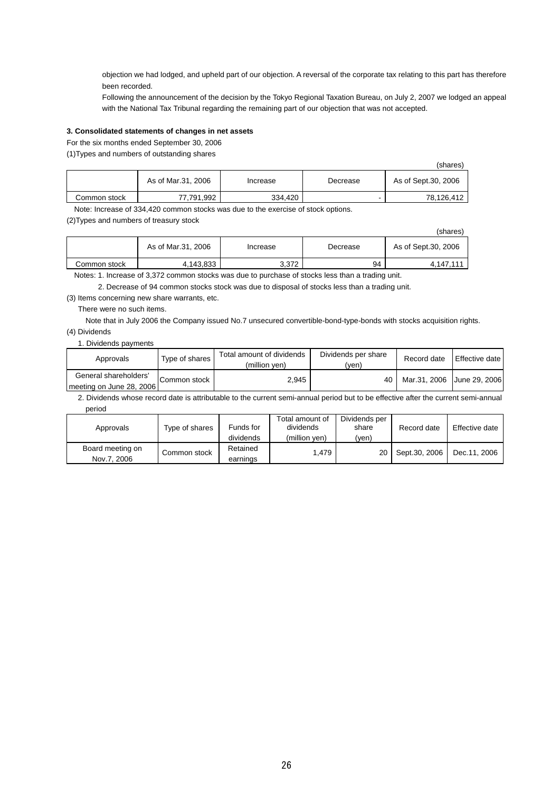objection we had lodged, and upheld part of our objection. A reversal of the corporate tax relating to this part has therefore been recorded.

Following the announcement of the decision by the Tokyo Regional Taxation Bureau, on July 2, 2007 we lodged an appeal with the National Tax Tribunal regarding the remaining part of our objection that was not accepted.

## **3. Consolidated statements of changes in net assets**

For the six months ended September 30, 2006

(1)Types and numbers of outstanding shares

|              |                    |          |          | (shares)            |
|--------------|--------------------|----------|----------|---------------------|
|              | As of Mar.31, 2006 | Increase | Decrease | As of Sept.30, 2006 |
| Common stock | 77,791,992         | 334.420  |          | 78.126.412          |

Note: Increase of 334,420 common stocks was due to the exercise of stock options.

(2)Types and numbers of treasury stock

|              |                    |          |          | (shares)            |
|--------------|--------------------|----------|----------|---------------------|
|              | As of Mar.31, 2006 | Increase | Decrease | As of Sept.30, 2006 |
| Common stock | 4,143,833          | 3.372    | 94       | 4.147.111           |

Notes: 1. Increase of 3,372 common stocks was due to purchase of stocks less than a trading unit.

2. Decrease of 94 common stocks stock was due to disposal of stocks less than a trading unit.

(3) Items concerning new share warrants, etc.

There were no such items.

Note that in July 2006 the Company issued No.7 unsecured convertible-bond-type-bonds with stocks acquisition rights. (4) Dividends

1. Dividends payments

| Approvals                                         | Type of shares | Total amount of dividends<br>(million ven) | Dividends per share<br>(ven) | Record date                | Effective date |
|---------------------------------------------------|----------------|--------------------------------------------|------------------------------|----------------------------|----------------|
| General shareholders'<br>meeting on June 28, 2006 | Common stock   | 2.945                                      | 40                           | Mar.31, 2006 June 29, 2006 |                |

 2. Dividends whose record date is attributable to the current semi-annual period but to be effective after the current semi-annual period

| Approvals                       | Type of shares | Funds for<br>dividends | Dividends per<br>Total amount of<br>dividends<br>share<br>(million ven)<br>(ven) |    | Record date   | Effective date |
|---------------------------------|----------------|------------------------|----------------------------------------------------------------------------------|----|---------------|----------------|
| Board meeting on<br>Nov.7, 2006 | Common stock   | Retained<br>earnings   | 1.479                                                                            | 20 | Sept.30, 2006 | Dec.11, 2006   |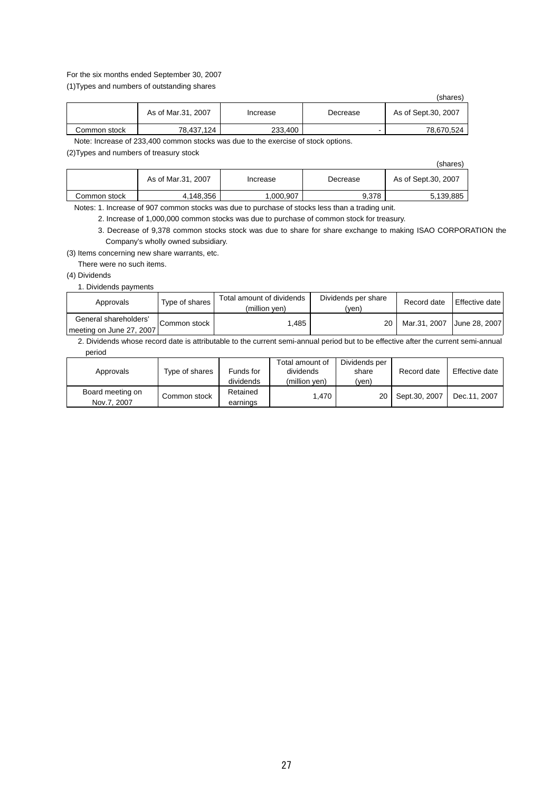## For the six months ended September 30, 2007

(1)Types and numbers of outstanding shares

|              |                    |          |          | (shares)            |
|--------------|--------------------|----------|----------|---------------------|
|              | As of Mar.31, 2007 | Increase | Decrease | As of Sept.30, 2007 |
| Common stock | 78.437.124         | 233,400  | -        | 78.670.524          |

Note: Increase of 233,400 common stocks was due to the exercise of stock options.

(2)Types and numbers of treasury stock

|              |                    |          |          | (shares)            |
|--------------|--------------------|----------|----------|---------------------|
|              | As of Mar.31, 2007 | Increase | Decrease | As of Sept.30, 2007 |
| Common stock | 4,148,356          | ,000,907 | 9.378    | 5,139,885           |

Notes: 1. Increase of 907 common stocks was due to purchase of stocks less than a trading unit.

2. Increase of 1,000,000 common stocks was due to purchase of common stock for treasury.

3. Decrease of 9,378 common stocks stock was due to share for share exchange to making ISAO CORPORATION the Company's wholly owned subsidiary.

(3) Items concerning new share warrants, etc.

There were no such items.

# (4) Dividends

1. Dividends payments

| Approvals                                         | Type of shares | Total amount of dividends<br>(million ven) | Dividends per share<br>(ven) | Record date  | Effective date |
|---------------------------------------------------|----------------|--------------------------------------------|------------------------------|--------------|----------------|
| General shareholders'<br>meeting on June 27, 2007 | Common stock   | .485                                       | 20                           | Mar.31. 2007 | Uune 28, 2007  |

 2. Dividends whose record date is attributable to the current semi-annual period but to be effective after the current semi-annual period

| Approvals                       | Type of shares | Funds for<br>dividends | Total amount of<br>dividends<br>(million ven) | Dividends per<br>share<br>(ven) | Record date   | Effective date |
|---------------------------------|----------------|------------------------|-----------------------------------------------|---------------------------------|---------------|----------------|
| Board meeting on<br>Nov.7, 2007 | Common stock   | Retained<br>earnings   | .470                                          | 20                              | Sept.30, 2007 | Dec.11, 2007   |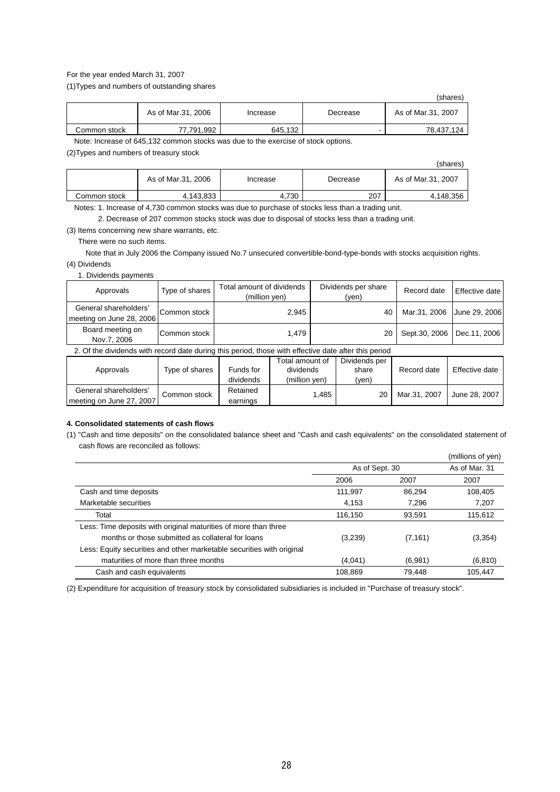## For the year ended March 31, 2007

(1)Types and numbers of outstanding shares

|              |                    |          |          | (shares)           |
|--------------|--------------------|----------|----------|--------------------|
|              | As of Mar.31, 2006 | Increase | Decrease | As of Mar.31, 2007 |
| Common stock | 77,791,992         | 645,132  |          | 78.437.124         |

Note: Increase of 645,132 common stocks was due to the exercise of stock options.

(2)Types and numbers of treasury stock

|              |                    |          |          | (shares)           |
|--------------|--------------------|----------|----------|--------------------|
|              | As of Mar.31, 2006 | Increase | Decrease | As of Mar.31, 2007 |
| Common stock | 4,143,833          | 4.730    | 207      | 4.148.356          |

Notes: 1. Increase of 4,730 common stocks was due to purchase of stocks less than a trading unit.

2. Decrease of 207 common stocks stock was due to disposal of stocks less than a trading unit.

(3) Items concerning new share warrants, etc.

There were no such items.

Note that in July 2006 the Company issued No.7 unsecured convertible-bond-type-bonds with stocks acquisition rights. (4) Dividends

1. Dividends payments

| Approvals                                                                                            | Type of shares | Total amount of dividends<br>(million yen) |                                                        |  | Dividends per share<br>(yen) | Record date   | Effective date             |  |  |
|------------------------------------------------------------------------------------------------------|----------------|--------------------------------------------|--------------------------------------------------------|--|------------------------------|---------------|----------------------------|--|--|
| General shareholders'<br>meeting on June 28, 2006                                                    | Common stock   |                                            | 2,945                                                  |  | 40                           |               | Mar.31, 2006 June 29, 2006 |  |  |
| Board meeting on<br>Nov.7, 2006                                                                      | Common stock   | 1.479                                      |                                                        |  | 20                           | Sept.30, 2006 | Dec.11, 2006               |  |  |
| 2. Of the dividends with record date during this period, those with effective date after this period |                |                                            |                                                        |  |                              |               |                            |  |  |
| $\mathbf{A}$ and $\mathbf{A}$                                                                        |                |                                            | Total amount of<br>المساوي والمستقل المتناول والمتلازق |  | Dividends per                |               |                            |  |  |

| Approvals                                         | Tvpe of shares | Funds for            | dividends     | share | Record date  | Effective date |
|---------------------------------------------------|----------------|----------------------|---------------|-------|--------------|----------------|
|                                                   |                | dividends            | (million ven) | 'ven, |              |                |
| General shareholders'<br>meeting on June 27, 2007 | Common stock   | Retained<br>earnings | .485          | 20    | Mar.31, 2007 | June 28, 2007  |
|                                                   |                |                      |               |       |              |                |

## **4. Consolidated statements of cash flows**

(1) "Cash and time deposits" on the consolidated balance sheet and "Cash and cash equivalents" on the consolidated statement of cash flows are reconciled as follows:

|                                                                       |         |                | (millions of yen) |
|-----------------------------------------------------------------------|---------|----------------|-------------------|
|                                                                       |         | As of Sept. 30 |                   |
|                                                                       | 2006    | 2007           | 2007              |
| Cash and time deposits                                                | 111.997 | 86.294         | 108.405           |
| Marketable securities                                                 | 4,153   | 7,296          | 7,207             |
| Total                                                                 | 116.150 | 93.591         | 115,612           |
| Less: Time deposits with original maturities of more than three       |         |                |                   |
| months or those submitted as collateral for loans                     | (3,239) | (7, 161)       | (3,354)           |
| Less: Equity securities and other marketable securities with original |         |                |                   |
| maturities of more than three months                                  | (4,041) | (6,981)        | (6, 810)          |
| Cash and cash equivalents                                             | 108,869 | 79.448         | 105,447           |

(2) Expenditure for acquisition of treasury stock by consolidated subsidiaries is included in "Purchase of treasury stock".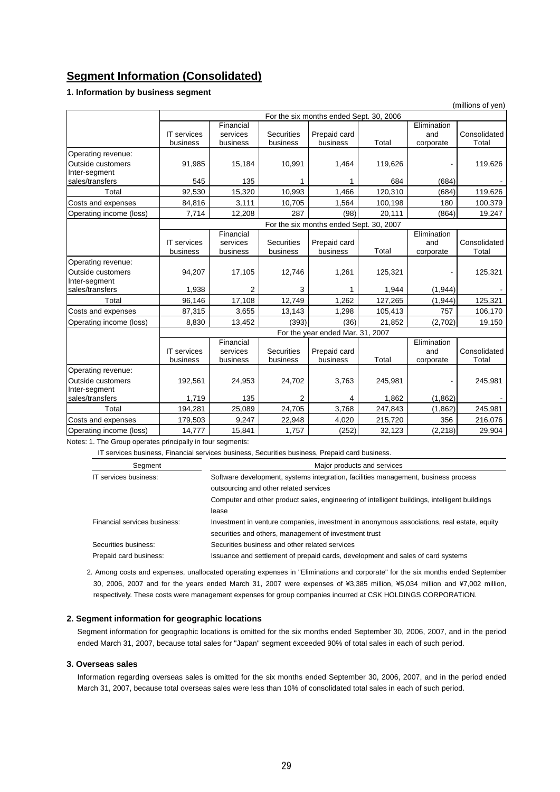# **Segment Information (Consolidated)**

# **1. Information by business segment**

|                                           | (millions of yen)  |                                         |                   |                                         |         |                    |              |
|-------------------------------------------|--------------------|-----------------------------------------|-------------------|-----------------------------------------|---------|--------------------|--------------|
|                                           |                    | For the six months ended Sept. 30, 2006 |                   |                                         |         |                    |              |
|                                           | <b>IT</b> services | Financial<br>services                   | <b>Securities</b> | Prepaid card                            |         | Elimination<br>and | Consolidated |
|                                           | business           | business                                | business          | business                                | Total   | corporate          | Total        |
| Operating revenue:                        |                    |                                         |                   |                                         |         |                    |              |
| <b>Outside customers</b><br>Inter-segment | 91,985             | 15.184                                  | 10,991            | 1,464                                   | 119,626 |                    | 119,626      |
| sales/transfers                           | 545                | 135                                     | 1                 | 1                                       | 684     | (684)              |              |
| Total                                     | 92,530             | 15,320                                  | 10,993            | 1,466                                   | 120,310 | (684)              | 119,626      |
| Costs and expenses                        | 84,816             | 3,111                                   | 10,705            | 1,564                                   | 100,198 | 180                | 100,379      |
| Operating income (loss)                   | 7,714              | 12,208                                  | 287               | (98)                                    | 20,111  | (864)              | 19,247       |
|                                           |                    |                                         |                   | For the six months ended Sept. 30, 2007 |         |                    |              |
|                                           |                    | Financial                               |                   |                                         |         | Elimination        |              |
|                                           | <b>IT</b> services | services                                | <b>Securities</b> | Prepaid card                            |         | and                | Consolidated |
|                                           | business           | business                                | business          | business                                | Total   | corporate          | Total        |
| Operating revenue:                        |                    |                                         |                   |                                         |         |                    |              |
| Outside customers                         | 94,207             | 17,105                                  | 12,746            | 1,261                                   | 125,321 |                    | 125,321      |
| Inter-segment                             |                    |                                         |                   |                                         |         |                    |              |
| sales/transfers                           | 1,938              | $\overline{2}$                          | 3                 | 1                                       | 1,944   | (1, 944)           |              |
| Total                                     | 96,146             | 17,108                                  | 12,749            | 1,262                                   | 127,265 | (1, 944)           | 125,321      |
| Costs and expenses                        | 87,315             | 3,655                                   | 13,143            | 1,298                                   | 105,413 | 757                | 106,170      |
| Operating income (loss)                   | 8,830              | 13,452                                  | (393)             | (36)                                    | 21,852  | (2,702)            | 19,150       |
|                                           |                    |                                         |                   | For the year ended Mar. 31, 2007        |         |                    |              |
|                                           |                    | Financial                               |                   |                                         |         | Elimination        |              |
|                                           | <b>IT</b> services | services                                | <b>Securities</b> | Prepaid card                            |         | and                | Consolidated |
|                                           | business           | business                                | business          | business                                | Total   | corporate          | Total        |
| Operating revenue:                        |                    |                                         |                   |                                         |         |                    |              |
| Outside customers<br>Inter-segment        | 192,561            | 24,953                                  | 24,702            | 3,763                                   | 245,981 |                    | 245,981      |
| sales/transfers                           | 1,719              | 135                                     | 2                 | 4                                       | 1,862   | (1,862)            |              |
| Total                                     | 194,281            | 25,089                                  | 24,705            | 3,768                                   | 247,843 | (1,862)            | 245,981      |
| Costs and expenses                        | 179,503            | 9,247                                   | 22,948            | 4,020                                   | 215,720 | 356                | 216,076      |
| Operating income (loss)                   | 14,777             | 15,841                                  | 1,757             | (252)                                   | 32,123  | (2, 218)           | 29,904       |

Notes: 1. The Group operates principally in four segments:

IT services business, Financial services business, Securities business, Prepaid card business.

| Segment                      | Major products and services                                                                   |  |  |
|------------------------------|-----------------------------------------------------------------------------------------------|--|--|
| IT services business:        | Software development, systems integration, facilities management, business process            |  |  |
|                              | outsourcing and other related services                                                        |  |  |
|                              | Computer and other product sales, engineering of intelligent buildings, intelligent buildings |  |  |
|                              | lease                                                                                         |  |  |
| Financial services business: | Investment in venture companies, investment in anonymous associations, real estate, equity    |  |  |
|                              | securities and others, management of investment trust                                         |  |  |
| Securities business:         | Securities business and other related services                                                |  |  |
| Prepaid card business:       | Issuance and settlement of prepaid cards, development and sales of card systems               |  |  |

2. Among costs and expenses, unallocated operating expenses in "Eliminations and corporate" for the six months ended September 30, 2006, 2007 and for the years ended March 31, 2007 were expenses of ¥3,385 million, ¥5,034 million and ¥7,002 million, respectively. These costs were management expenses for group companies incurred at CSK HOLDINGS CORPORATION.

## **2. Segment information for geographic locations**

Segment information for geographic locations is omitted for the six months ended September 30, 2006, 2007, and in the period ended March 31, 2007, because total sales for "Japan" segment exceeded 90% of total sales in each of such period.

## **3. Overseas sales**

Information regarding overseas sales is omitted for the six months ended September 30, 2006, 2007, and in the period ended March 31, 2007, because total overseas sales were less than 10% of consolidated total sales in each of such period.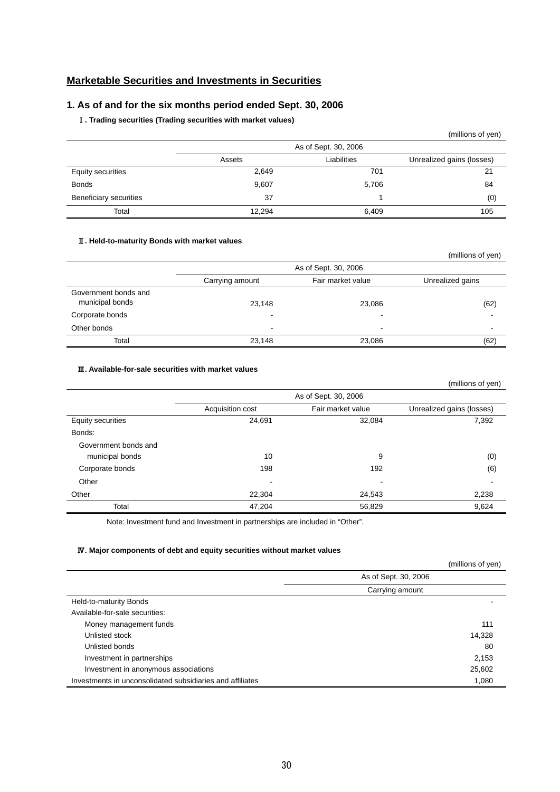# **Marketable Securities and Investments in Securities**

# **1. As of and for the six months period ended Sept. 30, 2006**

# Ⅰ**. Trading securities (Trading securities with market values)**

|                          |        |                      | (millions of yen)         |
|--------------------------|--------|----------------------|---------------------------|
|                          |        | As of Sept. 30, 2006 |                           |
|                          | Assets | Liabilities          | Unrealized gains (losses) |
| <b>Equity securities</b> | 2,649  | 701                  | 21                        |
| <b>Bonds</b>             | 9,607  | 5,706                | 84                        |
| Beneficiary securities   | 37     |                      | (0)                       |
| Total                    | 12,294 | 6,409                | 105                       |

## Ⅱ**. Held-to-maturity Bonds with market values**

|                                         |                 |                          | (millions of yen) |
|-----------------------------------------|-----------------|--------------------------|-------------------|
|                                         |                 | As of Sept. 30, 2006     |                   |
|                                         | Carrying amount | Fair market value        | Unrealized gains  |
| Government bonds and<br>municipal bonds | 23,148          | 23,086                   | (62)              |
| Corporate bonds                         |                 | -                        |                   |
| Other bonds                             | -               | $\overline{\phantom{0}}$ |                   |
| Total                                   | 23,148          | 23,086                   | (62)              |

# Ⅲ**. Available-for-sale securities with market values**

|                      |                          |                      | (millions of yen)         |
|----------------------|--------------------------|----------------------|---------------------------|
|                      |                          | As of Sept. 30, 2006 |                           |
|                      | Acquisition cost         | Fair market value    | Unrealized gains (losses) |
| Equity securities    | 24,691                   | 32,084               | 7,392                     |
| Bonds:               |                          |                      |                           |
| Government bonds and |                          |                      |                           |
| municipal bonds      | 10                       | 9                    | (0)                       |
| Corporate bonds      | 198                      | 192                  | (6)                       |
| Other                | $\overline{\phantom{a}}$ | -                    |                           |
| Other                | 22.304                   | 24,543               | 2,238                     |
| Total                | 47,204                   | 56,829               | 9,624                     |

Note: Investment fund and Investment in partnerships are included in "Other".

# Ⅳ**. Major components of debt and equity securities without market values**

|                                                           |                      | (millions of yen) |
|-----------------------------------------------------------|----------------------|-------------------|
|                                                           | As of Sept. 30, 2006 |                   |
|                                                           | Carrying amount      |                   |
| Held-to-maturity Bonds                                    |                      |                   |
| Available-for-sale securities:                            |                      |                   |
| Money management funds                                    |                      | 111               |
| Unlisted stock                                            |                      | 14,328            |
| Unlisted bonds                                            |                      | 80                |
| Investment in partnerships                                |                      | 2,153             |
| Investment in anonymous associations                      |                      | 25,602            |
| Investments in unconsolidated subsidiaries and affiliates |                      | 1,080             |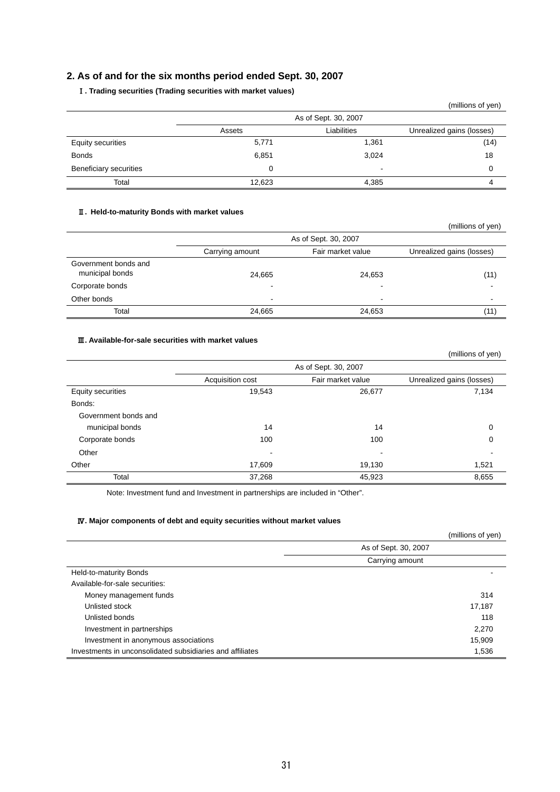# **2. As of and for the six months period ended Sept. 30, 2007**

# Ⅰ**. Trading securities (Trading securities with market values)**

|                          |        |                      | (millions of yen)         |
|--------------------------|--------|----------------------|---------------------------|
|                          |        | As of Sept. 30, 2007 |                           |
|                          | Assets | Liabilities          | Unrealized gains (losses) |
| <b>Equity securities</b> | 5,771  | 1,361                | (14)                      |
| <b>Bonds</b>             | 6,851  | 3,024                | 18                        |
| Beneficiary securities   |        | $\,$                 |                           |
| Total                    | 12.623 | 4,385                |                           |

# Ⅱ**. Held-to-maturity Bonds with market values**

|                                         |                 |                          | (millions of yen)         |
|-----------------------------------------|-----------------|--------------------------|---------------------------|
|                                         |                 | As of Sept. 30, 2007     |                           |
|                                         | Carrying amount | Fair market value        | Unrealized gains (losses) |
| Government bonds and<br>municipal bonds | 24,665          | 24,653                   | (11)                      |
| Corporate bonds                         |                 | -                        |                           |
| Other bonds                             | $\blacksquare$  | $\overline{\phantom{a}}$ |                           |
| Total                                   | 24,665          | 24,653                   | (11)                      |

# Ⅲ**. Available-for-sale securities with market values**

|                      |                          |                      | (millions of yen)         |
|----------------------|--------------------------|----------------------|---------------------------|
|                      |                          | As of Sept. 30, 2007 |                           |
|                      | Acquisition cost         | Fair market value    | Unrealized gains (losses) |
| Equity securities    | 19,543                   | 26,677               | 7,134                     |
| Bonds:               |                          |                      |                           |
| Government bonds and |                          |                      |                           |
| municipal bonds      | 14                       | 14                   | 0                         |
| Corporate bonds      | 100                      | 100                  | 0                         |
| Other                | $\overline{\phantom{a}}$ | -                    |                           |
| Other                | 17,609                   | 19,130               | 1,521                     |
| Total                | 37,268                   | 45,923               | 8,655                     |

Note: Investment fund and Investment in partnerships are included in "Other".

# Ⅳ**. Major components of debt and equity securities without market values**

|                                                           |                      | (millions of yen) |
|-----------------------------------------------------------|----------------------|-------------------|
|                                                           | As of Sept. 30, 2007 |                   |
|                                                           | Carrying amount      |                   |
| Held-to-maturity Bonds                                    |                      |                   |
| Available-for-sale securities:                            |                      |                   |
| Money management funds                                    |                      | 314               |
| Unlisted stock                                            |                      | 17,187            |
| Unlisted bonds                                            |                      | 118               |
| Investment in partnerships                                |                      | 2,270             |
| Investment in anonymous associations                      |                      | 15,909            |
| Investments in unconsolidated subsidiaries and affiliates |                      | 1,536             |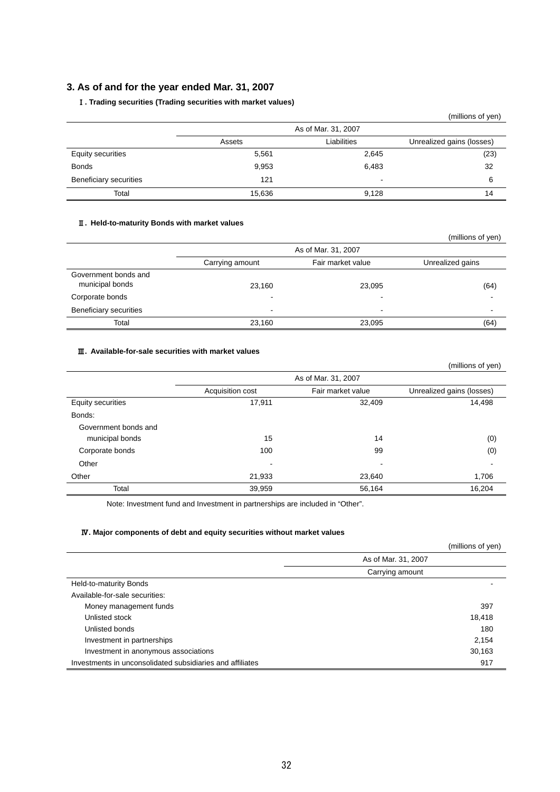# **3. As of and for the year ended Mar. 31, 2007**

# Ⅰ**. Trading securities (Trading securities with market values)**

|                          |        |                          | (millions of yen)         |
|--------------------------|--------|--------------------------|---------------------------|
|                          |        | As of Mar. 31, 2007      |                           |
|                          | Assets | Liabilities              | Unrealized gains (losses) |
| <b>Equity securities</b> | 5,561  | 2,645                    | (23)                      |
| <b>Bonds</b>             | 9,953  | 6,483                    | 32                        |
| Beneficiary securities   | 121    | $\overline{\phantom{a}}$ | 6                         |
| Total                    | 15,636 | 9.128                    | 14                        |

# Ⅱ**. Held-to-maturity Bonds with market values**

|                                         |                 |                     | (millions of yen) |
|-----------------------------------------|-----------------|---------------------|-------------------|
|                                         |                 | As of Mar. 31, 2007 |                   |
|                                         | Carrying amount | Fair market value   | Unrealized gains  |
| Government bonds and<br>municipal bonds | 23,160          | 23,095              | (64)              |
| Corporate bonds                         | -               |                     |                   |
| <b>Beneficiary securities</b>           | -               | -                   |                   |
| Total                                   | 23,160          | 23,095              | (64)              |

## Ⅲ**. Available-for-sale securities with market values**

|                      |                     |                   | (millions of yen)         |  |  |  |
|----------------------|---------------------|-------------------|---------------------------|--|--|--|
|                      | As of Mar. 31, 2007 |                   |                           |  |  |  |
|                      | Acquisition cost    | Fair market value | Unrealized gains (losses) |  |  |  |
| Equity securities    | 17,911              | 32,409            | 14,498                    |  |  |  |
| Bonds:               |                     |                   |                           |  |  |  |
| Government bonds and |                     |                   |                           |  |  |  |
| municipal bonds      | 15                  | 14                | (0)                       |  |  |  |
| Corporate bonds      | 100                 | 99                | (0)                       |  |  |  |
| Other                | $\,$                | $\,$              |                           |  |  |  |
| Other                | 21,933              | 23,640            | 1,706                     |  |  |  |
| Total                | 39,959              | 56,164            | 16,204                    |  |  |  |

Note: Investment fund and Investment in partnerships are included in "Other".

# Ⅳ**. Major components of debt and equity securities without market values**

|                                                           | (millions of yen)   |
|-----------------------------------------------------------|---------------------|
|                                                           | As of Mar. 31, 2007 |
|                                                           | Carrying amount     |
| Held-to-maturity Bonds                                    |                     |
| Available-for-sale securities:                            |                     |
| Money management funds                                    | 397                 |
| Unlisted stock                                            | 18,418              |
| Unlisted bonds                                            | 180                 |
| Investment in partnerships                                | 2,154               |
| Investment in anonymous associations                      | 30,163              |
| Investments in unconsolidated subsidiaries and affiliates | 917                 |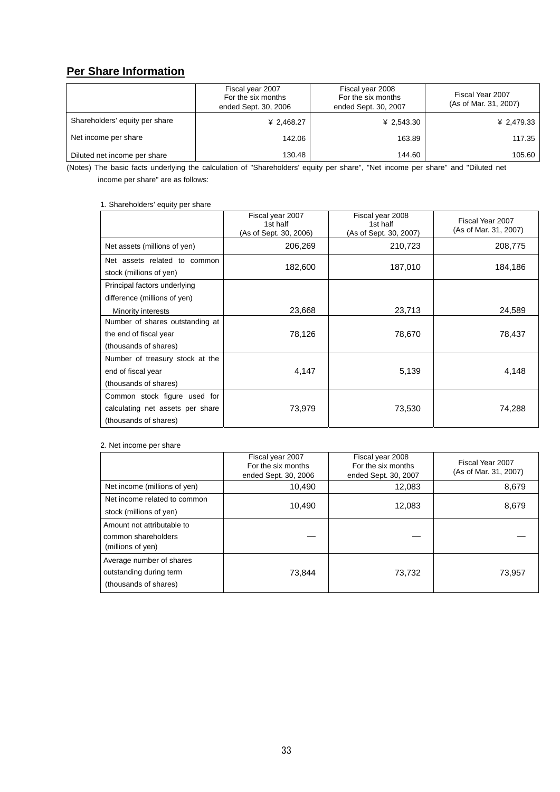# **Per Share Information**

|                                | Fiscal year 2007<br>For the six months<br>ended Sept. 30, 2006 | Fiscal year 2008<br>For the six months<br>ended Sept. 30, 2007 | Fiscal Year 2007<br>(As of Mar. 31, 2007) |
|--------------------------------|----------------------------------------------------------------|----------------------------------------------------------------|-------------------------------------------|
| Shareholders' equity per share | ¥ 2,468.27                                                     | ¥ 2,543.30                                                     | ¥ 2,479.33                                |
| Net income per share           | 142.06                                                         | 163.89                                                         | 117.35                                    |
| Diluted net income per share   | 130.48                                                         | 144.60                                                         | 105.60                                    |

(Notes) The basic facts underlying the calculation of "Shareholders' equity per share", "Net income per share" and "Diluted net income per share" are as follows:

# 1. Shareholders' equity per share

|                                                         | Fiscal year 2007<br>1st half<br>(As of Sept. 30, 2006) | Fiscal year 2008<br>1st half<br>(As of Sept. 30, 2007) | Fiscal Year 2007<br>(As of Mar. 31, 2007) |
|---------------------------------------------------------|--------------------------------------------------------|--------------------------------------------------------|-------------------------------------------|
| Net assets (millions of yen)                            | 206,269                                                | 210,723                                                | 208,775                                   |
| Net assets related to common<br>stock (millions of yen) | 182,600                                                | 187,010                                                | 184,186                                   |
| Principal factors underlying                            |                                                        |                                                        |                                           |
| difference (millions of yen)<br>Minority interests      | 23,668                                                 | 23,713                                                 | 24,589                                    |
| Number of shares outstanding at                         |                                                        |                                                        |                                           |
| the end of fiscal year                                  | 78,126                                                 | 78,670                                                 | 78,437                                    |
| (thousands of shares)                                   |                                                        |                                                        |                                           |
| Number of treasury stock at the                         |                                                        |                                                        |                                           |
| end of fiscal year                                      | 4,147                                                  | 5,139                                                  | 4,148                                     |
| (thousands of shares)                                   |                                                        |                                                        |                                           |
| Common stock figure used for                            |                                                        |                                                        |                                           |
| calculating net assets per share                        | 73,979                                                 | 73,530                                                 | 74,288                                    |
| (thousands of shares)                                   |                                                        |                                                        |                                           |

## 2. Net income per share

|                                                                              | Fiscal year 2007<br>For the six months<br>ended Sept. 30, 2006 | Fiscal year 2008<br>For the six months<br>ended Sept. 30, 2007 | Fiscal Year 2007<br>(As of Mar. 31, 2007) |
|------------------------------------------------------------------------------|----------------------------------------------------------------|----------------------------------------------------------------|-------------------------------------------|
| Net income (millions of yen)                                                 | 10,490                                                         | 12,083                                                         | 8,679                                     |
| Net income related to common<br>stock (millions of yen)                      | 10,490                                                         | 12,083                                                         | 8,679                                     |
| Amount not attributable to<br>common shareholders<br>(millions of yen)       |                                                                |                                                                |                                           |
| Average number of shares<br>outstanding during term<br>(thousands of shares) | 73,844                                                         | 73,732                                                         | 73,957                                    |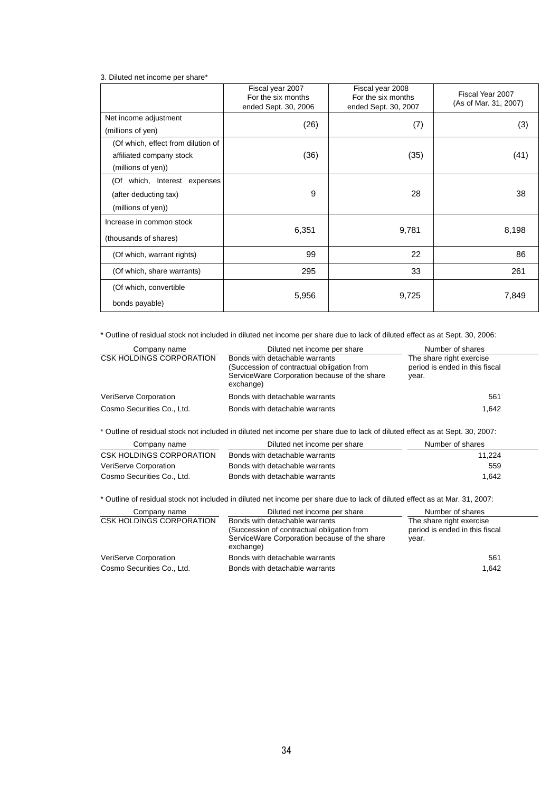3. Diluted net income per share\*

|                                    | Fiscal year 2007<br>For the six months<br>ended Sept. 30, 2006 | Fiscal year 2008<br>For the six months<br>ended Sept. 30, 2007 | Fiscal Year 2007<br>(As of Mar. 31, 2007) |
|------------------------------------|----------------------------------------------------------------|----------------------------------------------------------------|-------------------------------------------|
| Net income adjustment              | (26)                                                           |                                                                |                                           |
| (millions of yen)                  |                                                                | (7)                                                            | (3)                                       |
| (Of which, effect from dilution of |                                                                |                                                                |                                           |
| affiliated company stock           | (36)                                                           | (35)                                                           | (41)                                      |
| (millions of yen))                 |                                                                |                                                                |                                           |
| (Of which, Interest expenses       |                                                                |                                                                |                                           |
| (after deducting tax)              | 9                                                              | 28                                                             | 38                                        |
| (millions of yen))                 |                                                                |                                                                |                                           |
| Increase in common stock           |                                                                |                                                                |                                           |
| (thousands of shares)              | 6,351                                                          | 9,781                                                          | 8,198                                     |
| (Of which, warrant rights)         | 99                                                             | 22                                                             | 86                                        |
| (Of which, share warrants)         | 295                                                            | 33                                                             | 261                                       |
| (Of which, convertible             |                                                                |                                                                |                                           |
| bonds payable)                     | 5,956                                                          | 9,725                                                          | 7,849                                     |

\* Outline of residual stock not included in diluted net income per share due to lack of diluted effect as at Sept. 30, 2006:

| Company name               | Diluted net income per share                                                                                                              | Number of shares                                                    |
|----------------------------|-------------------------------------------------------------------------------------------------------------------------------------------|---------------------------------------------------------------------|
| CSK HOLDINGS CORPORATION   | Bonds with detachable warrants<br>(Succession of contractual obligation from<br>ServiceWare Corporation because of the share<br>exchange) | The share right exercise<br>period is ended in this fiscal<br>vear. |
| VeriServe Corporation      | Bonds with detachable warrants                                                                                                            | 561                                                                 |
| Cosmo Securities Co., Ltd. | Bonds with detachable warrants                                                                                                            | 1.642                                                               |

\* Outline of residual stock not included in diluted net income per share due to lack of diluted effect as at Sept. 30, 2007:

| Company name               | Diluted net income per share   | Number of shares |
|----------------------------|--------------------------------|------------------|
| CSK HOLDINGS CORPORATION   | Bonds with detachable warrants | 11.224           |
| VeriServe Corporation      | Bonds with detachable warrants | 559              |
| Cosmo Securities Co., Ltd. | Bonds with detachable warrants | 1.642            |

\* Outline of residual stock not included in diluted net income per share due to lack of diluted effect as at Mar. 31, 2007:

| Company name               | Diluted net income per share                                                                                                              | Number of shares                                                    |  |  |
|----------------------------|-------------------------------------------------------------------------------------------------------------------------------------------|---------------------------------------------------------------------|--|--|
| CSK HOLDINGS CORPORATION   | Bonds with detachable warrants<br>(Succession of contractual obligation from<br>ServiceWare Corporation because of the share<br>exchange) | The share right exercise<br>period is ended in this fiscal<br>year. |  |  |
| VeriServe Corporation      | Bonds with detachable warrants                                                                                                            | 561                                                                 |  |  |
| Cosmo Securities Co., Ltd. | Bonds with detachable warrants                                                                                                            | 1.642                                                               |  |  |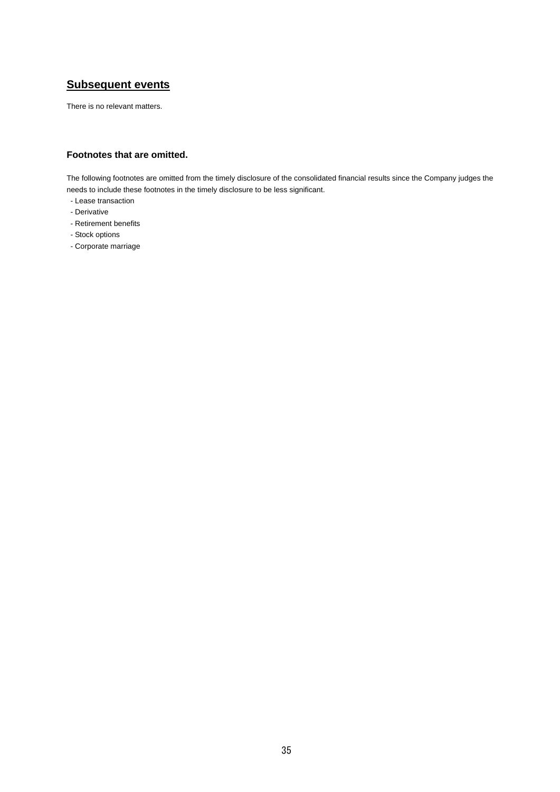# **Subsequent events**

There is no relevant matters.

# **Footnotes that are omitted.**

The following footnotes are omitted from the timely disclosure of the consolidated financial results since the Company judges the needs to include these footnotes in the timely disclosure to be less significant.

- Lease transaction
- Derivative
- Retirement benefits
- Stock options
- Corporate marriage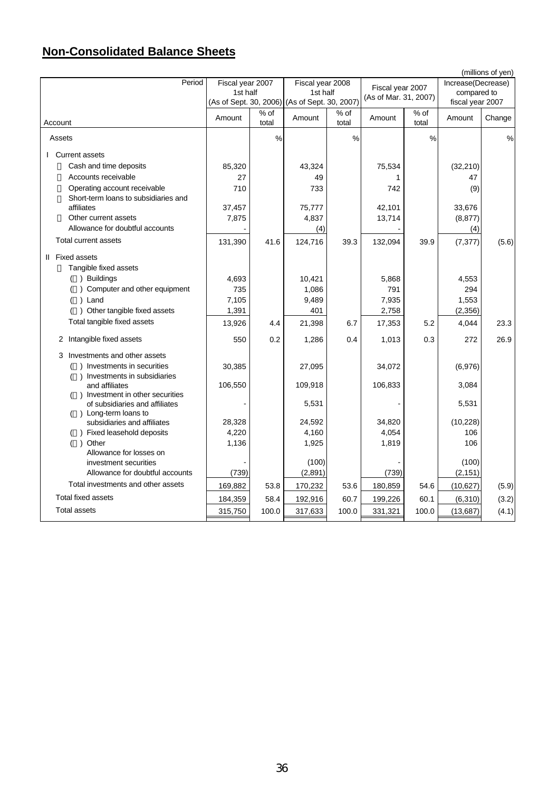# **Non-Consolidated Balance Sheets**

|                                                                      |                  |               |                                                           |               |                       |               |                                 | (millions of yen) |
|----------------------------------------------------------------------|------------------|---------------|-----------------------------------------------------------|---------------|-----------------------|---------------|---------------------------------|-------------------|
| Period                                                               | Fiscal year 2007 |               | Fiscal year 2008                                          |               | Fiscal year 2007      |               | Increase(Decrease)              |                   |
|                                                                      | 1st half         |               | 1st half<br>(As of Sept. 30, 2006) (As of Sept. 30, 2007) |               | (As of Mar. 31, 2007) |               | compared to<br>fiscal year 2007 |                   |
|                                                                      |                  | % of          |                                                           | $%$ of        |                       | % of          |                                 |                   |
| Account                                                              | Amount           | total         | Amount                                                    | total         | Amount                | total         | Amount                          | Change            |
| Assets                                                               |                  | $\frac{0}{0}$ |                                                           | $\frac{0}{0}$ |                       | $\frac{0}{0}$ |                                 | $\frac{0}{0}$     |
|                                                                      |                  |               |                                                           |               |                       |               |                                 |                   |
| <b>I</b> Current assets                                              |                  |               |                                                           |               |                       |               |                                 |                   |
| Cash and time deposits                                               | 85,320           |               | 43,324                                                    |               | 75,534                |               | (32, 210)                       |                   |
| Accounts receivable                                                  | 27               |               | 49                                                        |               | 1                     |               | 47                              |                   |
| Operating account receivable<br>Short-term loans to subsidiaries and | 710              |               | 733                                                       |               | 742                   |               | (9)                             |                   |
| affiliates                                                           | 37,457           |               | 75,777                                                    |               | 42,101                |               | 33,676                          |                   |
| Other current assets                                                 | 7,875            |               | 4,837                                                     |               | 13,714                |               | (8, 877)                        |                   |
| Allowance for doubtful accounts                                      |                  |               | (4)                                                       |               |                       |               | (4)                             |                   |
| Total current assets                                                 | 131,390          | 41.6          | 124,716                                                   | 39.3          | 132,094               | 39.9          | (7, 377)                        | (5.6)             |
| II Fixed assets                                                      |                  |               |                                                           |               |                       |               |                                 |                   |
| Tangible fixed assets                                                |                  |               |                                                           |               |                       |               |                                 |                   |
| ) Buildings                                                          | 4,693            |               | 10,421                                                    |               | 5,868                 |               | 4,553                           |                   |
| Computer and other equipment                                         | 735              |               | 1,086                                                     |               | 791                   |               | 294                             |                   |
| ) Land                                                               | 7,105            |               | 9,489                                                     |               | 7,935                 |               | 1,553                           |                   |
| ) Other tangible fixed assets                                        | 1,391            |               | 401                                                       |               | 2,758                 |               | (2, 356)                        |                   |
| Total tangible fixed assets                                          | 13,926           | 4.4           | 21,398                                                    | 6.7           | 17,353                | 5.2           | 4,044                           | 23.3              |
| 2 Intangible fixed assets                                            | 550              | 0.2           | 1,286                                                     | 0.4           | 1,013                 | 0.3           | 272                             | 26.9              |
| 3 Investments and other assets                                       |                  |               |                                                           |               |                       |               |                                 |                   |
| ) Investments in securities                                          | 30,385           |               | 27,095                                                    |               | 34,072                |               | (6,976)                         |                   |
| ) Investments in subsidiaries                                        |                  |               |                                                           |               |                       |               |                                 |                   |
| and affiliates                                                       | 106,550          |               | 109,918                                                   |               | 106,833               |               | 3,084                           |                   |
| () Investment in other securities<br>of subsidiaries and affiliates  |                  |               | 5,531                                                     |               |                       |               | 5,531                           |                   |
| () Long-term loans to                                                |                  |               |                                                           |               |                       |               |                                 |                   |
| subsidiaries and affiliates                                          | 28,328           |               | 24,592                                                    |               | 34,820                |               | (10, 228)                       |                   |
| () Fixed leasehold deposits                                          | 4,220            |               | 4,160                                                     |               | 4,054                 |               | 106                             |                   |
| ) Other                                                              | 1,136            |               | 1,925                                                     |               | 1,819                 |               | 106                             |                   |
| Allowance for losses on                                              |                  |               |                                                           |               |                       |               |                                 |                   |
| investment securities                                                |                  |               | (100)                                                     |               |                       |               | (100)                           |                   |
| Allowance for doubtful accounts                                      | (739)            |               | (2,891)                                                   |               | (739)                 |               | (2, 151)                        |                   |
| Total investments and other assets                                   | 169,882          | 53.8          | 170,232                                                   | 53.6          | 180,859               | 54.6          | (10, 627)                       | (5.9)             |
| <b>Total fixed assets</b>                                            | 184,359          | 58.4          | 192,916                                                   | 60.7          | 199,226               | 60.1          | (6, 310)                        | (3.2)             |
| <b>Total assets</b>                                                  | 315,750          | 100.0         | 317,633                                                   | 100.0         | 331,321               | 100.0         | (13, 687)                       | (4.1)             |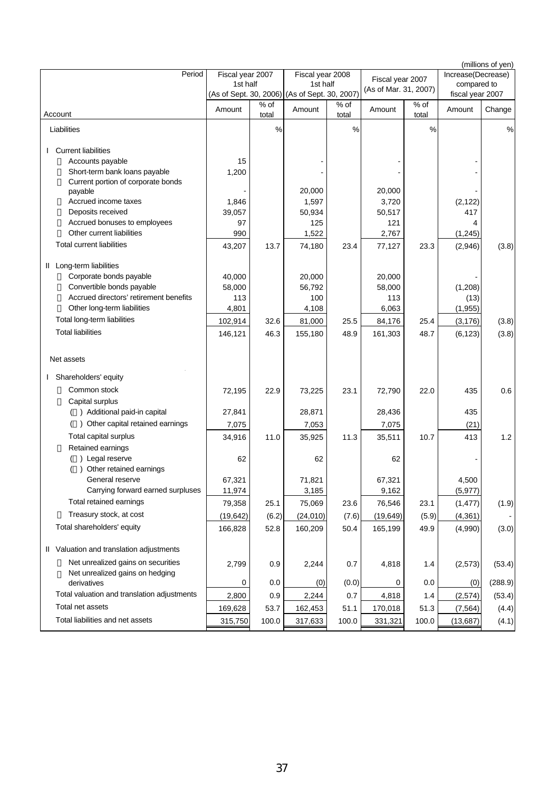| Period                                                     | Fiscal year 2007       |               | Fiscal year 2008       |                 |                       |               | Increase(Decrease) | (millions of yen) |
|------------------------------------------------------------|------------------------|---------------|------------------------|-----------------|-----------------------|---------------|--------------------|-------------------|
|                                                            | 1st half               |               | 1st half               |                 | Fiscal year 2007      |               | compared to        |                   |
|                                                            | (As of Sept. 30, 2006) |               | (As of Sept. 30, 2007) |                 | (As of Mar. 31, 2007) |               | fiscal year 2007   |                   |
| Account                                                    | Amount                 | % of<br>total | Amount                 | $%$ of<br>total | Amount                | % of<br>total | Amount             | Change            |
| Liabilities                                                |                        | $\%$          |                        | %               |                       | %             |                    | %                 |
| <b>Current liabilities</b>                                 |                        |               |                        |                 |                       |               |                    |                   |
| Accounts payable                                           | 15                     |               |                        |                 |                       |               |                    |                   |
| Short-term bank loans payable                              | 1,200                  |               |                        |                 |                       |               |                    |                   |
| Current portion of corporate bonds                         |                        |               |                        |                 |                       |               |                    |                   |
| payable                                                    |                        |               | 20,000                 |                 | 20,000                |               |                    |                   |
| Accrued income taxes                                       | 1,846                  |               | 1,597                  |                 | 3,720                 |               | (2, 122)           |                   |
| Deposits received                                          | 39,057                 |               | 50,934                 |                 | 50,517                |               | 417                |                   |
| Accrued bonuses to employees<br>Other current liabilities  | 97                     |               | 125                    |                 | 121                   |               | 4                  |                   |
| <b>Total current liabilities</b>                           | 990                    |               | 1,522                  |                 | 2,767                 |               | (1, 245)           |                   |
|                                                            | 43,207                 | 13.7          | 74,180                 | 23.4            | 77,127                | 23.3          | (2,946)            | (3.8)             |
| II Long-term liabilities                                   |                        |               |                        |                 |                       |               |                    |                   |
| Corporate bonds payable                                    | 40,000                 |               | 20.000                 |                 | 20,000                |               |                    |                   |
| Convertible bonds payable                                  | 58,000                 |               | 56,792                 |                 | 58,000                |               | (1,208)            |                   |
| Accrued directors' retirement benefits                     | 113                    |               | 100                    |                 | 113                   |               | (13)               |                   |
| Other long-term liabilities                                | 4,801                  |               | 4,108                  |                 | 6,063                 |               | (1, 955)           |                   |
| Total long-term liabilities                                | 102,914                | 32.6          | 81,000                 | 25.5            | 84,176                | 25.4          | (3, 176)           | (3.8)             |
| <b>Total liabilities</b>                                   | 146,121                | 46.3          | 155,180                | 48.9            | 161,303               | 48.7          | (6, 123)           | (3.8)             |
|                                                            |                        |               |                        |                 |                       |               |                    |                   |
| Net assets                                                 |                        |               |                        |                 |                       |               |                    |                   |
| Shareholders' equity                                       |                        |               |                        |                 |                       |               |                    |                   |
| Common stock                                               | 72,195                 | 22.9          | 73,225                 | 23.1            | 72,790                | 22.0          | 435                | 0.6               |
| Capital surplus                                            |                        |               |                        |                 |                       |               |                    |                   |
| () Additional paid-in capital                              | 27,841                 |               | 28,871                 |                 | 28,436                |               | 435                |                   |
| ) Other capital retained earnings                          | 7,075                  |               | 7,053                  |                 | 7,075                 |               | (21)               |                   |
| Total capital surplus                                      | 34,916                 | 11.0          | 35,925                 | 11.3            | 35,511                | 10.7          | 413                | 1.2               |
| Retained earnings                                          |                        |               |                        |                 |                       |               |                    |                   |
| ) Legal reserve                                            | 62                     |               | 62                     |                 | 62                    |               |                    |                   |
| Other retained earnings                                    |                        |               |                        |                 |                       |               |                    |                   |
| General reserve                                            | 67,321                 |               | 71,821                 |                 | 67,321                |               | 4,500              |                   |
| Carrying forward earned surpluses                          | 11,974                 |               | 3,185                  |                 | 9,162                 |               | (5, 977)           |                   |
| Total retained earnings                                    | 79,358                 | 25.1          | 75,069                 | 23.6            | 76,546                | 23.1          | (1, 477)           | (1.9)             |
| Treasury stock, at cost                                    | (19, 642)              | (6.2)         | (24, 010)              | (7.6)           | (19, 649)             | (5.9)         | (4, 361)           |                   |
| Total shareholders' equity                                 | 166,828                | 52.8          | 160,209                | 50.4            | 165,199               | 49.9          | (4,990)            | (3.0)             |
| II Valuation and translation adjustments                   |                        |               |                        |                 |                       |               |                    |                   |
| Net unrealized gains on securities                         | 2,799                  | 0.9           | 2,244                  | 0.7             | 4,818                 | 1.4           | (2, 573)           | (53.4)            |
| Net unrealized gains on hedging                            |                        |               |                        |                 |                       |               |                    |                   |
| derivatives<br>Total valuation and translation adjustments | 0                      | 0.0           | (0)                    | (0.0)           | 0                     | 0.0           | (0)                | (288.9)           |
| Total net assets                                           | 2,800                  | 0.9           | 2,244                  | 0.7             | 4,818                 | 1.4           | (2,574)            | (53.4)            |
|                                                            | 169,628                | 53.7          | 162,453                | 51.1            | 170,018               | 51.3          | (7, 564)           | (4.4)             |
| Total liabilities and net assets                           | 315,750                | 100.0         | 317,633                | 100.0           | 331,321               | 100.0         | (13, 687)          | (4.1)             |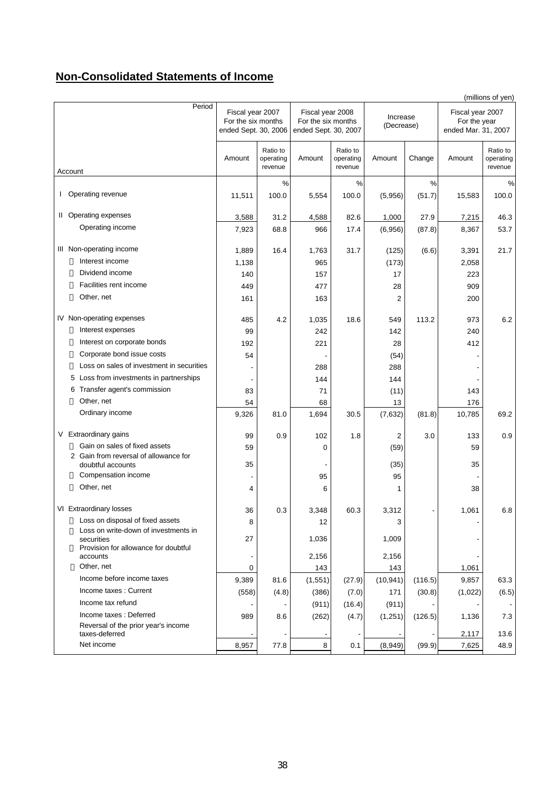# **Non-Consolidated Statements of Income**

|                                                            |                                                                |                                  |             |                                                                                          |                |         |         | (millions of yen)                                       |  |
|------------------------------------------------------------|----------------------------------------------------------------|----------------------------------|-------------|------------------------------------------------------------------------------------------|----------------|---------|---------|---------------------------------------------------------|--|
| Period                                                     | Fiscal year 2007<br>For the six months<br>ended Sept. 30, 2006 |                                  |             | Fiscal year 2008<br>Increase<br>For the six months<br>(Decrease)<br>ended Sept. 30, 2007 |                |         |         | Fiscal year 2007<br>For the year<br>ended Mar. 31, 2007 |  |
| Account                                                    | Amount                                                         | Ratio to<br>operating<br>revenue | Amount      | Ratio to<br>operating<br>revenue                                                         | Amount         | Change  | Amount  | Ratio to<br>operating<br>revenue                        |  |
|                                                            |                                                                | %                                |             | $\%$                                                                                     |                | $\%$    |         | %                                                       |  |
| Operating revenue<br>I.                                    | 11,511                                                         | 100.0                            | 5,554       | 100.0                                                                                    | (5,956)        | (51.7)  | 15,583  | 100.0                                                   |  |
| II Operating expenses                                      | 3,588                                                          | 31.2                             | 4,588       | 82.6                                                                                     | 1,000          | 27.9    | 7,215   | 46.3                                                    |  |
| Operating income                                           | 7,923                                                          | 68.8                             | 966         | 17.4                                                                                     | (6,956)        | (87.8)  | 8,367   | 53.7                                                    |  |
| III Non-operating income                                   | 1,889                                                          | 16.4                             | 1,763       | 31.7                                                                                     | (125)          | (6.6)   | 3,391   | 21.7                                                    |  |
| Interest income                                            | 1,138                                                          |                                  | 965         |                                                                                          | (173)          |         | 2,058   |                                                         |  |
| Dividend income                                            | 140                                                            |                                  | 157         |                                                                                          | 17             |         | 223     |                                                         |  |
| Facilities rent income                                     | 449                                                            |                                  | 477         |                                                                                          | 28             |         | 909     |                                                         |  |
| Other, net                                                 | 161                                                            |                                  | 163         |                                                                                          | $\overline{2}$ |         | 200     |                                                         |  |
| IV Non-operating expenses                                  | 485                                                            | 4.2                              | 1,035       | 18.6                                                                                     | 549            | 113.2   | 973     | 6.2                                                     |  |
| Interest expenses                                          | 99                                                             |                                  | 242         |                                                                                          | 142            |         | 240     |                                                         |  |
| Interest on corporate bonds                                | 192                                                            |                                  | 221         |                                                                                          | 28             |         | 412     |                                                         |  |
| Corporate bond issue costs                                 | 54                                                             |                                  |             |                                                                                          | (54)           |         |         |                                                         |  |
| Loss on sales of investment in securities                  |                                                                |                                  | 288         |                                                                                          | 288            |         |         |                                                         |  |
| 5 Loss from investments in partnerships                    |                                                                |                                  | 144         |                                                                                          | 144            |         |         |                                                         |  |
| 6 Transfer agent's commission                              | 83                                                             |                                  | 71          |                                                                                          | (11)           |         | 143     |                                                         |  |
| Other, net                                                 | 54                                                             |                                  | 68          |                                                                                          | 13             |         | 176     |                                                         |  |
| Ordinary income                                            | 9,326                                                          | 81.0                             | 1,694       | 30.5                                                                                     | (7,632)        | (81.8)  | 10,785  | 69.2                                                    |  |
| V Extraordinary gains                                      | 99                                                             | 0.9                              | 102         | 1.8                                                                                      | $\overline{2}$ | 3.0     | 133     | 0.9                                                     |  |
| Gain on sales of fixed assets                              | 59                                                             |                                  | $\mathbf 0$ |                                                                                          | (59)           |         | 59      |                                                         |  |
| 2 Gain from reversal of allowance for<br>doubtful accounts | 35                                                             |                                  |             |                                                                                          | (35)           |         | 35      |                                                         |  |
| Compensation income                                        |                                                                |                                  | 95          |                                                                                          | 95             |         |         |                                                         |  |
| Other, net                                                 | 4                                                              |                                  | 6           |                                                                                          | 1              |         | 38      |                                                         |  |
| VI Extraordinary losses                                    | 36                                                             | 0.3                              | 3,348       | 60.3                                                                                     | 3,312          |         | 1,061   | 6.8                                                     |  |
| Loss on disposal of fixed assets                           | 8                                                              |                                  | 12          |                                                                                          | 3              |         |         |                                                         |  |
| Loss on write-down of investments in<br>securities         | 27                                                             |                                  | 1,036       |                                                                                          | 1,009          |         |         |                                                         |  |
| Provision for allowance for doubtful<br>accounts           |                                                                |                                  | 2,156       |                                                                                          | 2,156          |         |         |                                                         |  |
| Other, net                                                 | 0                                                              |                                  | 143         |                                                                                          | 143            |         | 1,061   |                                                         |  |
| Income before income taxes                                 | 9,389                                                          | 81.6                             | (1, 551)    | (27.9)                                                                                   | (10, 941)      | (116.5) | 9,857   | 63.3                                                    |  |
| Income taxes: Current                                      | (558)                                                          | (4.8)                            | (386)       | (7.0)                                                                                    | 171            | (30.8)  | (1,022) | (6.5)                                                   |  |
| Income tax refund                                          |                                                                |                                  | (911)       | (16.4)                                                                                   | (911)          |         |         |                                                         |  |
| Income taxes: Deferred                                     | 989                                                            | 8.6                              | (262)       | (4.7)                                                                                    | (1,251)        | (126.5) | 1,136   | 7.3                                                     |  |
| Reversal of the prior year's income<br>taxes-deferred      |                                                                |                                  |             |                                                                                          |                |         |         | 13.6                                                    |  |
| Net income                                                 |                                                                | 77.8                             | 8           | $\overline{\phantom{a}}$<br>0.1                                                          |                |         | 2,117   | 48.9                                                    |  |
|                                                            | 8,957                                                          |                                  |             |                                                                                          | (8,949)        | (99.9)  | 7,625   |                                                         |  |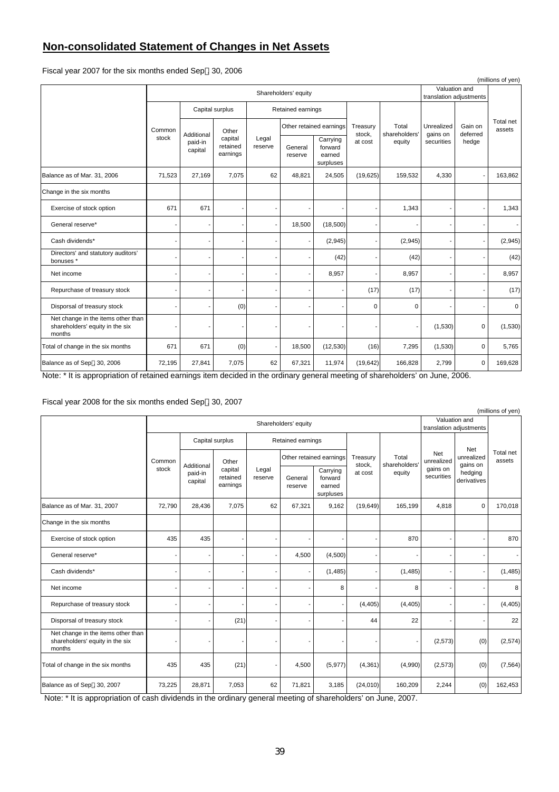# **Non-consolidated Statement of Changes in Net Assets**

Fiscal year 2007 for the six months ended Sep . 30, 2006

|                                                                                 |        |                      |                                 |                          |                    |                                            |                         |         |            |                                          | (millions of yen)      |         |                     |
|---------------------------------------------------------------------------------|--------|----------------------|---------------------------------|--------------------------|--------------------|--------------------------------------------|-------------------------|---------|------------|------------------------------------------|------------------------|---------|---------------------|
|                                                                                 |        | Shareholders' equity |                                 |                          |                    |                                            |                         |         |            | Valuation and<br>translation adjustments |                        |         |                     |
|                                                                                 |        | Capital surplus      |                                 |                          | Retained earnings  |                                            |                         |         |            |                                          |                        |         |                     |
|                                                                                 | Common |                      |                                 | Additional               | Other              |                                            | Other retained earnings |         | Treasury   | Total<br>shareholders'                   | Unrealized<br>gains on | Gain on | Total net<br>assets |
|                                                                                 | stock  | paid-in<br>capital   | capital<br>retained<br>earnings | Legal<br>reserve         | General<br>reserve | Carrying<br>forward<br>earned<br>surpluses | stock.<br>at cost       | equity  | securities | deferred<br>hedge                        |                        |         |                     |
| Balance as of Mar. 31, 2006                                                     | 71,523 | 27,169               | 7,075                           | 62                       | 48,821             | 24,505                                     | (19,625)                | 159,532 | 4,330      |                                          | 163,862                |         |                     |
| Change in the six months                                                        |        |                      |                                 |                          |                    |                                            |                         |         |            |                                          |                        |         |                     |
| Exercise of stock option                                                        | 671    | 671                  |                                 | ٠                        |                    |                                            |                         | 1,343   |            |                                          | 1,343                  |         |                     |
| General reserve*                                                                |        | ٠                    |                                 | $\overline{a}$           | 18,500             | (18,500)                                   |                         |         |            |                                          | $\sim$                 |         |                     |
| Cash dividends*                                                                 |        |                      |                                 | ٠                        |                    | (2,945)                                    |                         | (2,945) |            |                                          | (2,945)                |         |                     |
| Directors' and statutory auditors'<br>bonuses *                                 |        |                      |                                 | $\overline{a}$           |                    | (42)                                       |                         | (42)    |            |                                          | (42)                   |         |                     |
| Net income                                                                      |        |                      |                                 |                          |                    | 8,957                                      |                         | 8,957   |            |                                          | 8,957                  |         |                     |
| Repurchase of treasury stock                                                    |        |                      |                                 |                          |                    |                                            | (17)                    | (17)    |            |                                          | (17)                   |         |                     |
| Disporsal of treasury stock                                                     |        |                      | (0)                             |                          |                    |                                            | 0                       | 0       |            |                                          | $\mathbf 0$            |         |                     |
| Net change in the items other than<br>shareholders' equity in the six<br>months |        |                      |                                 |                          |                    |                                            |                         |         | (1,530)    | $\mathbf 0$                              | (1,530)                |         |                     |
| Total of change in the six months                                               | 671    | 671                  | (0)                             | $\overline{\phantom{a}}$ | 18,500             | (12, 530)                                  | (16)                    | 7,295   | (1,530)    | $\mathbf 0$                              | 5,765                  |         |                     |
| Balance as of Sep . 30, 2006                                                    | 72,195 | 27,841               | 7,075                           | 62                       | 67,321             | 11,974                                     | (19, 642)               | 166,828 | 2,799      | $\mathbf 0$                              | 169,628                |         |                     |

Note: \* It is appropriation of retained earnings item decided in the ordinary general meeting of shareholders' on June, 2006.

# Fiscal year 2008 for the six months ended Sep . 30, 2007

|                                                                                 |                      |                    |                                 |                          |                    |                                            |                        |                                  |                                             |                               | (millions of yen)             |                     |
|---------------------------------------------------------------------------------|----------------------|--------------------|---------------------------------|--------------------------|--------------------|--------------------------------------------|------------------------|----------------------------------|---------------------------------------------|-------------------------------|-------------------------------|---------------------|
|                                                                                 | Shareholders' equity |                    |                                 |                          |                    |                                            |                        |                                  | Valuation and<br>translation adjustments    |                               |                               |                     |
|                                                                                 | Common<br>stock      |                    | Capital surplus                 |                          | Retained earnings  |                                            |                        | Total<br>shareholders'<br>equity | Net<br>unrealized<br>gains on<br>securities |                               |                               |                     |
|                                                                                 |                      |                    | Additional                      | Other                    |                    | Other retained earnings                    |                        |                                  |                                             | Treasury<br>stock,<br>at cost | Net<br>unrealized<br>gains on | Total net<br>assets |
|                                                                                 |                      | paid-in<br>capital | capital<br>retained<br>earnings | Legal<br>reserve         | General<br>reserve | Carrying<br>forward<br>earned<br>surpluses | hedging<br>derivatives |                                  |                                             |                               |                               |                     |
| Balance as of Mar. 31, 2007                                                     | 72,790               | 28,436             | 7,075                           | 62                       | 67,321             | 9,162                                      | (19,649)               | 165,199                          | 4,818                                       | $\mathbf 0$                   | 170,018                       |                     |
| Change in the six months                                                        |                      |                    |                                 |                          |                    |                                            |                        |                                  |                                             |                               |                               |                     |
| Exercise of stock option                                                        | 435                  | 435                |                                 | $\blacksquare$           |                    | ٠                                          |                        | 870                              |                                             |                               | 870                           |                     |
| General reserve*                                                                |                      |                    |                                 | ٠                        | 4,500              | (4,500)                                    |                        |                                  |                                             |                               |                               |                     |
| Cash dividends*                                                                 |                      | ٠                  |                                 | $\blacksquare$           |                    | (1,485)                                    |                        | (1,485)                          |                                             |                               | (1, 485)                      |                     |
| Net income                                                                      |                      |                    |                                 | $\overline{\phantom{a}}$ |                    | 8                                          |                        | 8                                |                                             |                               | 8                             |                     |
| Repurchase of treasury stock                                                    |                      | Ĭ.                 |                                 | $\blacksquare$           |                    | ٠                                          | (4, 405)               | (4, 405)                         |                                             |                               | (4, 405)                      |                     |
| Disporsal of treasury stock                                                     |                      |                    | (21)                            | $\overline{\phantom{a}}$ |                    |                                            | 44                     | 22                               |                                             |                               | 22                            |                     |
| Net change in the items other than<br>shareholders' equity in the six<br>months |                      |                    |                                 | $\overline{\phantom{a}}$ |                    | ٠                                          |                        | $\blacksquare$                   | (2, 573)                                    | (0)                           | (2,574)                       |                     |
| Total of change in the six months                                               | 435                  | 435                | (21)                            | $\overline{\phantom{a}}$ | 4,500              | (5, 977)                                   | (4, 361)               | (4,990)                          | (2, 573)                                    | (0)                           | (7, 564)                      |                     |
| Balance as of Sep . 30, 2007                                                    | 73,225               | 28,871             | 7,053                           | 62                       | 71,821             | 3,185                                      | (24, 010)              | 160,209                          | 2,244                                       | (0)                           | 162,453                       |                     |

Note: \* It is appropriation of cash dividends in the ordinary general meeting of shareholders' on June, 2007.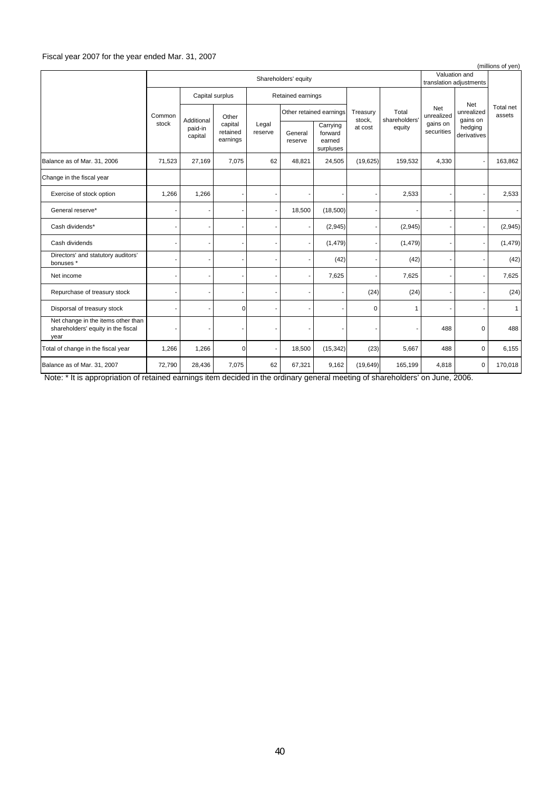# Fiscal year 2007 for the year ended Mar. 31, 2007

|                                                                                  |                      |        |                          |    |        |                    |                                 |                  |                    |                                            | (millions of yen) |                    |                        |                        |                               |                     |
|----------------------------------------------------------------------------------|----------------------|--------|--------------------------|----|--------|--------------------|---------------------------------|------------------|--------------------|--------------------------------------------|-------------------|--------------------|------------------------|------------------------|-------------------------------|---------------------|
|                                                                                  | Shareholders' equity |        |                          |    |        |                    |                                 |                  |                    | Valuation and<br>translation adjustments   |                   |                    |                        |                        |                               |                     |
|                                                                                  | Common<br>stock      |        | Capital surplus          |    |        | Retained earnings  |                                 |                  |                    |                                            |                   |                    |                        |                        |                               |                     |
|                                                                                  |                      |        |                          |    |        |                    | Additional                      | Other            |                    | Other retained earnings                    |                   | Treasury<br>stock, | Total<br>shareholders' | Net<br>unrealized      | Net<br>unrealized<br>gains on | Total net<br>assets |
|                                                                                  |                      |        |                          |    |        | paid-in<br>capital | capital<br>retained<br>earnings | Legal<br>reserve | General<br>reserve | Carrying<br>forward<br>earned<br>surpluses | at cost           | equity             | gains on<br>securities | hedging<br>derivatives |                               |                     |
| Balance as of Mar. 31, 2006                                                      | 71,523               | 27,169 | 7,075                    | 62 | 48,821 | 24,505             | (19,625)                        | 159,532          | 4,330              |                                            | 163,862           |                    |                        |                        |                               |                     |
| Change in the fiscal year                                                        |                      |        |                          |    |        |                    |                                 |                  |                    |                                            |                   |                    |                        |                        |                               |                     |
| Exercise of stock option                                                         | 1,266                | 1,266  |                          |    |        |                    | $\qquad \qquad \blacksquare$    | 2,533            |                    |                                            | 2,533             |                    |                        |                        |                               |                     |
| General reserve*                                                                 |                      |        |                          |    | 18,500 | (18,500)           | ä,                              |                  |                    |                                            | $\sim$            |                    |                        |                        |                               |                     |
| Cash dividends*                                                                  |                      |        |                          |    |        | (2,945)            | ٠                               | (2,945)          |                    |                                            | (2,945)           |                    |                        |                        |                               |                     |
| Cash dividends                                                                   |                      |        | $\overline{\phantom{a}}$ |    |        | (1, 479)           | ٠                               | (1, 479)         |                    |                                            | (1, 479)          |                    |                        |                        |                               |                     |
| Directors' and statutory auditors'<br>bonuses *                                  |                      |        | -                        |    |        | (42)               | ٠                               | (42)             |                    |                                            | (42)              |                    |                        |                        |                               |                     |
| Net income                                                                       |                      |        |                          |    |        | 7,625              |                                 | 7,625            |                    |                                            | 7,625             |                    |                        |                        |                               |                     |
| Repurchase of treasury stock                                                     |                      |        |                          |    |        |                    | (24)                            | (24)             |                    |                                            | (24)              |                    |                        |                        |                               |                     |
| Disporsal of treasury stock                                                      |                      |        | $\mathbf 0$              |    |        |                    | $\mathbf 0$                     | $\mathbf{1}$     |                    |                                            | $\mathbf{1}$      |                    |                        |                        |                               |                     |
| Net change in the items other than<br>shareholders' equity in the fiscal<br>year |                      |        |                          |    |        |                    |                                 |                  | 488                | 0                                          | 488               |                    |                        |                        |                               |                     |
| Total of change in the fiscal year                                               | 1,266                | 1,266  | 0                        |    | 18,500 | (15, 342)          | (23)                            | 5,667            | 488                | 0                                          | 6,155             |                    |                        |                        |                               |                     |
| Balance as of Mar. 31, 2007                                                      | 72,790               | 28,436 | 7,075                    | 62 | 67,321 | 9,162              | (19, 649)                       | 165,199          | 4,818              | $\mathbf 0$                                | 170,018           |                    |                        |                        |                               |                     |

Note: \* It is appropriation of retained earnings item decided in the ordinary general meeting of shareholders' on June, 2006.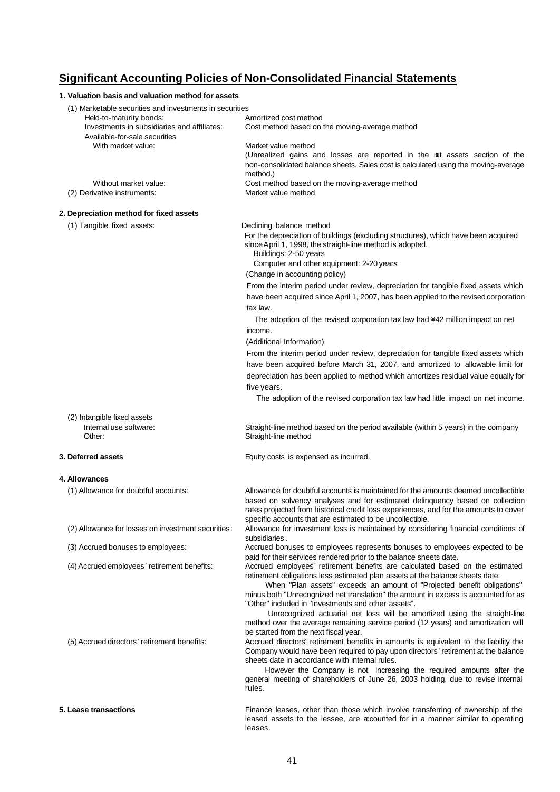# **Significant Accounting Policies of Non-Consolidated Financial Statements**

| 1. Valuation basis and valuation method for assets                                                                                                                 |                                                                                                                                                                                                                                                                                                                                              |
|--------------------------------------------------------------------------------------------------------------------------------------------------------------------|----------------------------------------------------------------------------------------------------------------------------------------------------------------------------------------------------------------------------------------------------------------------------------------------------------------------------------------------|
| (1) Marketable securities and investments in securities<br>Held-to-maturity bonds:<br>Investments in subsidiaries and affiliates:<br>Available-for-sale securities | Amortized cost method<br>Cost method based on the moving-average method                                                                                                                                                                                                                                                                      |
| With market value:                                                                                                                                                 | Market value method<br>(Unrealized gains and losses are reported in the ret assets section of the<br>non-consolidated balance sheets. Sales cost is calculated using the moving-average<br>method.)                                                                                                                                          |
| Without market value:<br>(2) Derivative instruments:                                                                                                               | Cost method based on the moving-average method<br>Market value method                                                                                                                                                                                                                                                                        |
| 2. Depreciation method for fixed assets                                                                                                                            |                                                                                                                                                                                                                                                                                                                                              |
| (1) Tangible fixed assets:                                                                                                                                         | Declining balance method<br>For the depreciation of buildings (excluding structures), which have been acquired<br>since April 1, 1998, the straight-line method is adopted.<br>Buildings: 2-50 years<br>Computer and other equipment: 2-20 years<br>(Change in accounting policy)                                                            |
|                                                                                                                                                                    | From the interim period under review, depreciation for tangible fixed assets which                                                                                                                                                                                                                                                           |
|                                                                                                                                                                    | have been acquired since April 1, 2007, has been applied to the revised corporation<br>tax law.                                                                                                                                                                                                                                              |
|                                                                                                                                                                    | The adoption of the revised corporation tax law had ¥42 million impact on net                                                                                                                                                                                                                                                                |
|                                                                                                                                                                    | income.                                                                                                                                                                                                                                                                                                                                      |
|                                                                                                                                                                    | (Additional Information)                                                                                                                                                                                                                                                                                                                     |
|                                                                                                                                                                    | From the interim period under review, depreciation for tangible fixed assets which                                                                                                                                                                                                                                                           |
|                                                                                                                                                                    | have been acquired before March 31, 2007, and amortized to allowable limit for                                                                                                                                                                                                                                                               |
|                                                                                                                                                                    | depreciation has been applied to method which amortizes residual value equally for<br>five years.                                                                                                                                                                                                                                            |
|                                                                                                                                                                    | The adoption of the revised corporation tax law had little impact on net income.                                                                                                                                                                                                                                                             |
|                                                                                                                                                                    |                                                                                                                                                                                                                                                                                                                                              |
| (2) Intangible fixed assets<br>Internal use software:<br>Other:                                                                                                    | Straight-line method based on the period available (within 5 years) in the company<br>Straight-line method                                                                                                                                                                                                                                   |
| 3. Deferred assets                                                                                                                                                 | Equity costs is expensed as incurred.                                                                                                                                                                                                                                                                                                        |
| 4. Allowances                                                                                                                                                      |                                                                                                                                                                                                                                                                                                                                              |
| (1) Allowance for doubtful accounts:                                                                                                                               | Allowance for doubtful accounts is maintained for the amounts deemed uncollectible<br>based on solvency analyses and for estimated delinguency based on collection<br>rates projected from historical credit loss experiences, and for the amounts to cover<br>specific accounts that are estimated to be uncollectible.                     |
| (2) Allowance for losses on investment securities:                                                                                                                 | Allowance for investment loss is maintained by considering financial conditions of<br>subsidiaries.                                                                                                                                                                                                                                          |
| (3) Accrued bonuses to employees:                                                                                                                                  | Accrued bonuses to employees represents bonuses to employees expected to be<br>paid for their services rendered prior to the balance sheets date.                                                                                                                                                                                            |
| (4) Accrued employees' retirement benefits:                                                                                                                        | Accrued employees' retirement benefits are calculated based on the estimated<br>retirement obligations less estimated plan assets at the balance sheets date.<br>When "Plan assets" exceeds an amount of "Projected benefit obligations"                                                                                                     |
|                                                                                                                                                                    | minus both "Unrecognized net translation" the amount in excess is accounted for as<br>"Other" included in "Investments and other assets".<br>Unrecognized actuarial net loss will be amortized using the straight-line<br>method over the average remaining service period (12 years) and amortization will                                  |
| (5) Accrued directors' retirement benefits:                                                                                                                        | be started from the next fiscal year.<br>Accrued directors' retirement benefits in amounts is equivalent to the liability the<br>Company would have been required to pay upon directors' retirement at the balance<br>sheets date in accordance with internal rules.<br>However the Company is not increasing the required amounts after the |
|                                                                                                                                                                    | general meeting of shareholders of June 26, 2003 holding, due to revise internal<br>rules.                                                                                                                                                                                                                                                   |
| 5. Lease transactions                                                                                                                                              | Finance leases, other than those which involve transferring of ownership of the<br>leased assets to the lessee, are accounted for in a manner similar to operating<br>leases.                                                                                                                                                                |